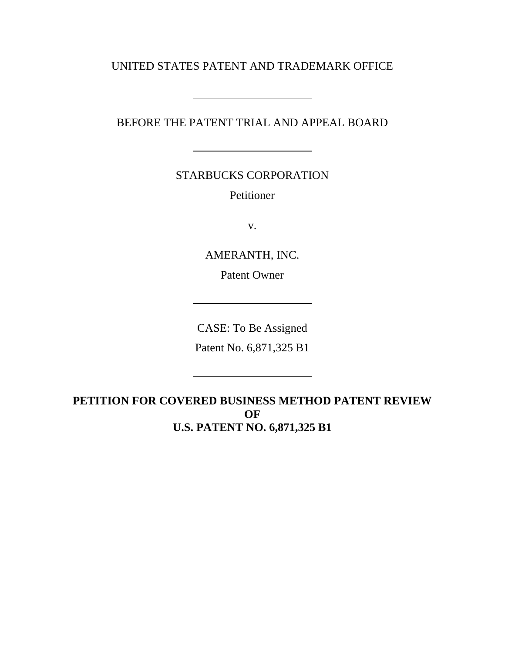UNITED STATES PATENT AND TRADEMARK OFFICE

 $\overline{a}$ 

 $\overline{a}$ 

BEFORE THE PATENT TRIAL AND APPEAL BOARD

STARBUCKS CORPORATION

Petitioner

v.

AMERANTH, INC. Patent Owner

CASE: To Be Assigned

Patent No. 6,871,325 B1

**PETITION FOR COVERED BUSINESS METHOD PATENT REVIEW OF U.S. PATENT NO. 6,871,325 B1**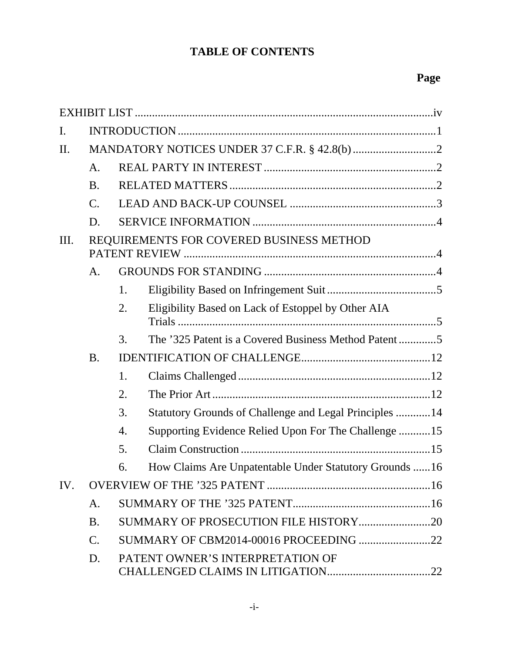# **TABLE OF CONTENTS**

| Ι.        |                                          |                                                              |  |  |  |  |
|-----------|------------------------------------------|--------------------------------------------------------------|--|--|--|--|
| $\prod$ . |                                          |                                                              |  |  |  |  |
|           | A <sub>1</sub>                           |                                                              |  |  |  |  |
|           | <b>B.</b>                                |                                                              |  |  |  |  |
|           | $\mathcal{C}$ .                          |                                                              |  |  |  |  |
|           | D.                                       |                                                              |  |  |  |  |
| Ш.        | REQUIREMENTS FOR COVERED BUSINESS METHOD |                                                              |  |  |  |  |
|           | A.                                       |                                                              |  |  |  |  |
|           |                                          | 1.                                                           |  |  |  |  |
|           |                                          | Eligibility Based on Lack of Estoppel by Other AIA<br>2.     |  |  |  |  |
|           |                                          | 3.                                                           |  |  |  |  |
|           | <b>B.</b>                                |                                                              |  |  |  |  |
|           |                                          | 1.                                                           |  |  |  |  |
|           |                                          | 2.                                                           |  |  |  |  |
|           |                                          | Statutory Grounds of Challenge and Legal Principles 14<br>3. |  |  |  |  |
|           |                                          | Supporting Evidence Relied Upon For The Challenge 15<br>4.   |  |  |  |  |
|           |                                          | 5.                                                           |  |  |  |  |
|           |                                          | How Claims Are Unpatentable Under Statutory Grounds 16<br>6. |  |  |  |  |
| IV.       |                                          |                                                              |  |  |  |  |
|           | A.                                       |                                                              |  |  |  |  |
|           | <b>B.</b>                                |                                                              |  |  |  |  |
|           | $\mathcal{C}$ .                          | SUMMARY OF CBM2014-00016 PROCEEDING 22                       |  |  |  |  |
|           | D.                                       | PATENT OWNER'S INTERPRETATION OF                             |  |  |  |  |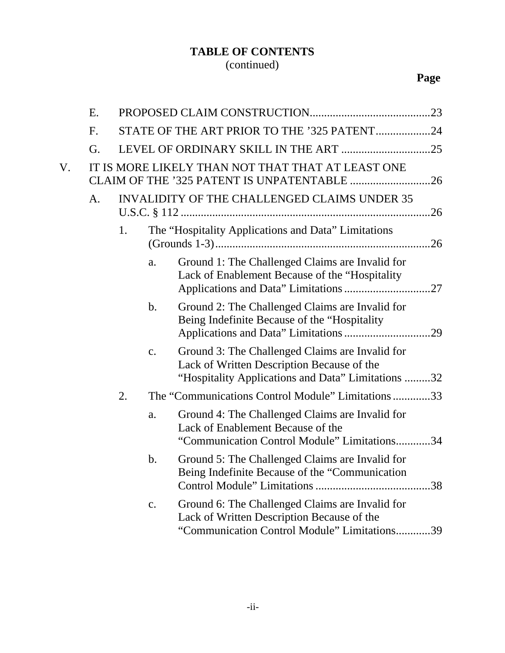# **TABLE OF CONTENTS** (continued)

|    | E. |    |                |                                                                                                                                                     |
|----|----|----|----------------|-----------------------------------------------------------------------------------------------------------------------------------------------------|
|    | F. |    |                | STATE OF THE ART PRIOR TO THE '325 PATENT24                                                                                                         |
|    | G. |    |                |                                                                                                                                                     |
| V. |    |    |                | IT IS MORE LIKELY THAN NOT THAT THAT AT LEAST ONE<br>CLAIM OF THE '325 PATENT IS UNPATENTABLE 26                                                    |
|    | A. |    |                | <b>INVALIDITY OF THE CHALLENGED CLAIMS UNDER 35</b>                                                                                                 |
|    |    | 1. |                | The "Hospitality Applications and Data" Limitations                                                                                                 |
|    |    |    | a.             | Ground 1: The Challenged Claims are Invalid for<br>Lack of Enablement Because of the "Hospitality                                                   |
|    |    |    | $\mathbf b$ .  | Ground 2: The Challenged Claims are Invalid for<br>Being Indefinite Because of the "Hospitality"                                                    |
|    |    |    | $\mathbf{c}$ . | Ground 3: The Challenged Claims are Invalid for<br>Lack of Written Description Because of the<br>"Hospitality Applications and Data" Limitations 32 |
|    |    | 2. |                | The "Communications Control Module" Limitations 33                                                                                                  |
|    |    |    | a.             | Ground 4: The Challenged Claims are Invalid for<br>Lack of Enablement Because of the<br>"Communication Control Module" Limitations34                |
|    |    |    | $\mathbf{b}$ . | Ground 5: The Challenged Claims are Invalid for<br>Being Indefinite Because of the "Communication                                                   |
|    |    |    | $\mathbf{c}$ . | Ground 6: The Challenged Claims are Invalid for<br>Lack of Written Description Because of the<br>"Communication Control Module" Limitations39       |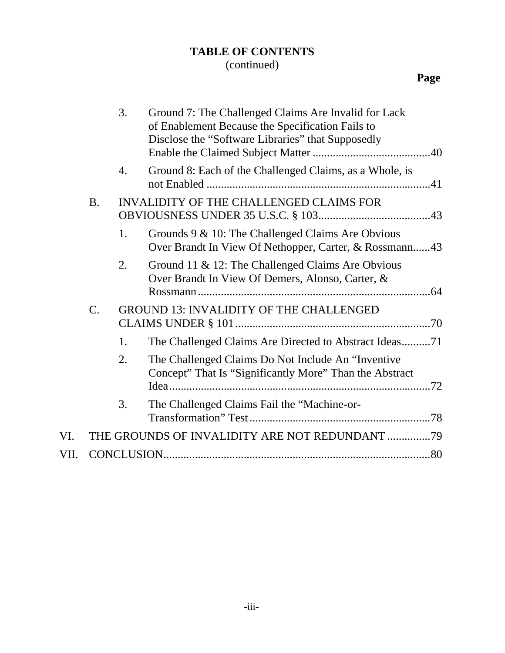# **TABLE OF CONTENTS**

# (continued)

|      |             | 3.                                             | Ground 7: The Challenged Claims Are Invalid for Lack<br>of Enablement Because the Specification Fails to       |  |
|------|-------------|------------------------------------------------|----------------------------------------------------------------------------------------------------------------|--|
|      |             |                                                | Disclose the "Software Libraries" that Supposedly                                                              |  |
|      |             | 4.                                             | Ground 8: Each of the Challenged Claims, as a Whole, is                                                        |  |
|      | <b>B.</b>   |                                                | INVALIDITY OF THE CHALLENGED CLAIMS FOR                                                                        |  |
|      |             | 1.                                             | Grounds 9 & 10: The Challenged Claims Are Obvious<br>Over Brandt In View Of Nethopper, Carter, & Rossmann43    |  |
|      |             | 2.                                             | Ground 11 & 12: The Challenged Claims Are Obvious<br>Over Brandt In View Of Demers, Alonso, Carter, &          |  |
|      | $C_{\cdot}$ | <b>GROUND 13: INVALIDITY OF THE CHALLENGED</b> |                                                                                                                |  |
|      |             | 1.                                             | The Challenged Claims Are Directed to Abstract Ideas71                                                         |  |
|      |             | 2.                                             | The Challenged Claims Do Not Include An "Inventive"<br>Concept" That Is "Significantly More" Than the Abstract |  |
|      |             | 3.                                             | The Challenged Claims Fail the "Machine-or-                                                                    |  |
| VI.  |             |                                                | THE GROUNDS OF INVALIDITY ARE NOT REDUNDANT 79                                                                 |  |
| VII. |             |                                                |                                                                                                                |  |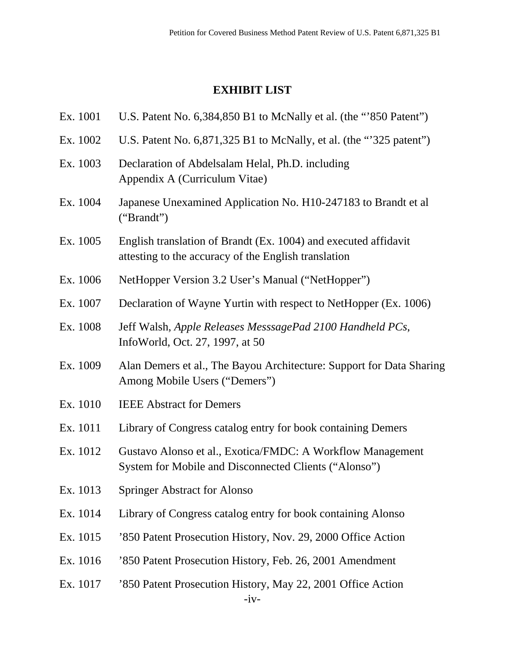# **EXHIBIT LIST**

Ex. 1001 U.S. Patent No. 6,384,850 B1 to McNally et al. (the "'850 Patent")

| Ex. 1002 | U.S. Patent No. 6,871,325 B1 to McNally, et al. (the "325 patent")                                                      |
|----------|-------------------------------------------------------------------------------------------------------------------------|
| Ex. 1003 | Declaration of Abdelsalam Helal, Ph.D. including<br>Appendix A (Curriculum Vitae)                                       |
| Ex. 1004 | Japanese Unexamined Application No. H10-247183 to Brandt et al<br>("Brand")                                             |
| Ex. 1005 | English translation of Brandt (Ex. 1004) and executed affidavit<br>attesting to the accuracy of the English translation |
| Ex. 1006 | NetHopper Version 3.2 User's Manual ("NetHopper")                                                                       |
| Ex. 1007 | Declaration of Wayne Yurtin with respect to NetHopper (Ex. 1006)                                                        |
| Ex. 1008 | Jeff Walsh, Apple Releases MesssagePad 2100 Handheld PCs,<br>InfoWorld, Oct. 27, 1997, at 50                            |
| Ex. 1009 | Alan Demers et al., The Bayou Architecture: Support for Data Sharing<br>Among Mobile Users ("Demers")                   |
| Ex. 1010 | <b>IEEE Abstract for Demers</b>                                                                                         |
| Ex. 1011 | Library of Congress catalog entry for book containing Demers                                                            |
| Ex. 1012 | Gustavo Alonso et al., Exotica/FMDC: A Workflow Management<br>System for Mobile and Disconnected Clients ("Alonso")     |
| Ex. 1013 | <b>Springer Abstract for Alonso</b>                                                                                     |
| Ex. 1014 | Library of Congress catalog entry for book containing Alonso                                                            |
| Ex. 1015 | '850 Patent Prosecution History, Nov. 29, 2000 Office Action                                                            |
| Ex. 1016 | '850 Patent Prosecution History, Feb. 26, 2001 Amendment                                                                |
| Ex. 1017 | '850 Patent Prosecution History, May 22, 2001 Office Action<br>$-iv-$                                                   |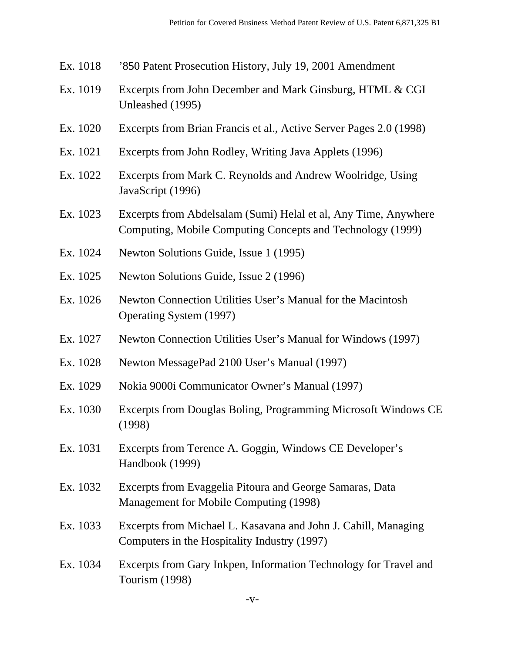- Ex. 1018 '850 Patent Prosecution History, July 19, 2001 Amendment
- Ex. 1019 Excerpts from John December and Mark Ginsburg, HTML & CGI Unleashed (1995)
- Ex. 1020 Excerpts from Brian Francis et al., Active Server Pages 2.0 (1998)
- Ex. 1021 Excerpts from John Rodley, Writing Java Applets (1996)
- Ex. 1022 Excerpts from Mark C. Reynolds and Andrew Woolridge, Using JavaScript (1996)
- Ex. 1023 Excerpts from Abdelsalam (Sumi) Helal et al, Any Time, Anywhere Computing, Mobile Computing Concepts and Technology (1999)
- Ex. 1024 Newton Solutions Guide, Issue 1 (1995)
- Ex. 1025 Newton Solutions Guide, Issue 2 (1996)
- Ex. 1026 Newton Connection Utilities User's Manual for the Macintosh Operating System (1997)
- Ex. 1027 Newton Connection Utilities User's Manual for Windows (1997)
- Ex. 1028 Newton MessagePad 2100 User's Manual (1997)
- Ex. 1029 Nokia 9000i Communicator Owner's Manual (1997)
- Ex. 1030 Excerpts from Douglas Boling, Programming Microsoft Windows CE (1998)
- Ex. 1031 Excerpts from Terence A. Goggin, Windows CE Developer's Handbook (1999)
- Ex. 1032 Excerpts from Evaggelia Pitoura and George Samaras, Data Management for Mobile Computing (1998)
- Ex. 1033 Excerpts from Michael L. Kasavana and John J. Cahill, Managing Computers in the Hospitality Industry (1997)
- Ex. 1034 Excerpts from Gary Inkpen, Information Technology for Travel and Tourism (1998)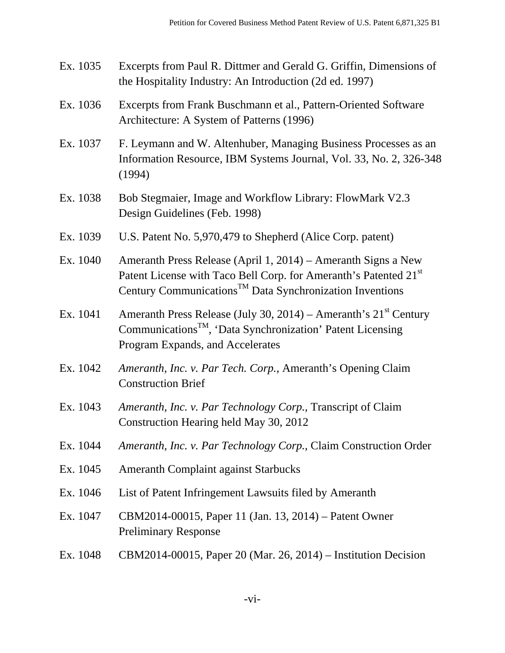- Ex. 1035 Excerpts from Paul R. Dittmer and Gerald G. Griffin, Dimensions of the Hospitality Industry: An Introduction (2d ed. 1997)
- Ex. 1036 Excerpts from Frank Buschmann et al., Pattern-Oriented Software Architecture: A System of Patterns (1996)
- Ex. 1037 F. Leymann and W. Altenhuber, Managing Business Processes as an Information Resource, IBM Systems Journal, Vol. 33, No. 2, 326-348 (1994)
- Ex. 1038 Bob Stegmaier, Image and Workflow Library: FlowMark V2.3 Design Guidelines (Feb. 1998)
- Ex. 1039 U.S. Patent No. 5,970,479 to Shepherd (Alice Corp. patent)
- Ex. 1040 Ameranth Press Release (April 1, 2014) Ameranth Signs a New Patent License with Taco Bell Corp. for Ameranth's Patented 21<sup>st</sup> Century Communications<sup>TM</sup> Data Synchronization Inventions
- Ex. 1041 Ameranth Press Release (July 30, 2014) Ameranth's  $21<sup>st</sup>$  Century Communications<sup>TM</sup>, 'Data Synchronization' Patent Licensing Program Expands, and Accelerates
- Ex. 1042 *Ameranth, Inc. v. Par Tech. Corp.*, Ameranth's Opening Claim Construction Brief
- Ex. 1043 *Ameranth, Inc. v. Par Technology Corp.*, Transcript of Claim Construction Hearing held May 30, 2012
- Ex. 1044 *Ameranth, Inc. v. Par Technology Corp.*, Claim Construction Order
- Ex. 1045 Ameranth Complaint against Starbucks
- Ex. 1046 List of Patent Infringement Lawsuits filed by Ameranth
- Ex. 1047 CBM2014-00015, Paper 11 (Jan. 13, 2014) Patent Owner Preliminary Response
- Ex. 1048 CBM2014-00015, Paper 20 (Mar. 26, 2014) Institution Decision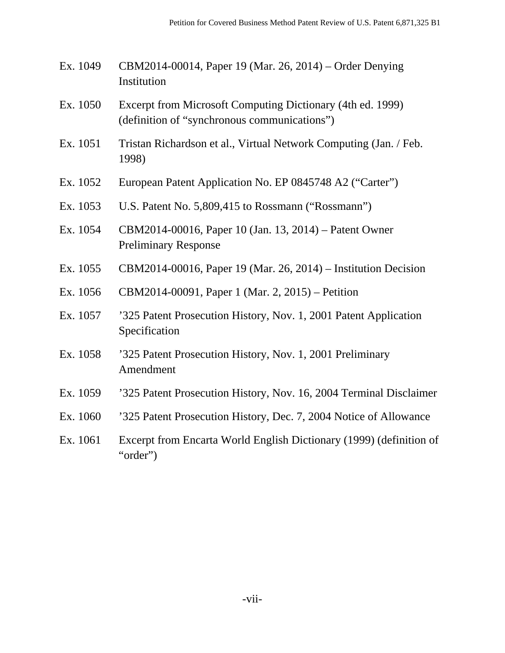- Ex. 1049 CBM2014-00014, Paper 19 (Mar. 26, 2014) Order Denying Institution
- Ex. 1050 Excerpt from Microsoft Computing Dictionary (4th ed. 1999) (definition of "synchronous communications")
- Ex. 1051 Tristan Richardson et al., Virtual Network Computing (Jan. / Feb. 1998)
- Ex. 1052 European Patent Application No. EP 0845748 A2 ("Carter")
- Ex. 1053 U.S. Patent No. 5,809,415 to Rossmann ("Rossmann")
- Ex. 1054 CBM2014-00016, Paper 10 (Jan. 13, 2014) Patent Owner Preliminary Response
- Ex. 1055 CBM2014-00016, Paper 19 (Mar. 26, 2014) Institution Decision
- Ex. 1056 CBM2014-00091, Paper 1 (Mar. 2, 2015) Petition
- Ex. 1057 '325 Patent Prosecution History, Nov. 1, 2001 Patent Application Specification
- Ex. 1058 '325 Patent Prosecution History, Nov. 1, 2001 Preliminary Amendment
- Ex. 1059 '325 Patent Prosecution History, Nov. 16, 2004 Terminal Disclaimer
- Ex. 1060 '325 Patent Prosecution History, Dec. 7, 2004 Notice of Allowance
- Ex. 1061 Excerpt from Encarta World English Dictionary (1999) (definition of "order")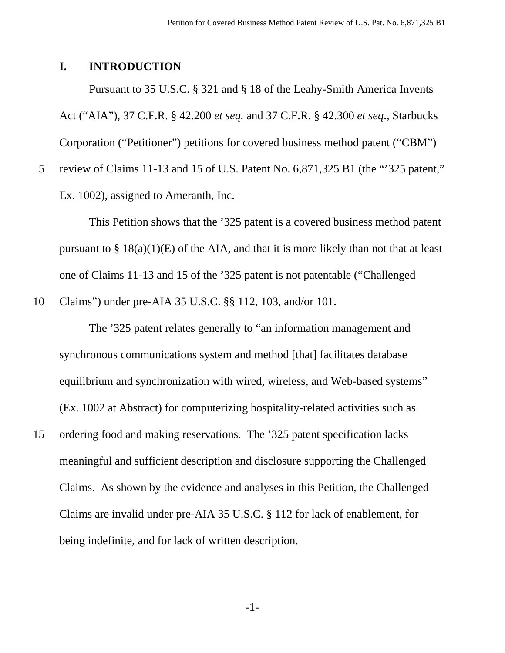# **I. INTRODUCTION**

Pursuant to 35 U.S.C. § 321 and § 18 of the Leahy-Smith America Invents Act ("AIA"), 37 C.F.R. § 42.200 *et seq.* and 37 C.F.R. § 42.300 *et seq*., Starbucks Corporation ("Petitioner") petitions for covered business method patent ("CBM")

5 review of Claims 11-13 and 15 of U.S. Patent No. 6,871,325 B1 (the "'325 patent," Ex. 1002), assigned to Ameranth, Inc.

This Petition shows that the '325 patent is a covered business method patent pursuant to  $\S 18(a)(1)(E)$  of the AIA, and that it is more likely than not that at least one of Claims 11-13 and 15 of the '325 patent is not patentable ("Challenged

10 Claims") under pre-AIA 35 U.S.C. §§ 112, 103, and/or 101.

 The '325 patent relates generally to "an information management and synchronous communications system and method [that] facilitates database equilibrium and synchronization with wired, wireless, and Web-based systems" (Ex. 1002 at Abstract) for computerizing hospitality-related activities such as 15 ordering food and making reservations. The '325 patent specification lacks meaningful and sufficient description and disclosure supporting the Challenged Claims. As shown by the evidence and analyses in this Petition, the Challenged Claims are invalid under pre-AIA 35 U.S.C. § 112 for lack of enablement, for being indefinite, and for lack of written description.

-1-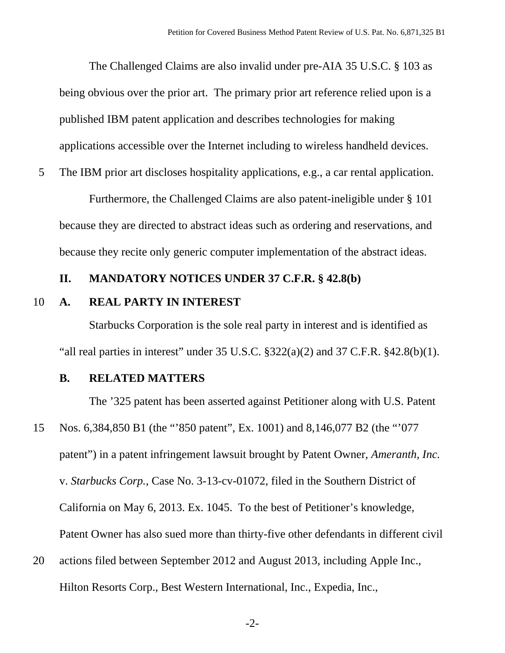The Challenged Claims are also invalid under pre-AIA 35 U.S.C. § 103 as being obvious over the prior art. The primary prior art reference relied upon is a published IBM patent application and describes technologies for making applications accessible over the Internet including to wireless handheld devices.

5 The IBM prior art discloses hospitality applications, e.g., a car rental application.

 Furthermore, the Challenged Claims are also patent-ineligible under § 101 because they are directed to abstract ideas such as ordering and reservations, and because they recite only generic computer implementation of the abstract ideas.

#### **II. MANDATORY NOTICES UNDER 37 C.F.R. § 42.8(b)**

#### 10 **A. REAL PARTY IN INTEREST**

Starbucks Corporation is the sole real party in interest and is identified as "all real parties in interest" under  $35 \text{ U.S.C. }$   $\S 322(a)(2)$  and  $37 \text{ C.F.R. }$   $\S 42.8(b)(1)$ .

# **B. RELATED MATTERS**

The '325 patent has been asserted against Petitioner along with U.S. Patent 15 Nos. 6,384,850 B1 (the "'850 patent", Ex. 1001) and 8,146,077 B2 (the "'077 patent") in a patent infringement lawsuit brought by Patent Owner, *Ameranth, Inc.* v. *Starbucks Corp.*, Case No. 3-13-cv-01072, filed in the Southern District of California on May 6, 2013. Ex. 1045. To the best of Petitioner's knowledge, Patent Owner has also sued more than thirty-five other defendants in different civil

20 actions filed between September 2012 and August 2013, including Apple Inc., Hilton Resorts Corp., Best Western International, Inc., Expedia, Inc.,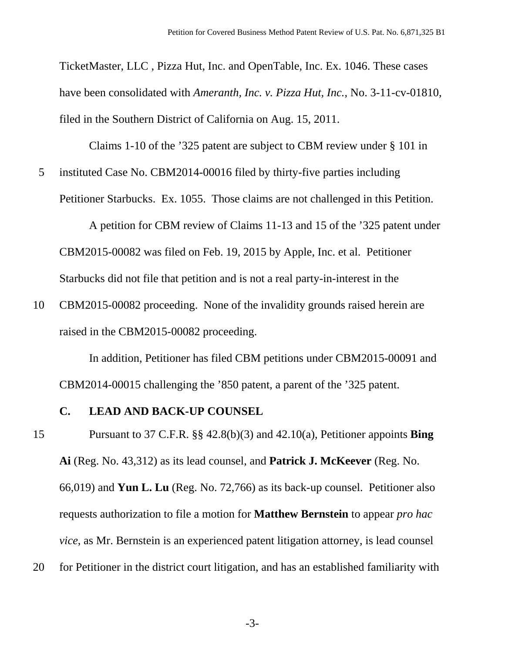TicketMaster, LLC , Pizza Hut, Inc. and OpenTable, Inc. Ex. 1046. These cases have been consolidated with *Ameranth, Inc. v. Pizza Hut, Inc.*, No. 3-11-cv-01810, filed in the Southern District of California on Aug. 15, 2011.

Claims 1-10 of the '325 patent are subject to CBM review under § 101 in

5 instituted Case No. CBM2014-00016 filed by thirty-five parties including

Petitioner Starbucks. Ex. 1055. Those claims are not challenged in this Petition.

A petition for CBM review of Claims 11-13 and 15 of the '325 patent under CBM2015-00082 was filed on Feb. 19, 2015 by Apple, Inc. et al. Petitioner Starbucks did not file that petition and is not a real party-in-interest in the

10 CBM2015-00082 proceeding. None of the invalidity grounds raised herein are raised in the CBM2015-00082 proceeding.

In addition, Petitioner has filed CBM petitions under CBM2015-00091 and CBM2014-00015 challenging the '850 patent, a parent of the '325 patent.

#### **C. LEAD AND BACK-UP COUNSEL**

15 Pursuant to 37 C.F.R. §§ 42.8(b)(3) and 42.10(a), Petitioner appoints **Bing Ai** (Reg. No. 43,312) as its lead counsel, and **Patrick J. McKeever** (Reg. No. 66,019) and **Yun L. Lu** (Reg. No. 72,766) as its back-up counsel. Petitioner also requests authorization to file a motion for **Matthew Bernstein** to appear *pro hac vice*, as Mr. Bernstein is an experienced patent litigation attorney, is lead counsel 20 for Petitioner in the district court litigation, and has an established familiarity with

-3-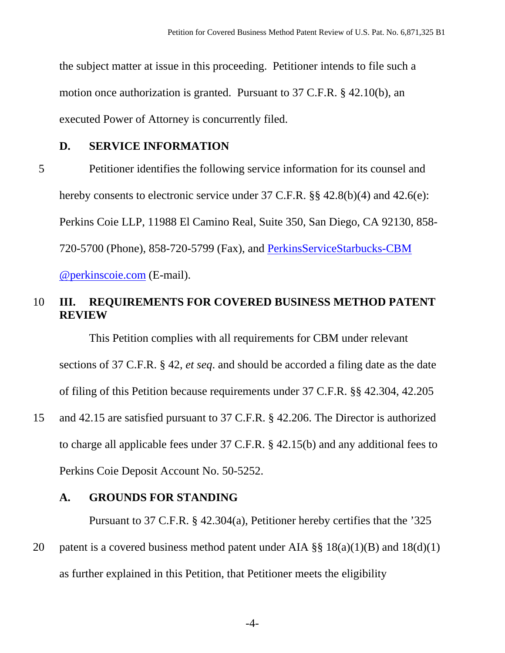the subject matter at issue in this proceeding. Petitioner intends to file such a motion once authorization is granted. Pursuant to 37 C.F.R. § 42.10(b), an executed Power of Attorney is concurrently filed.

## **D. SERVICE INFORMATION**

5 Petitioner identifies the following service information for its counsel and hereby consents to electronic service under 37 C.F.R. §§ 42.8(b)(4) and 42.6(e): Perkins Coie LLP, 11988 El Camino Real, Suite 350, San Diego, CA 92130, 858- 720-5700 (Phone), 858-720-5799 (Fax), and PerkinsServiceStarbucks-CBM @perkinscoie.com (E-mail).

# 10 **III. REQUIREMENTS FOR COVERED BUSINESS METHOD PATENT REVIEW**

This Petition complies with all requirements for CBM under relevant sections of 37 C.F.R. § 42, *et seq*. and should be accorded a filing date as the date of filing of this Petition because requirements under 37 C.F.R. §§ 42.304, 42.205

15 and 42.15 are satisfied pursuant to 37 C.F.R. § 42.206. The Director is authorized to charge all applicable fees under 37 C.F.R. § 42.15(b) and any additional fees to Perkins Coie Deposit Account No. 50-5252.

# **A. GROUNDS FOR STANDING**

Pursuant to 37 C.F.R. § 42.304(a), Petitioner hereby certifies that the '325

20 patent is a covered business method patent under AIA  $\S$ § 18(a)(1)(B) and 18(d)(1) as further explained in this Petition, that Petitioner meets the eligibility

-4-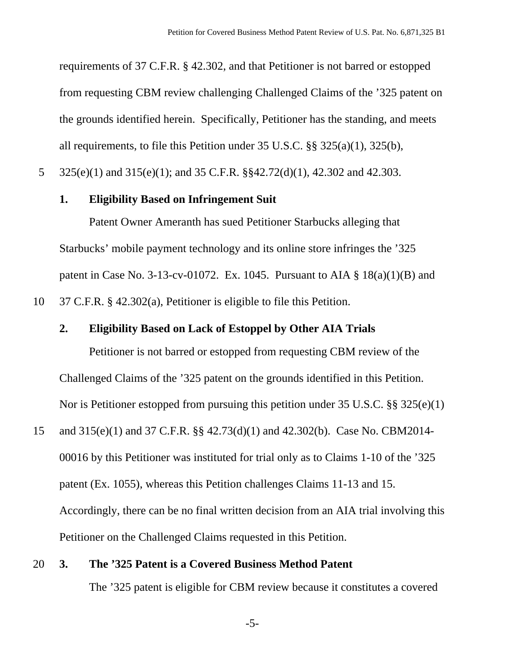requirements of 37 C.F.R. § 42.302, and that Petitioner is not barred or estopped from requesting CBM review challenging Challenged Claims of the '325 patent on the grounds identified herein. Specifically, Petitioner has the standing, and meets all requirements, to file this Petition under 35 U.S.C. §§ 325(a)(1), 325(b),

5 325(e)(1) and 315(e)(1); and 35 C.F.R. §§42.72(d)(1), 42.302 and 42.303.

#### **1. Eligibility Based on Infringement Suit**

Patent Owner Ameranth has sued Petitioner Starbucks alleging that Starbucks' mobile payment technology and its online store infringes the '325 patent in Case No. 3-13-cv-01072. Ex. 1045. Pursuant to AIA  $\S$  18(a)(1)(B) and 10 37 C.F.R. § 42.302(a), Petitioner is eligible to file this Petition.

#### **2. Eligibility Based on Lack of Estoppel by Other AIA Trials**

Petitioner is not barred or estopped from requesting CBM review of the Challenged Claims of the '325 patent on the grounds identified in this Petition. Nor is Petitioner estopped from pursuing this petition under 35 U.S.C. §§ 325(e)(1)

15 and 315(e)(1) and 37 C.F.R. §§ 42.73(d)(1) and 42.302(b). Case No. CBM2014- 00016 by this Petitioner was instituted for trial only as to Claims 1-10 of the '325 patent (Ex. 1055), whereas this Petition challenges Claims 11-13 and 15. Accordingly, there can be no final written decision from an AIA trial involving this Petitioner on the Challenged Claims requested in this Petition.

# 20 **3. The '325 Patent is a Covered Business Method Patent**  The '325 patent is eligible for CBM review because it constitutes a covered

-5-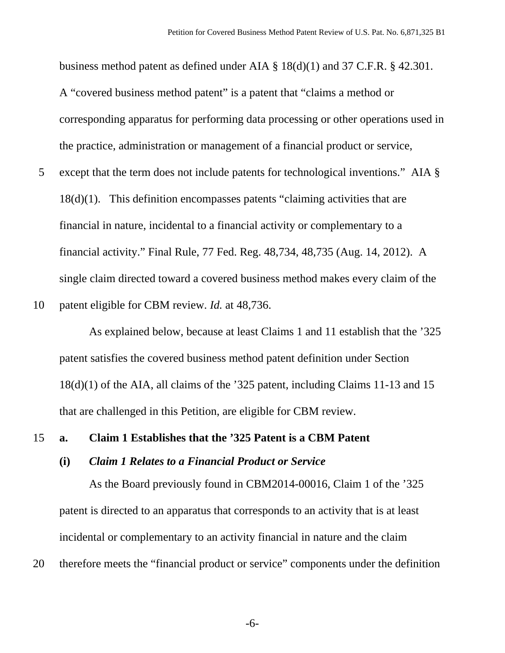business method patent as defined under AIA § 18(d)(1) and 37 C.F.R. § 42.301. A "covered business method patent" is a patent that "claims a method or corresponding apparatus for performing data processing or other operations used in the practice, administration or management of a financial product or service,

5 except that the term does not include patents for technological inventions." AIA § 18(d)(1). This definition encompasses patents "claiming activities that are financial in nature, incidental to a financial activity or complementary to a financial activity." Final Rule, 77 Fed. Reg. 48,734, 48,735 (Aug. 14, 2012). A single claim directed toward a covered business method makes every claim of the

10 patent eligible for CBM review. *Id.* at 48,736.

As explained below, because at least Claims 1 and 11 establish that the '325 patent satisfies the covered business method patent definition under Section 18(d)(1) of the AIA, all claims of the '325 patent, including Claims 11-13 and 15 that are challenged in this Petition, are eligible for CBM review.

#### 15 **a. Claim 1 Establishes that the '325 Patent is a CBM Patent**

#### **(i)** *Claim 1 Relates to a Financial Product or Service*

As the Board previously found in CBM2014-00016, Claim 1 of the '325 patent is directed to an apparatus that corresponds to an activity that is at least incidental or complementary to an activity financial in nature and the claim

20 therefore meets the "financial product or service" components under the definition

-6-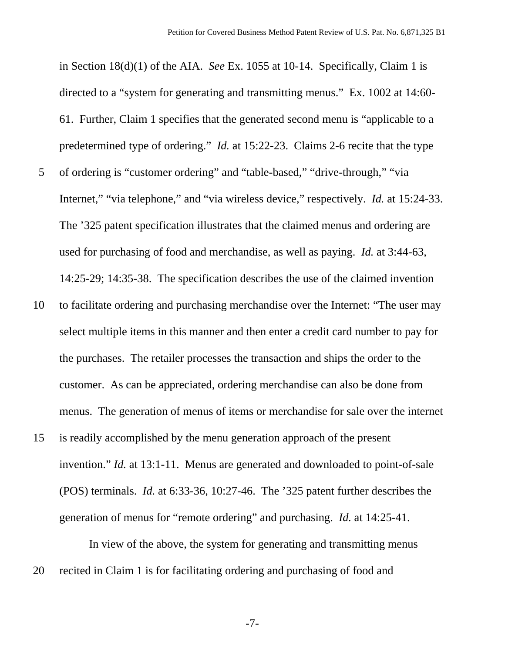in Section 18(d)(1) of the AIA. *See* Ex. 1055 at 10-14. Specifically, Claim 1 is directed to a "system for generating and transmitting menus." Ex. 1002 at 14:60- 61. Further, Claim 1 specifies that the generated second menu is "applicable to a predetermined type of ordering." *Id.* at 15:22-23. Claims 2-6 recite that the type 5 of ordering is "customer ordering" and "table-based," "drive-through," "via Internet," "via telephone," and "via wireless device," respectively. *Id.* at 15:24-33. The '325 patent specification illustrates that the claimed menus and ordering are used for purchasing of food and merchandise, as well as paying. *Id.* at 3:44-63, 14:25-29; 14:35-38. The specification describes the use of the claimed invention

- 10 to facilitate ordering and purchasing merchandise over the Internet: "The user may select multiple items in this manner and then enter a credit card number to pay for the purchases. The retailer processes the transaction and ships the order to the customer. As can be appreciated, ordering merchandise can also be done from menus. The generation of menus of items or merchandise for sale over the internet
- 15 is readily accomplished by the menu generation approach of the present invention." *Id.* at 13:1-11. Menus are generated and downloaded to point-of-sale (POS) terminals. *Id.* at 6:33-36, 10:27-46. The '325 patent further describes the generation of menus for "remote ordering" and purchasing. *Id.* at 14:25-41.

In view of the above, the system for generating and transmitting menus 20 recited in Claim 1 is for facilitating ordering and purchasing of food and

-7-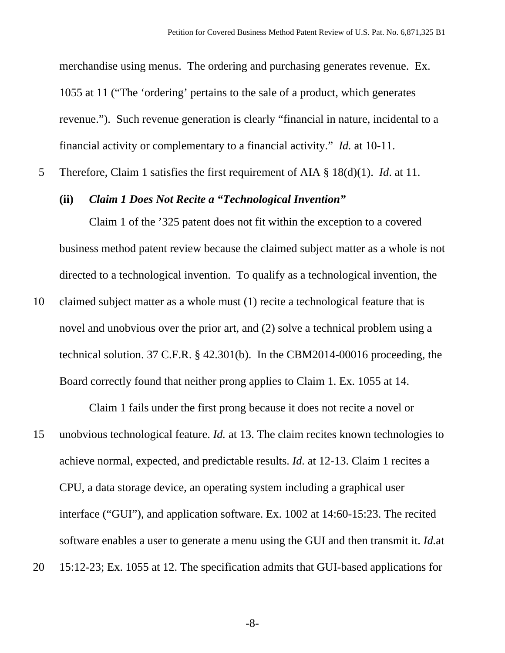merchandise using menus. The ordering and purchasing generates revenue. Ex. 1055 at 11 ("The 'ordering' pertains to the sale of a product, which generates revenue."). Such revenue generation is clearly "financial in nature, incidental to a financial activity or complementary to a financial activity." *Id.* at 10-11.

5 Therefore, Claim 1 satisfies the first requirement of AIA § 18(d)(1). *Id*. at 11.

# **(ii)** *Claim 1 Does Not Recite a "Technological Invention"*

Claim 1 of the '325 patent does not fit within the exception to a covered business method patent review because the claimed subject matter as a whole is not directed to a technological invention. To qualify as a technological invention, the

10 claimed subject matter as a whole must (1) recite a technological feature that is novel and unobvious over the prior art, and (2) solve a technical problem using a technical solution. 37 C.F.R. § 42.301(b). In the CBM2014-00016 proceeding, the Board correctly found that neither prong applies to Claim 1. Ex. 1055 at 14.

Claim 1 fails under the first prong because it does not recite a novel or 15 unobvious technological feature. *Id.* at 13. The claim recites known technologies to achieve normal, expected, and predictable results. *Id.* at 12-13. Claim 1 recites a CPU, a data storage device, an operating system including a graphical user interface ("GUI"), and application software. Ex. 1002 at 14:60-15:23. The recited software enables a user to generate a menu using the GUI and then transmit it. *Id.*at 20 15:12-23; Ex. 1055 at 12. The specification admits that GUI-based applications for

-8-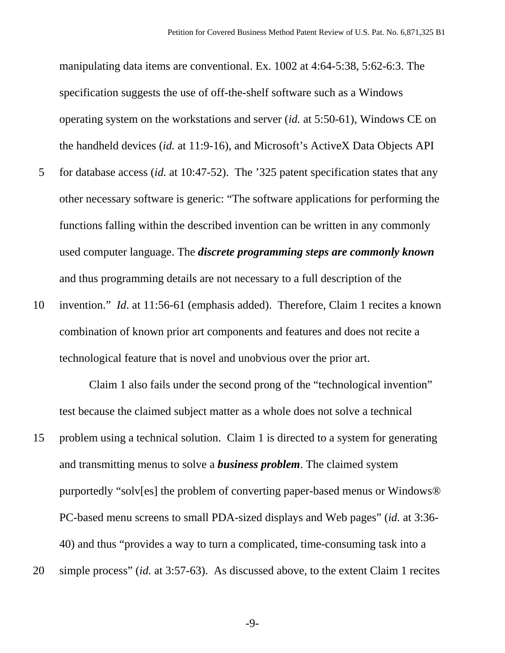manipulating data items are conventional. Ex. 1002 at 4:64-5:38, 5:62-6:3. The specification suggests the use of off-the-shelf software such as a Windows operating system on the workstations and server (*id.* at 5:50-61), Windows CE on the handheld devices (*id.* at 11:9-16), and Microsoft's ActiveX Data Objects API

- 5 for database access (*id.* at 10:47-52). The '325 patent specification states that any other necessary software is generic: "The software applications for performing the functions falling within the described invention can be written in any commonly used computer language. The *discrete programming steps are commonly known* and thus programming details are not necessary to a full description of the
- 10 invention." *Id*. at 11:56-61 (emphasis added). Therefore, Claim 1 recites a known combination of known prior art components and features and does not recite a technological feature that is novel and unobvious over the prior art.

Claim 1 also fails under the second prong of the "technological invention" test because the claimed subject matter as a whole does not solve a technical

- 15 problem using a technical solution. Claim 1 is directed to a system for generating and transmitting menus to solve a *business problem*. The claimed system purportedly "solv[es] the problem of converting paper-based menus or Windows® PC-based menu screens to small PDA-sized displays and Web pages" (*id.* at 3:36- 40) and thus "provides a way to turn a complicated, time-consuming task into a
- 20 simple process" (*id.* at 3:57-63). As discussed above, to the extent Claim 1 recites

-9-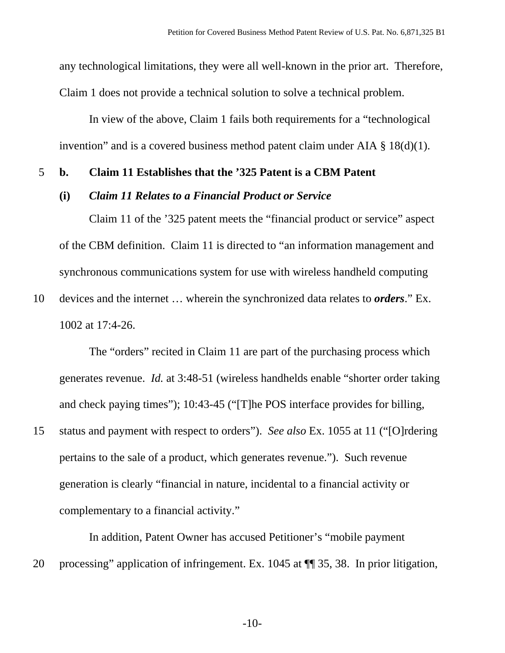any technological limitations, they were all well-known in the prior art. Therefore, Claim 1 does not provide a technical solution to solve a technical problem.

In view of the above, Claim 1 fails both requirements for a "technological invention" and is a covered business method patent claim under AIA § 18(d)(1).

#### 5 **b. Claim 11 Establishes that the '325 Patent is a CBM Patent**

#### **(i)** *Claim 11 Relates to a Financial Product or Service*

Claim 11 of the '325 patent meets the "financial product or service" aspect of the CBM definition. Claim 11 is directed to "an information management and synchronous communications system for use with wireless handheld computing

10 devices and the internet … wherein the synchronized data relates to *orders*." Ex. 1002 at 17:4-26.

The "orders" recited in Claim 11 are part of the purchasing process which generates revenue. *Id.* at 3:48-51 (wireless handhelds enable "shorter order taking and check paying times"); 10:43-45 ("[T]he POS interface provides for billing, 15 status and payment with respect to orders"). *See also* Ex. 1055 at 11 ("[O]rdering pertains to the sale of a product, which generates revenue."). Such revenue

generation is clearly "financial in nature, incidental to a financial activity or complementary to a financial activity."

In addition, Patent Owner has accused Petitioner's "mobile payment 20 processing" application of infringement. Ex. 1045 at ¶¶ 35, 38. In prior litigation,

-10-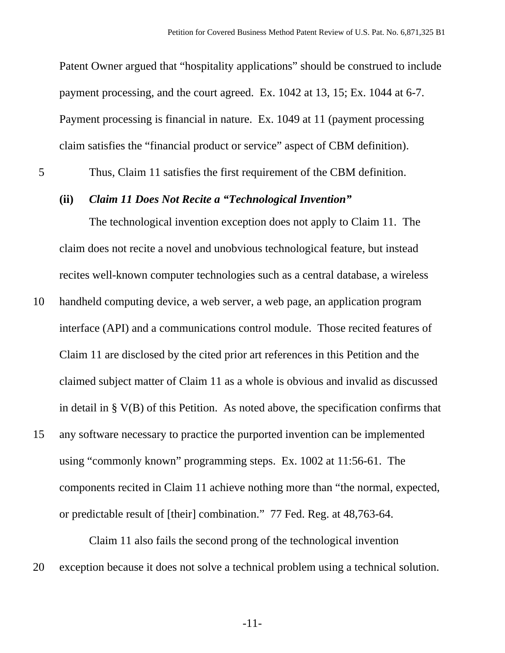Patent Owner argued that "hospitality applications" should be construed to include payment processing, and the court agreed. Ex. 1042 at 13, 15; Ex. 1044 at 6-7. Payment processing is financial in nature. Ex. 1049 at 11 (payment processing claim satisfies the "financial product or service" aspect of CBM definition).

5 Thus, Claim 11 satisfies the first requirement of the CBM definition.

### **(ii)** *Claim 11 Does Not Recite a "Technological Invention"*

The technological invention exception does not apply to Claim 11. The claim does not recite a novel and unobvious technological feature, but instead recites well-known computer technologies such as a central database, a wireless

- 10 handheld computing device, a web server, a web page, an application program interface (API) and a communications control module. Those recited features of Claim 11 are disclosed by the cited prior art references in this Petition and the claimed subject matter of Claim 11 as a whole is obvious and invalid as discussed in detail in § V(B) of this Petition. As noted above, the specification confirms that
- 15 any software necessary to practice the purported invention can be implemented using "commonly known" programming steps. Ex. 1002 at 11:56-61. The components recited in Claim 11 achieve nothing more than "the normal, expected, or predictable result of [their] combination." 77 Fed. Reg. at 48,763-64.

Claim 11 also fails the second prong of the technological invention 20 exception because it does not solve a technical problem using a technical solution.

-11-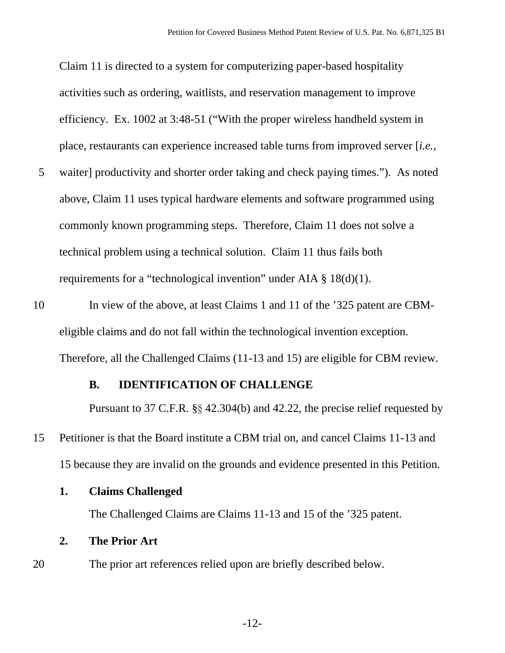Claim 11 is directed to a system for computerizing paper-based hospitality activities such as ordering, waitlists, and reservation management to improve efficiency. Ex. 1002 at 3:48-51 ("With the proper wireless handheld system in place, restaurants can experience increased table turns from improved server [*i.e.*,

- 5 waiter] productivity and shorter order taking and check paying times."). As noted above, Claim 11 uses typical hardware elements and software programmed using commonly known programming steps. Therefore, Claim 11 does not solve a technical problem using a technical solution. Claim 11 thus fails both requirements for a "technological invention" under AIA § 18(d)(1).
- 10 In view of the above, at least Claims 1 and 11 of the '325 patent are CBMeligible claims and do not fall within the technological invention exception. Therefore, all the Challenged Claims (11-13 and 15) are eligible for CBM review.

#### **B. IDENTIFICATION OF CHALLENGE**

Pursuant to 37 C.F.R. §§ 42.304(b) and 42.22, the precise relief requested by 15 Petitioner is that the Board institute a CBM trial on, and cancel Claims 11-13 and

15 because they are invalid on the grounds and evidence presented in this Petition.

**1. Claims Challenged** 

The Challenged Claims are Claims 11-13 and 15 of the '325 patent.

#### **2. The Prior Art**

20 The prior art references relied upon are briefly described below.

-12-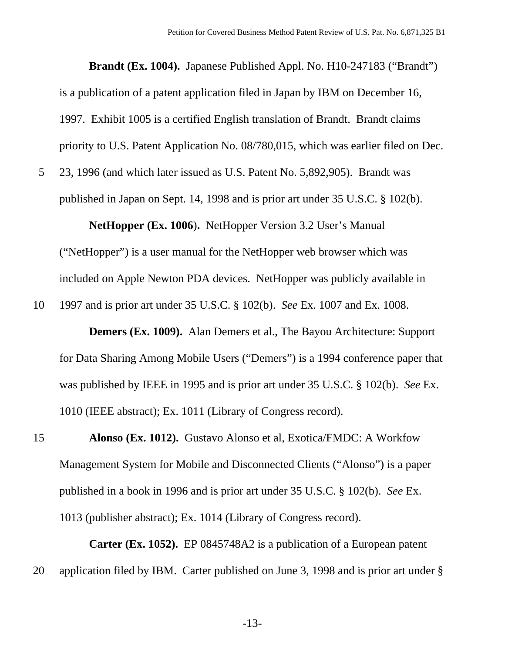**Brandt (Ex. 1004).** Japanese Published Appl. No. H10-247183 ("Brandt") is a publication of a patent application filed in Japan by IBM on December 16, 1997. Exhibit 1005 is a certified English translation of Brandt. Brandt claims priority to U.S. Patent Application No. 08/780,015, which was earlier filed on Dec.

5 23, 1996 (and which later issued as U.S. Patent No. 5,892,905). Brandt was published in Japan on Sept. 14, 1998 and is prior art under 35 U.S.C. § 102(b).

**NetHopper (Ex. 1006**)**.** NetHopper Version 3.2 User's Manual

("NetHopper") is a user manual for the NetHopper web browser which was included on Apple Newton PDA devices. NetHopper was publicly available in

10 1997 and is prior art under 35 U.S.C. § 102(b). *See* Ex. 1007 and Ex. 1008.

**Demers (Ex. 1009).** Alan Demers et al., The Bayou Architecture: Support for Data Sharing Among Mobile Users ("Demers") is a 1994 conference paper that was published by IEEE in 1995 and is prior art under 35 U.S.C. § 102(b). *See* Ex. 1010 (IEEE abstract); Ex. 1011 (Library of Congress record).

15 **Alonso (Ex. 1012).** Gustavo Alonso et al, Exotica/FMDC: A Workfow Management System for Mobile and Disconnected Clients ("Alonso") is a paper published in a book in 1996 and is prior art under 35 U.S.C. § 102(b). *See* Ex. 1013 (publisher abstract); Ex. 1014 (Library of Congress record).

**Carter (Ex. 1052).** EP 0845748A2 is a publication of a European patent 20 application filed by IBM. Carter published on June 3, 1998 and is prior art under §

-13-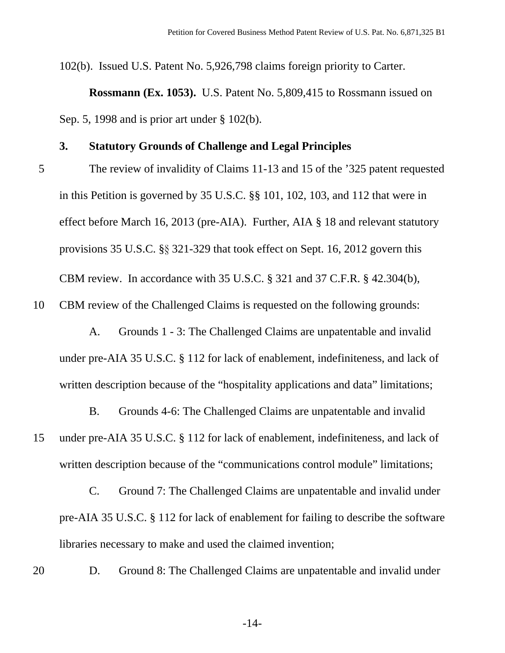102(b). Issued U.S. Patent No. 5,926,798 claims foreign priority to Carter.

**Rossmann (Ex. 1053).** U.S. Patent No. 5,809,415 to Rossmann issued on Sep. 5, 1998 and is prior art under § 102(b).

#### **3. Statutory Grounds of Challenge and Legal Principles**

5 The review of invalidity of Claims 11-13 and 15 of the '325 patent requested in this Petition is governed by 35 U.S.C. §§ 101, 102, 103, and 112 that were in effect before March 16, 2013 (pre-AIA). Further, AIA § 18 and relevant statutory provisions 35 U.S.C. §§ 321-329 that took effect on Sept. 16, 2012 govern this CBM review. In accordance with 35 U.S.C. § 321 and 37 C.F.R. § 42.304(b),

10 CBM review of the Challenged Claims is requested on the following grounds:

 A. Grounds 1 - 3: The Challenged Claims are unpatentable and invalid under pre-AIA 35 U.S.C. § 112 for lack of enablement, indefiniteness, and lack of written description because of the "hospitality applications and data" limitations;

 B. Grounds 4-6: The Challenged Claims are unpatentable and invalid 15 under pre-AIA 35 U.S.C. § 112 for lack of enablement, indefiniteness, and lack of written description because of the "communications control module" limitations;

 C. Ground 7: The Challenged Claims are unpatentable and invalid under pre-AIA 35 U.S.C. § 112 for lack of enablement for failing to describe the software libraries necessary to make and used the claimed invention;

20 D. Ground 8: The Challenged Claims are unpatentable and invalid under

-14-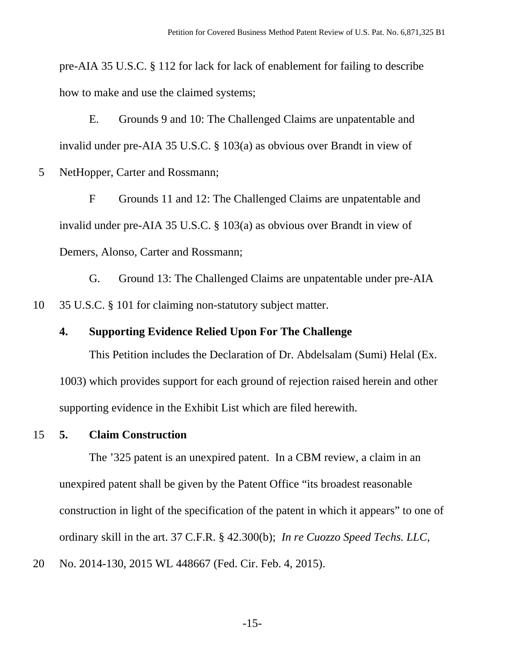pre-AIA 35 U.S.C. § 112 for lack for lack of enablement for failing to describe how to make and use the claimed systems;

 E. Grounds 9 and 10: The Challenged Claims are unpatentable and invalid under pre-AIA 35 U.S.C. § 103(a) as obvious over Brandt in view of 5 NetHopper, Carter and Rossmann;

 F Grounds 11 and 12: The Challenged Claims are unpatentable and invalid under pre-AIA 35 U.S.C. § 103(a) as obvious over Brandt in view of Demers, Alonso, Carter and Rossmann;

 G. Ground 13: The Challenged Claims are unpatentable under pre-AIA 10 35 U.S.C. § 101 for claiming non-statutory subject matter.

### **4. Supporting Evidence Relied Upon For The Challenge**

This Petition includes the Declaration of Dr. Abdelsalam (Sumi) Helal (Ex. 1003) which provides support for each ground of rejection raised herein and other supporting evidence in the Exhibit List which are filed herewith.

## 15 **5. Claim Construction**

The '325 patent is an unexpired patent. In a CBM review, a claim in an unexpired patent shall be given by the Patent Office "its broadest reasonable construction in light of the specification of the patent in which it appears" to one of ordinary skill in the art. 37 C.F.R. § 42.300(b); *In re Cuozzo Speed Techs. LLC*,

20 No. 2014-130, 2015 WL 448667 (Fed. Cir. Feb. 4, 2015).

-15-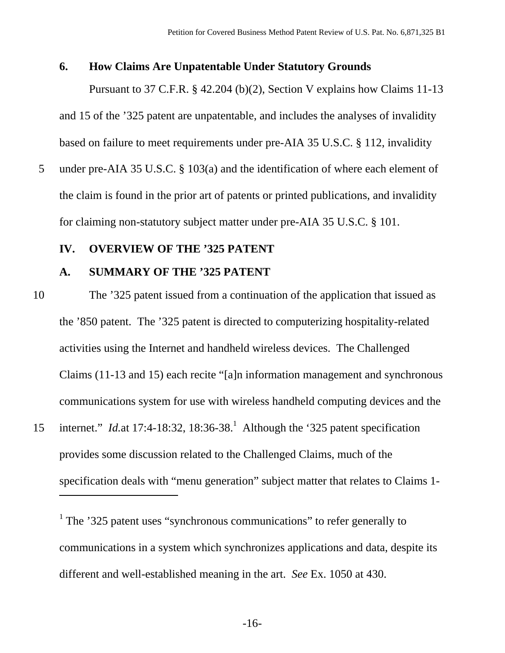#### **6. How Claims Are Unpatentable Under Statutory Grounds**

Pursuant to 37 C.F.R. § 42.204 (b)(2), Section V explains how Claims 11-13 and 15 of the '325 patent are unpatentable, and includes the analyses of invalidity based on failure to meet requirements under pre-AIA 35 U.S.C. § 112, invalidity

5 under pre-AIA 35 U.S.C. § 103(a) and the identification of where each element of the claim is found in the prior art of patents or printed publications, and invalidity for claiming non-statutory subject matter under pre-AIA 35 U.S.C. § 101.

# **IV. OVERVIEW OF THE '325 PATENT**

#### **A. SUMMARY OF THE '325 PATENT**

- 10 The '325 patent issued from a continuation of the application that issued as the '850 patent. The '325 patent is directed to computerizing hospitality-related activities using the Internet and handheld wireless devices. The Challenged Claims (11-13 and 15) each recite "[a]n information management and synchronous communications system for use with wireless handheld computing devices and the
- 15 internet." *Id.at* 17:4-18:32, 18:36-38.<sup>1</sup> Although the '325 patent specification provides some discussion related to the Challenged Claims, much of the specification deals with "menu generation" subject matter that relates to Claims 1- -

<sup>1</sup> The '325 patent uses "synchronous communications" to refer generally to communications in a system which synchronizes applications and data, despite its different and well-established meaning in the art. *See* Ex. 1050 at 430.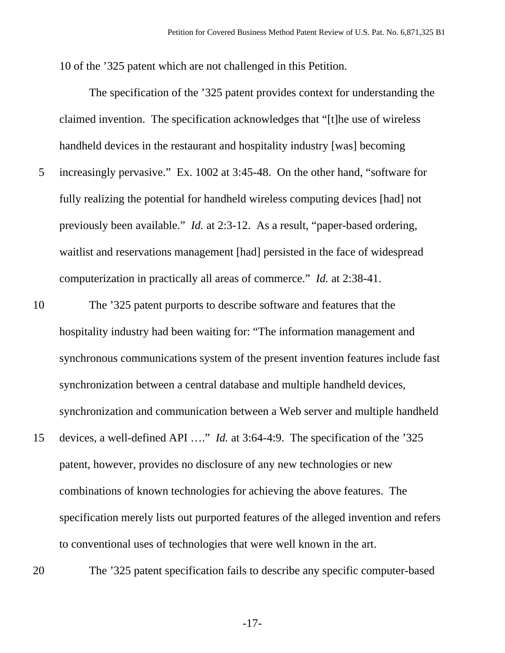10 of the '325 patent which are not challenged in this Petition.

 The specification of the '325 patent provides context for understanding the claimed invention. The specification acknowledges that "[t]he use of wireless handheld devices in the restaurant and hospitality industry [was] becoming 5 increasingly pervasive." Ex. 1002 at 3:45-48. On the other hand, "software for fully realizing the potential for handheld wireless computing devices [had] not previously been available." *Id.* at 2:3-12. As a result, "paper-based ordering, waitlist and reservations management [had] persisted in the face of widespread

10 The '325 patent purports to describe software and features that the hospitality industry had been waiting for: "The information management and synchronous communications system of the present invention features include fast synchronization between a central database and multiple handheld devices, synchronization and communication between a Web server and multiple handheld

computerization in practically all areas of commerce." *Id.* at 2:38-41.

- 15 devices, a well-defined API …." *Id.* at 3:64-4:9. The specification of the '325 patent, however, provides no disclosure of any new technologies or new combinations of known technologies for achieving the above features. The specification merely lists out purported features of the alleged invention and refers to conventional uses of technologies that were well known in the art.
- 

20 The '325 patent specification fails to describe any specific computer-based

-17-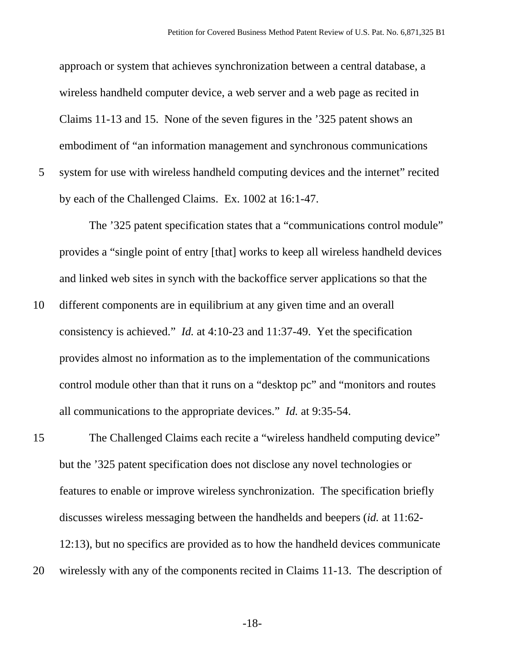approach or system that achieves synchronization between a central database, a wireless handheld computer device, a web server and a web page as recited in Claims 11-13 and 15. None of the seven figures in the '325 patent shows an embodiment of "an information management and synchronous communications 5 system for use with wireless handheld computing devices and the internet" recited by each of the Challenged Claims. Ex. 1002 at 16:1-47.

The '325 patent specification states that a "communications control module" provides a "single point of entry [that] works to keep all wireless handheld devices and linked web sites in synch with the backoffice server applications so that the

10 different components are in equilibrium at any given time and an overall consistency is achieved." *Id.* at 4:10-23 and 11:37-49. Yet the specification provides almost no information as to the implementation of the communications control module other than that it runs on a "desktop pc" and "monitors and routes all communications to the appropriate devices." *Id.* at 9:35-54.

15 The Challenged Claims each recite a "wireless handheld computing device" but the '325 patent specification does not disclose any novel technologies or features to enable or improve wireless synchronization. The specification briefly discusses wireless messaging between the handhelds and beepers (*id.* at 11:62- 12:13), but no specifics are provided as to how the handheld devices communicate 20 wirelessly with any of the components recited in Claims 11-13. The description of

-18-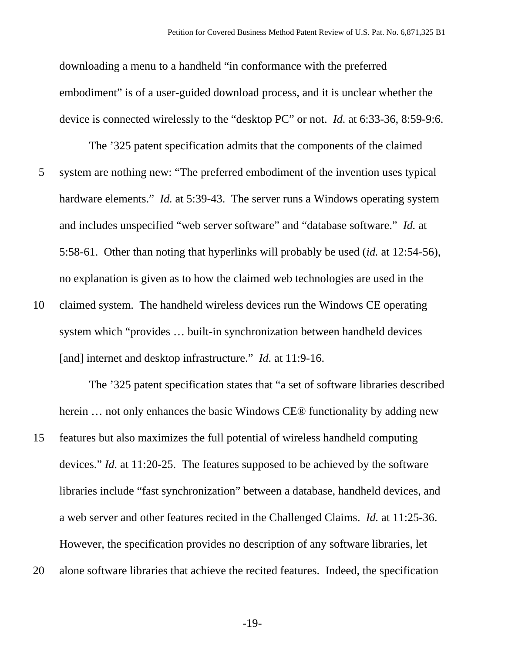downloading a menu to a handheld "in conformance with the preferred embodiment" is of a user-guided download process, and it is unclear whether the device is connected wirelessly to the "desktop PC" or not. *Id.* at 6:33-36, 8:59-9:6.

The '325 patent specification admits that the components of the claimed 5 system are nothing new: "The preferred embodiment of the invention uses typical hardware elements." *Id.* at 5:39-43. The server runs a Windows operating system and includes unspecified "web server software" and "database software." *Id.* at 5:58-61. Other than noting that hyperlinks will probably be used (*id.* at 12:54-56), no explanation is given as to how the claimed web technologies are used in the

10 claimed system. The handheld wireless devices run the Windows CE operating system which "provides … built-in synchronization between handheld devices [and] internet and desktop infrastructure." *Id.* at 11:9-16.

The '325 patent specification states that "a set of software libraries described herein ... not only enhances the basic Windows CE® functionality by adding new

- 15 features but also maximizes the full potential of wireless handheld computing devices." *Id.* at 11:20-25. The features supposed to be achieved by the software libraries include "fast synchronization" between a database, handheld devices, and a web server and other features recited in the Challenged Claims. *Id.* at 11:25-36. However, the specification provides no description of any software libraries, let
- 20 alone software libraries that achieve the recited features. Indeed, the specification

-19-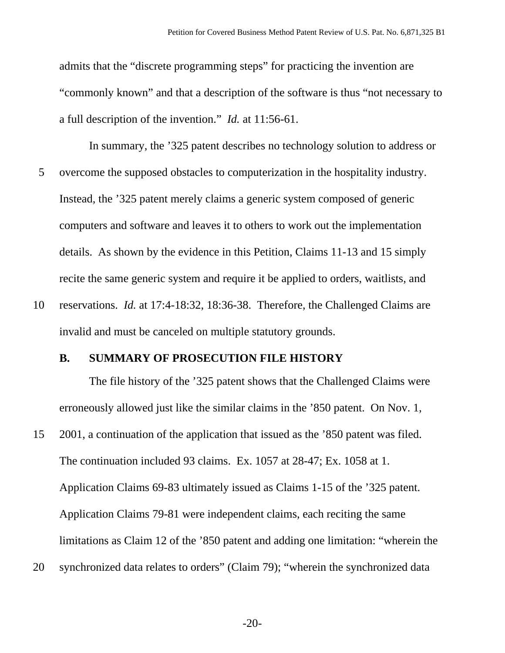admits that the "discrete programming steps" for practicing the invention are "commonly known" and that a description of the software is thus "not necessary to a full description of the invention." *Id.* at 11:56-61.

In summary, the '325 patent describes no technology solution to address or 5 overcome the supposed obstacles to computerization in the hospitality industry. Instead, the '325 patent merely claims a generic system composed of generic computers and software and leaves it to others to work out the implementation details. As shown by the evidence in this Petition, Claims 11-13 and 15 simply recite the same generic system and require it be applied to orders, waitlists, and

10 reservations. *Id.* at 17:4-18:32, 18:36-38. Therefore, the Challenged Claims are invalid and must be canceled on multiple statutory grounds.

#### **B. SUMMARY OF PROSECUTION FILE HISTORY**

The file history of the '325 patent shows that the Challenged Claims were erroneously allowed just like the similar claims in the '850 patent. On Nov. 1,

- 15 2001, a continuation of the application that issued as the '850 patent was filed. The continuation included 93 claims. Ex. 1057 at 28-47; Ex. 1058 at 1. Application Claims 69-83 ultimately issued as Claims 1-15 of the '325 patent. Application Claims 79-81 were independent claims, each reciting the same limitations as Claim 12 of the '850 patent and adding one limitation: "wherein the
- 20 synchronized data relates to orders" (Claim 79); "wherein the synchronized data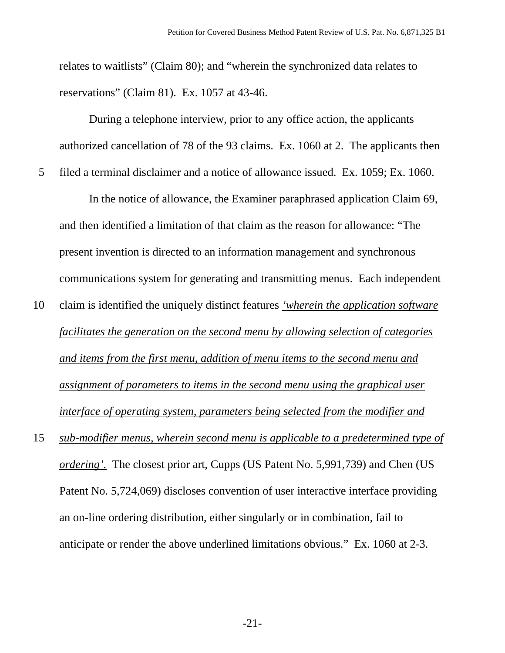relates to waitlists" (Claim 80); and "wherein the synchronized data relates to reservations" (Claim 81). Ex. 1057 at 43-46.

During a telephone interview, prior to any office action, the applicants authorized cancellation of 78 of the 93 claims. Ex. 1060 at 2. The applicants then 5 filed a terminal disclaimer and a notice of allowance issued. Ex. 1059; Ex. 1060.

In the notice of allowance, the Examiner paraphrased application Claim 69, and then identified a limitation of that claim as the reason for allowance: "The present invention is directed to an information management and synchronous communications system for generating and transmitting menus. Each independent

- 10 claim is identified the uniquely distinct features *'wherein the application software facilitates the generation on the second menu by allowing selection of categories and items from the first menu, addition of menu items to the second menu and assignment of parameters to items in the second menu using the graphical user interface of operating system, parameters being selected from the modifier and*
- 15 *sub-modifier menus, wherein second menu is applicable to a predetermined type of ordering'.* The closest prior art, Cupps (US Patent No. 5,991,739) and Chen (US Patent No. 5,724,069) discloses convention of user interactive interface providing an on-line ordering distribution, either singularly or in combination, fail to anticipate or render the above underlined limitations obvious." Ex. 1060 at 2-3.

-21-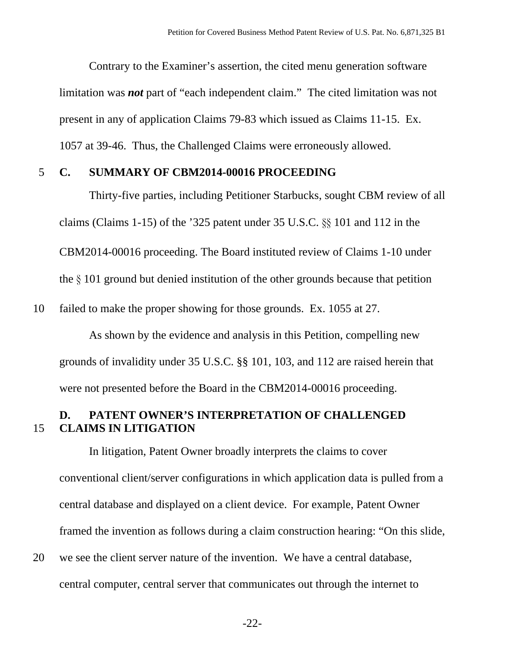Contrary to the Examiner's assertion, the cited menu generation software limitation was *not* part of "each independent claim." The cited limitation was not present in any of application Claims 79-83 which issued as Claims 11-15. Ex. 1057 at 39-46. Thus, the Challenged Claims were erroneously allowed.

### 5 **C. SUMMARY OF CBM2014-00016 PROCEEDING**

Thirty-five parties, including Petitioner Starbucks, sought CBM review of all claims (Claims 1-15) of the '325 patent under 35 U.S.C. §§ 101 and 112 in the CBM2014-00016 proceeding. The Board instituted review of Claims 1-10 under the § 101 ground but denied institution of the other grounds because that petition

10 failed to make the proper showing for those grounds. Ex. 1055 at 27.

As shown by the evidence and analysis in this Petition, compelling new grounds of invalidity under 35 U.S.C. §§ 101, 103, and 112 are raised herein that were not presented before the Board in the CBM2014-00016 proceeding.

# **D. PATENT OWNER'S INTERPRETATION OF CHALLENGED**  15 **CLAIMS IN LITIGATION**

In litigation, Patent Owner broadly interprets the claims to cover conventional client/server configurations in which application data is pulled from a central database and displayed on a client device. For example, Patent Owner framed the invention as follows during a claim construction hearing: "On this slide, 20 we see the client server nature of the invention. We have a central database,

central computer, central server that communicates out through the internet to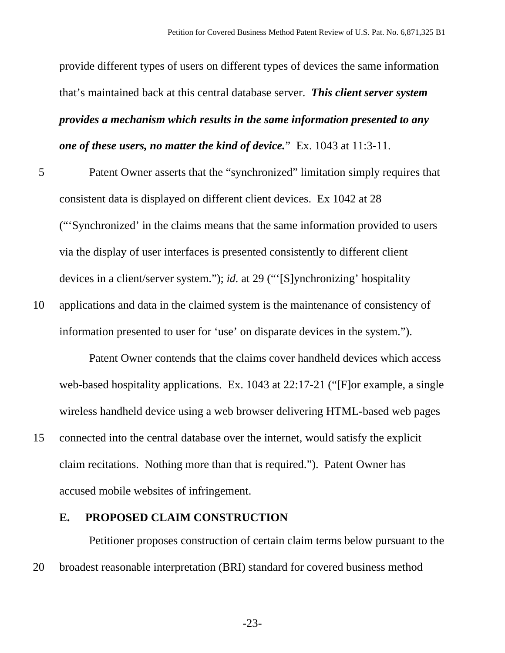provide different types of users on different types of devices the same information that's maintained back at this central database server. *This client server system provides a mechanism which results in the same information presented to any one of these users, no matter the kind of device.*" Ex. 1043 at 11:3-11.

- 5 Patent Owner asserts that the "synchronized" limitation simply requires that consistent data is displayed on different client devices. Ex 1042 at 28 ("'Synchronized' in the claims means that the same information provided to users via the display of user interfaces is presented consistently to different client devices in a client/server system."); *id.* at 29 ("'[S]ynchronizing' hospitality
- 10 applications and data in the claimed system is the maintenance of consistency of information presented to user for 'use' on disparate devices in the system.").

Patent Owner contends that the claims cover handheld devices which access web-based hospitality applications. Ex. 1043 at 22:17-21 ("[F]or example, a single wireless handheld device using a web browser delivering HTML-based web pages

15 connected into the central database over the internet, would satisfy the explicit claim recitations. Nothing more than that is required."). Patent Owner has accused mobile websites of infringement.

# **E. PROPOSED CLAIM CONSTRUCTION**

Petitioner proposes construction of certain claim terms below pursuant to the 20 broadest reasonable interpretation (BRI) standard for covered business method

-23-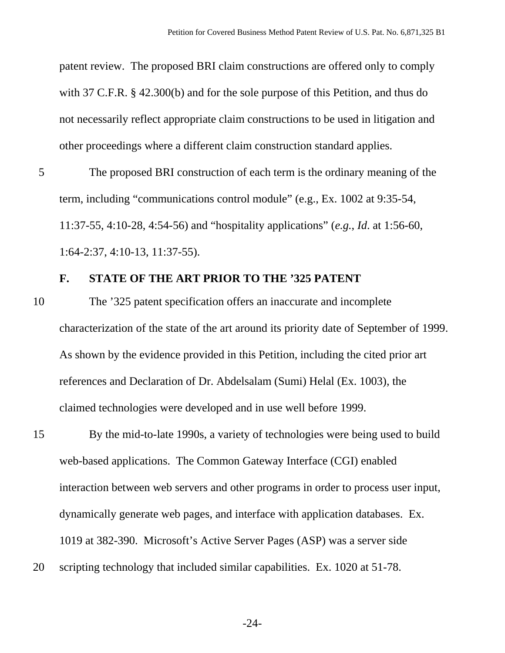patent review. The proposed BRI claim constructions are offered only to comply with 37 C.F.R. § 42.300(b) and for the sole purpose of this Petition, and thus do not necessarily reflect appropriate claim constructions to be used in litigation and other proceedings where a different claim construction standard applies.

5 The proposed BRI construction of each term is the ordinary meaning of the term, including "communications control module" (e.g., Ex. 1002 at 9:35-54, 11:37-55, 4:10-28, 4:54-56) and "hospitality applications" (*e.g.*, *Id*. at 1:56-60, 1:64-2:37, 4:10-13, 11:37-55).

### **F. STATE OF THE ART PRIOR TO THE '325 PATENT**

- 10 The '325 patent specification offers an inaccurate and incomplete characterization of the state of the art around its priority date of September of 1999. As shown by the evidence provided in this Petition, including the cited prior art references and Declaration of Dr. Abdelsalam (Sumi) Helal (Ex. 1003), the claimed technologies were developed and in use well before 1999.
- 15 By the mid-to-late 1990s, a variety of technologies were being used to build web-based applications. The Common Gateway Interface (CGI) enabled interaction between web servers and other programs in order to process user input, dynamically generate web pages, and interface with application databases. Ex. 1019 at 382-390. Microsoft's Active Server Pages (ASP) was a server side
- 20 scripting technology that included similar capabilities. Ex. 1020 at 51-78.

-24-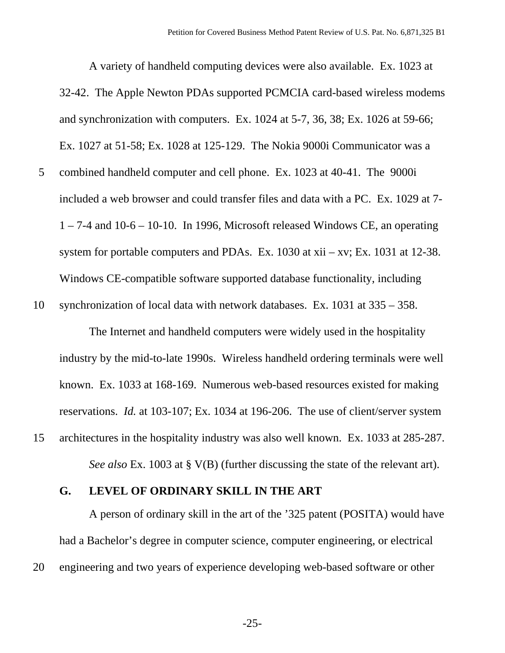A variety of handheld computing devices were also available. Ex. 1023 at 32-42. The Apple Newton PDAs supported PCMCIA card-based wireless modems and synchronization with computers. Ex. 1024 at 5-7, 36, 38; Ex. 1026 at 59-66; Ex. 1027 at 51-58; Ex. 1028 at 125-129. The Nokia 9000i Communicator was a 5 combined handheld computer and cell phone. Ex. 1023 at 40-41. The 9000i included a web browser and could transfer files and data with a PC. Ex. 1029 at 7-  $1 - 7-4$  and  $10-6 - 10-10$ . In 1996, Microsoft released Windows CE, an operating system for portable computers and PDAs. Ex. 1030 at xii – xv; Ex. 1031 at 12-38. Windows CE-compatible software supported database functionality, including

10 synchronization of local data with network databases. Ex. 1031 at 335 – 358.

The Internet and handheld computers were widely used in the hospitality industry by the mid-to-late 1990s. Wireless handheld ordering terminals were well known. Ex. 1033 at 168-169. Numerous web-based resources existed for making reservations. *Id.* at 103-107; Ex. 1034 at 196-206. The use of client/server system 15 architectures in the hospitality industry was also well known. Ex. 1033 at 285-287.

*See also* Ex. 1003 at § V(B) (further discussing the state of the relevant art).

#### **G. LEVEL OF ORDINARY SKILL IN THE ART**

A person of ordinary skill in the art of the '325 patent (POSITA) would have had a Bachelor's degree in computer science, computer engineering, or electrical 20 engineering and two years of experience developing web-based software or other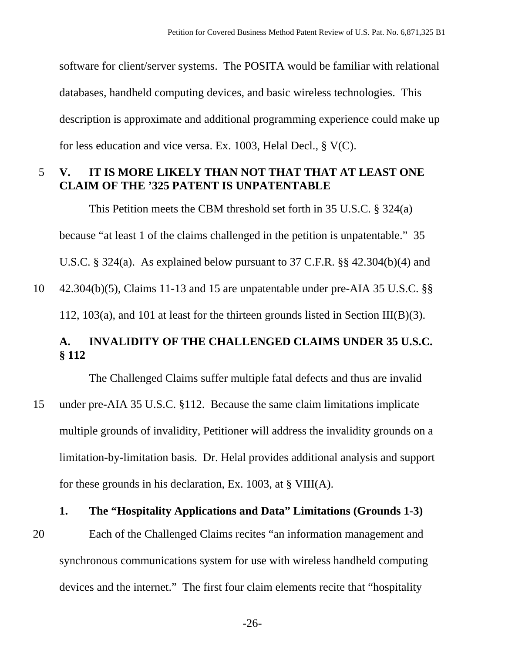software for client/server systems. The POSITA would be familiar with relational databases, handheld computing devices, and basic wireless technologies. This description is approximate and additional programming experience could make up for less education and vice versa. Ex. 1003, Helal Decl., § V(C).

# 5 **V. IT IS MORE LIKELY THAN NOT THAT THAT AT LEAST ONE CLAIM OF THE '325 PATENT IS UNPATENTABLE**

This Petition meets the CBM threshold set forth in 35 U.S.C. § 324(a) because "at least 1 of the claims challenged in the petition is unpatentable." 35 U.S.C. § 324(a). As explained below pursuant to 37 C.F.R. §§ 42.304(b)(4) and

10 42.304(b)(5), Claims 11-13 and 15 are unpatentable under pre-AIA 35 U.S.C. §§ 112, 103(a), and 101 at least for the thirteen grounds listed in Section III(B)(3).

# **A. INVALIDITY OF THE CHALLENGED CLAIMS UNDER 35 U.S.C. § 112**

The Challenged Claims suffer multiple fatal defects and thus are invalid

15 under pre-AIA 35 U.S.C. §112. Because the same claim limitations implicate multiple grounds of invalidity, Petitioner will address the invalidity grounds on a limitation-by-limitation basis. Dr. Helal provides additional analysis and support for these grounds in his declaration, Ex. 1003, at § VIII(A).

#### **1. The "Hospitality Applications and Data" Limitations (Grounds 1-3)**

20 Each of the Challenged Claims recites "an information management and synchronous communications system for use with wireless handheld computing devices and the internet." The first four claim elements recite that "hospitality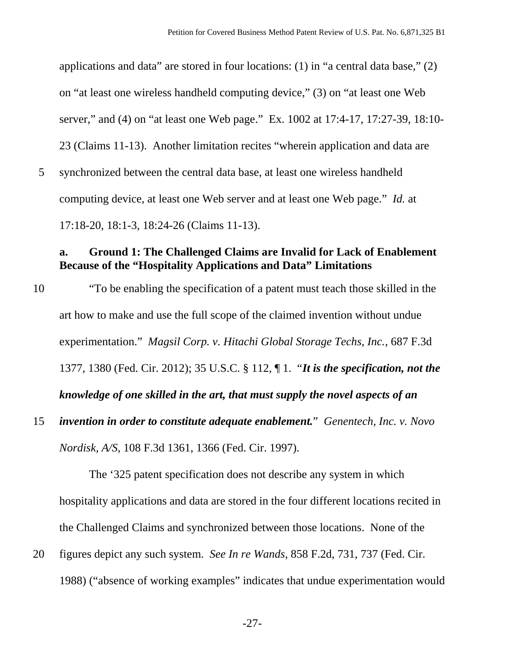applications and data" are stored in four locations: (1) in "a central data base," (2) on "at least one wireless handheld computing device," (3) on "at least one Web server," and (4) on "at least one Web page." Ex. 1002 at 17:4-17, 17:27-39, 18:10- 23 (Claims 11-13). Another limitation recites "wherein application and data are 5 synchronized between the central data base, at least one wireless handheld computing device, at least one Web server and at least one Web page." *Id.* at 17:18-20, 18:1-3, 18:24-26 (Claims 11-13).

# **a. Ground 1: The Challenged Claims are Invalid for Lack of Enablement Because of the "Hospitality Applications and Data" Limitations**

- 10 "To be enabling the specification of a patent must teach those skilled in the art how to make and use the full scope of the claimed invention without undue experimentation." *Magsil Corp. v. Hitachi Global Storage Techs, Inc.*, 687 F.3d 1377, 1380 (Fed. Cir. 2012); 35 U.S.C. § 112, ¶ 1. "*It is the specification, not the knowledge of one skilled in the art, that must supply the novel aspects of an*
- 15 *invention in order to constitute adequate enablement.*" *Genentech, Inc. v. Novo Nordisk, A/S*, 108 F.3d 1361, 1366 (Fed. Cir. 1997).

The '325 patent specification does not describe any system in which hospitality applications and data are stored in the four different locations recited in the Challenged Claims and synchronized between those locations. None of the

20 figures depict any such system. *See In re Wands*, 858 F.2d, 731, 737 (Fed. Cir. 1988) ("absence of working examples" indicates that undue experimentation would

-27-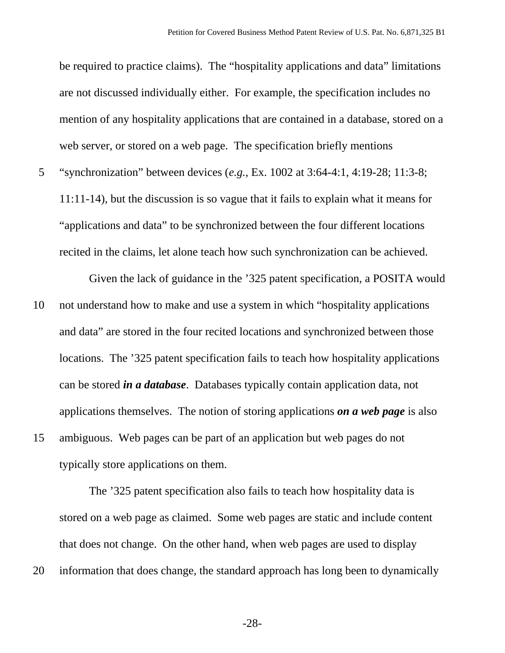be required to practice claims). The "hospitality applications and data" limitations are not discussed individually either. For example, the specification includes no mention of any hospitality applications that are contained in a database, stored on a web server, or stored on a web page. The specification briefly mentions

5 "synchronization" between devices (*e.g.*, Ex. 1002 at 3:64-4:1, 4:19-28; 11:3-8; 11:11-14), but the discussion is so vague that it fails to explain what it means for "applications and data" to be synchronized between the four different locations recited in the claims, let alone teach how such synchronization can be achieved.

Given the lack of guidance in the '325 patent specification, a POSITA would 10 not understand how to make and use a system in which "hospitality applications and data" are stored in the four recited locations and synchronized between those locations. The '325 patent specification fails to teach how hospitality applications can be stored *in a database*. Databases typically contain application data, not applications themselves. The notion of storing applications *on a web page* is also 15 ambiguous. Web pages can be part of an application but web pages do not

typically store applications on them.

The '325 patent specification also fails to teach how hospitality data is stored on a web page as claimed. Some web pages are static and include content that does not change. On the other hand, when web pages are used to display 20 information that does change, the standard approach has long been to dynamically

-28-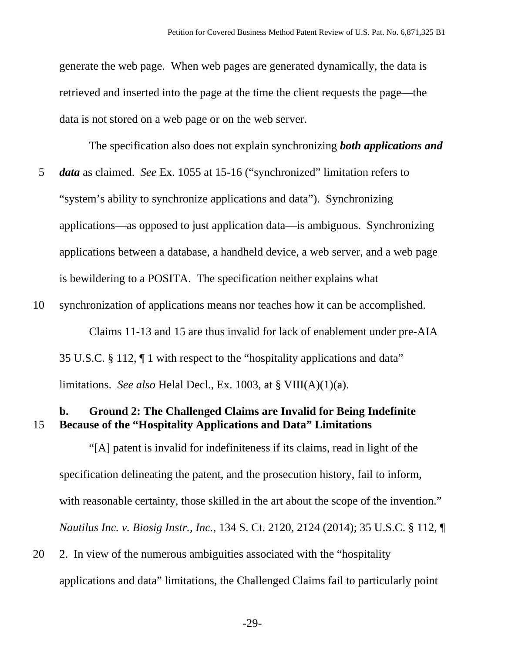generate the web page. When web pages are generated dynamically, the data is retrieved and inserted into the page at the time the client requests the page—the data is not stored on a web page or on the web server.

The specification also does not explain synchronizing *both applications and* 

- 5 *data* as claimed. *See* Ex. 1055 at 15-16 ("synchronized" limitation refers to "system's ability to synchronize applications and data"). Synchronizing applications—as opposed to just application data—is ambiguous. Synchronizing applications between a database, a handheld device, a web server, and a web page is bewildering to a POSITA. The specification neither explains what
- 10 synchronization of applications means nor teaches how it can be accomplished. Claims 11-13 and 15 are thus invalid for lack of enablement under pre-AIA 35 U.S.C. § 112, ¶ 1 with respect to the "hospitality applications and data" limitations. *See also* Helal Decl., Ex. 1003, at § VIII(A)(1)(a).

## **b. Ground 2: The Challenged Claims are Invalid for Being Indefinite**  15 **Because of the "Hospitality Applications and Data" Limitations**

"[A] patent is invalid for indefiniteness if its claims, read in light of the specification delineating the patent, and the prosecution history, fail to inform, with reasonable certainty, those skilled in the art about the scope of the invention." *Nautilus Inc. v. Biosig Instr., Inc.*, 134 S. Ct. 2120, 2124 (2014); 35 U.S.C. § 112, ¶

20 2. In view of the numerous ambiguities associated with the "hospitality applications and data" limitations, the Challenged Claims fail to particularly point

-29-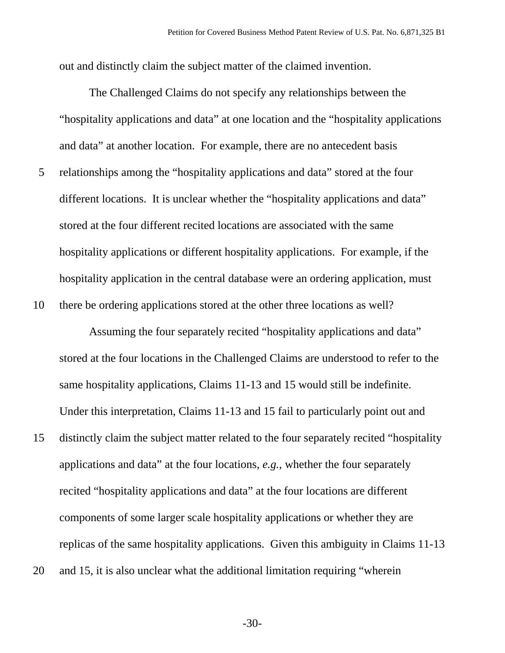out and distinctly claim the subject matter of the claimed invention.

The Challenged Claims do not specify any relationships between the "hospitality applications and data" at one location and the "hospitality applications and data" at another location. For example, there are no antecedent basis 5 relationships among the "hospitality applications and data" stored at the four different locations. It is unclear whether the "hospitality applications and data" stored at the four different recited locations are associated with the same hospitality applications or different hospitality applications. For example, if the hospitality application in the central database were an ordering application, must 10 there be ordering applications stored at the other three locations as well?

Assuming the four separately recited "hospitality applications and data" stored at the four locations in the Challenged Claims are understood to refer to the same hospitality applications, Claims 11-13 and 15 would still be indefinite. Under this interpretation, Claims 11-13 and 15 fail to particularly point out and

- 15 distinctly claim the subject matter related to the four separately recited "hospitality applications and data" at the four locations, *e.g.*, whether the four separately recited "hospitality applications and data" at the four locations are different components of some larger scale hospitality applications or whether they are replicas of the same hospitality applications. Given this ambiguity in Claims 11-13
- 20 and 15, it is also unclear what the additional limitation requiring "wherein

-30-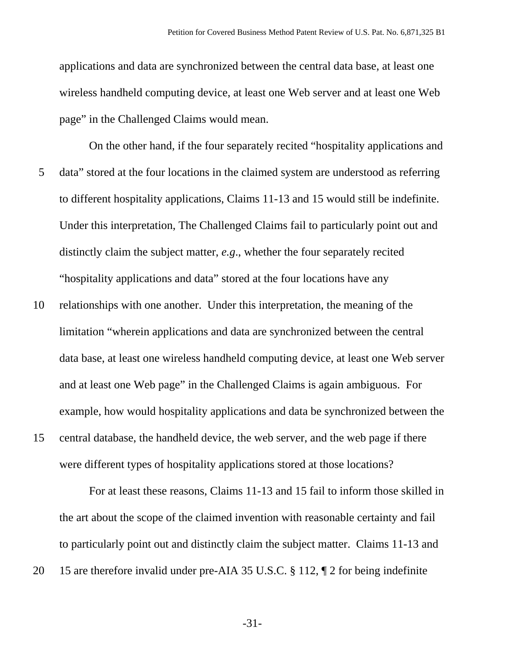applications and data are synchronized between the central data base, at least one wireless handheld computing device, at least one Web server and at least one Web page" in the Challenged Claims would mean.

- On the other hand, if the four separately recited "hospitality applications and 5 data" stored at the four locations in the claimed system are understood as referring to different hospitality applications, Claims 11-13 and 15 would still be indefinite. Under this interpretation, The Challenged Claims fail to particularly point out and distinctly claim the subject matter, *e.g*., whether the four separately recited "hospitality applications and data" stored at the four locations have any
- 10 relationships with one another. Under this interpretation, the meaning of the limitation "wherein applications and data are synchronized between the central data base, at least one wireless handheld computing device, at least one Web server and at least one Web page" in the Challenged Claims is again ambiguous. For example, how would hospitality applications and data be synchronized between the
- 15 central database, the handheld device, the web server, and the web page if there were different types of hospitality applications stored at those locations?

For at least these reasons, Claims 11-13 and 15 fail to inform those skilled in the art about the scope of the claimed invention with reasonable certainty and fail to particularly point out and distinctly claim the subject matter. Claims 11-13 and 20 15 are therefore invalid under pre-AIA 35 U.S.C. § 112, ¶ 2 for being indefinite

-31-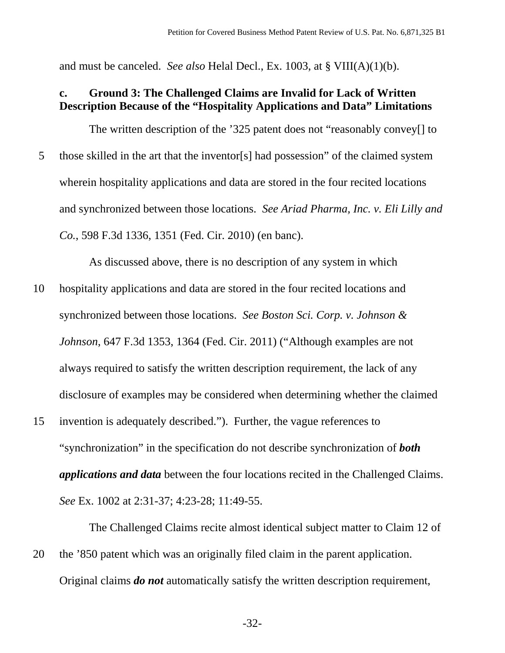and must be canceled. *See also* Helal Decl., Ex. 1003, at § VIII(A)(1)(b).

## **c. Ground 3: The Challenged Claims are Invalid for Lack of Written Description Because of the "Hospitality Applications and Data" Limitations**

The written description of the '325 patent does not "reasonably convey[] to 5 those skilled in the art that the inventor[s] had possession" of the claimed system wherein hospitality applications and data are stored in the four recited locations and synchronized between those locations. *See Ariad Pharma, Inc. v. Eli Lilly and Co.*, 598 F.3d 1336, 1351 (Fed. Cir. 2010) (en banc).

As discussed above, there is no description of any system in which

- 10 hospitality applications and data are stored in the four recited locations and synchronized between those locations. *See Boston Sci. Corp. v. Johnson & Johnson*, 647 F.3d 1353, 1364 (Fed. Cir. 2011) ("Although examples are not always required to satisfy the written description requirement, the lack of any disclosure of examples may be considered when determining whether the claimed
- 15 invention is adequately described."). Further, the vague references to "synchronization" in the specification do not describe synchronization of *both applications and data* between the four locations recited in the Challenged Claims. *See* Ex. 1002 at 2:31-37; 4:23-28; 11:49-55.

The Challenged Claims recite almost identical subject matter to Claim 12 of 20 the '850 patent which was an originally filed claim in the parent application. Original claims *do not* automatically satisfy the written description requirement,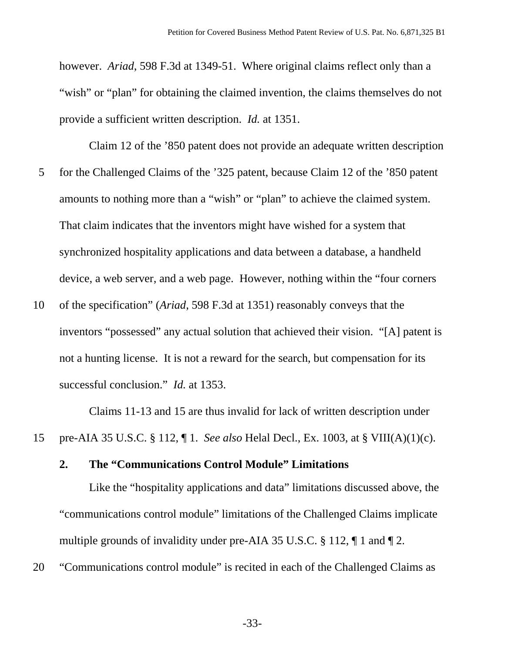however. *Ariad*, 598 F.3d at 1349-51. Where original claims reflect only than a "wish" or "plan" for obtaining the claimed invention, the claims themselves do not provide a sufficient written description. *Id.* at 1351.

Claim 12 of the '850 patent does not provide an adequate written description 5 for the Challenged Claims of the '325 patent, because Claim 12 of the '850 patent amounts to nothing more than a "wish" or "plan" to achieve the claimed system. That claim indicates that the inventors might have wished for a system that synchronized hospitality applications and data between a database, a handheld device, a web server, and a web page. However, nothing within the "four corners

10 of the specification" (*Ariad*, 598 F.3d at 1351) reasonably conveys that the inventors "possessed" any actual solution that achieved their vision. "[A] patent is not a hunting license. It is not a reward for the search, but compensation for its successful conclusion." *Id.* at 1353.

Claims 11-13 and 15 are thus invalid for lack of written description under 15 pre-AIA 35 U.S.C. § 112, ¶ 1. *See also* Helal Decl., Ex. 1003, at § VIII(A)(1)(c).

## **2. The "Communications Control Module" Limitations**

Like the "hospitality applications and data" limitations discussed above, the "communications control module" limitations of the Challenged Claims implicate multiple grounds of invalidity under pre-AIA 35 U.S.C. § 112, ¶ 1 and ¶ 2.

20 "Communications control module" is recited in each of the Challenged Claims as

-33-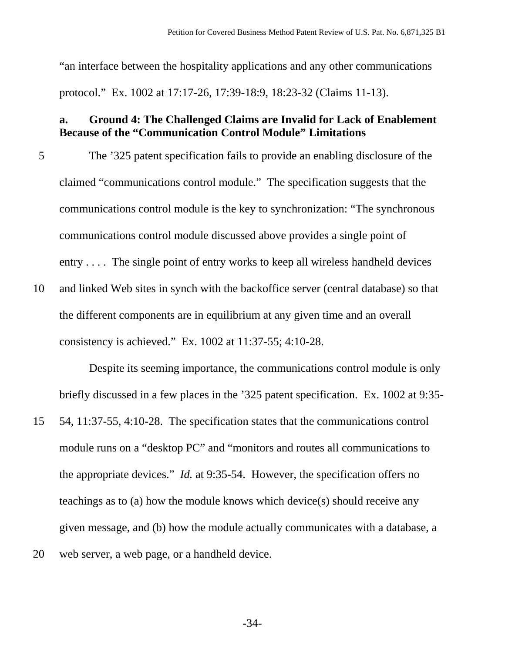"an interface between the hospitality applications and any other communications protocol." Ex. 1002 at 17:17-26, 17:39-18:9, 18:23-32 (Claims 11-13).

# **a. Ground 4: The Challenged Claims are Invalid for Lack of Enablement Because of the "Communication Control Module" Limitations**

- 5 The '325 patent specification fails to provide an enabling disclosure of the claimed "communications control module." The specification suggests that the communications control module is the key to synchronization: "The synchronous communications control module discussed above provides a single point of entry . . . . The single point of entry works to keep all wireless handheld devices
- 10 and linked Web sites in synch with the backoffice server (central database) so that the different components are in equilibrium at any given time and an overall consistency is achieved." Ex. 1002 at 11:37-55; 4:10-28.

Despite its seeming importance, the communications control module is only briefly discussed in a few places in the '325 patent specification. Ex. 1002 at 9:35-

15 54, 11:37-55, 4:10-28. The specification states that the communications control module runs on a "desktop PC" and "monitors and routes all communications to the appropriate devices." *Id.* at 9:35-54. However, the specification offers no teachings as to (a) how the module knows which device(s) should receive any given message, and (b) how the module actually communicates with a database, a 20 web server, a web page, or a handheld device.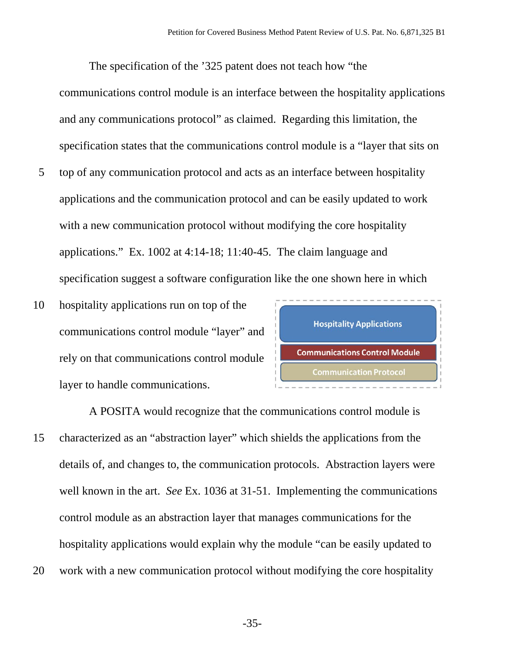The specification of the '325 patent does not teach how "the communications control module is an interface between the hospitality applications and any communications protocol" as claimed. Regarding this limitation, the specification states that the communications control module is a "layer that sits on

- 5 top of any communication protocol and acts as an interface between hospitality applications and the communication protocol and can be easily updated to work with a new communication protocol without modifying the core hospitality applications." Ex. 1002 at 4:14-18; 11:40-45. The claim language and specification suggest a software configuration like the one shown here in which
- 10 hospitality applications run on top of the communications control module "layer" and rely on that communications control module layer to handle communications.



 A POSITA would recognize that the communications control module is 15 characterized as an "abstraction layer" which shields the applications from the details of, and changes to, the communication protocols. Abstraction layers were well known in the art. *See* Ex. 1036 at 31-51. Implementing the communications control module as an abstraction layer that manages communications for the hospitality applications would explain why the module "can be easily updated to 20 work with a new communication protocol without modifying the core hospitality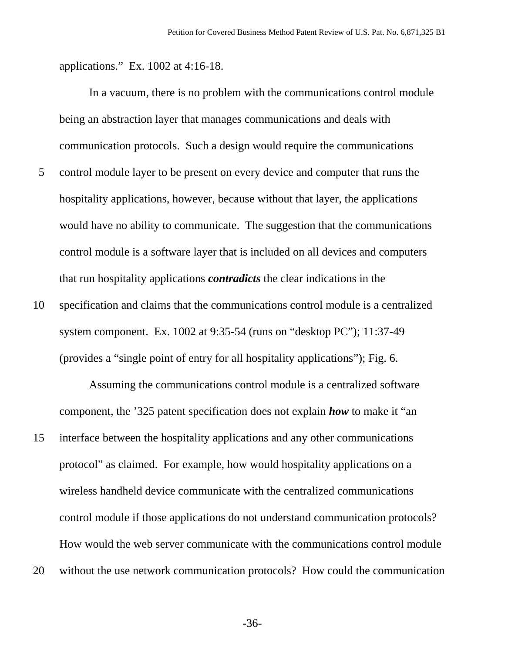applications." Ex. 1002 at 4:16-18.

In a vacuum, there is no problem with the communications control module being an abstraction layer that manages communications and deals with communication protocols. Such a design would require the communications 5 control module layer to be present on every device and computer that runs the hospitality applications, however, because without that layer, the applications would have no ability to communicate. The suggestion that the communications control module is a software layer that is included on all devices and computers that run hospitality applications *contradicts* the clear indications in the

10 specification and claims that the communications control module is a centralized system component. Ex. 1002 at 9:35-54 (runs on "desktop PC"); 11:37-49 (provides a "single point of entry for all hospitality applications"); Fig. 6.

Assuming the communications control module is a centralized software component, the '325 patent specification does not explain *how* to make it "an

- 15 interface between the hospitality applications and any other communications protocol" as claimed. For example, how would hospitality applications on a wireless handheld device communicate with the centralized communications control module if those applications do not understand communication protocols? How would the web server communicate with the communications control module
- 20 without the use network communication protocols? How could the communication

-36-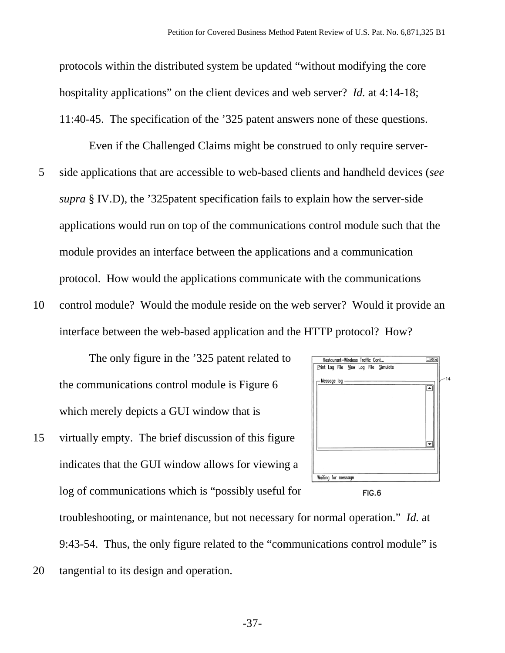protocols within the distributed system be updated "without modifying the core hospitality applications" on the client devices and web server? *Id.* at 4:14-18; 11:40-45. The specification of the '325 patent answers none of these questions.

Even if the Challenged Claims might be construed to only require server-5 side applications that are accessible to web-based clients and handheld devices (*see supra* § IV.D), the '325patent specification fails to explain how the server-side applications would run on top of the communications control module such that the module provides an interface between the applications and a communication protocol. How would the applications communicate with the communications

10 control module? Would the module reside on the web server? Would it provide an interface between the web-based application and the HTTP protocol? How?

The only figure in the '325 patent related to the communications control module is Figure 6 which merely depicts a GUI window that is

15 virtually empty. The brief discussion of this figure indicates that the GUI window allows for viewing a log of communications which is "possibly useful for



troubleshooting, or maintenance, but not necessary for normal operation." *Id.* at 9:43-54. Thus, the only figure related to the "communications control module" is 20 tangential to its design and operation.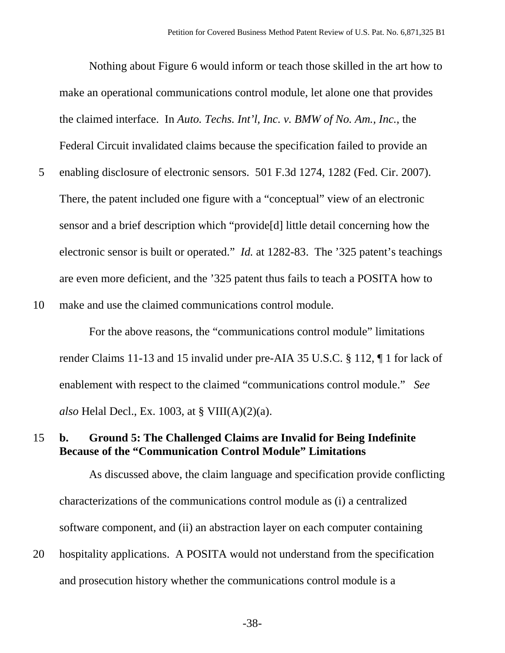Nothing about Figure 6 would inform or teach those skilled in the art how to make an operational communications control module, let alone one that provides the claimed interface. In *Auto. Techs. Int'l, Inc. v. BMW of No. Am., Inc.*, the Federal Circuit invalidated claims because the specification failed to provide an 5 enabling disclosure of electronic sensors. 501 F.3d 1274, 1282 (Fed. Cir. 2007). There, the patent included one figure with a "conceptual" view of an electronic sensor and a brief description which "provide[d] little detail concerning how the electronic sensor is built or operated." *Id.* at 1282-83. The '325 patent's teachings are even more deficient, and the '325 patent thus fails to teach a POSITA how to

10 make and use the claimed communications control module.

For the above reasons, the "communications control module" limitations render Claims 11-13 and 15 invalid under pre-AIA 35 U.S.C. § 112, ¶ 1 for lack of enablement with respect to the claimed "communications control module." *See also* Helal Decl., Ex. 1003, at § VIII(A)(2)(a).

#### 15 **b. Ground 5: The Challenged Claims are Invalid for Being Indefinite Because of the "Communication Control Module" Limitations**

As discussed above, the claim language and specification provide conflicting characterizations of the communications control module as (i) a centralized software component, and (ii) an abstraction layer on each computer containing

20 hospitality applications. A POSITA would not understand from the specification and prosecution history whether the communications control module is a

-38-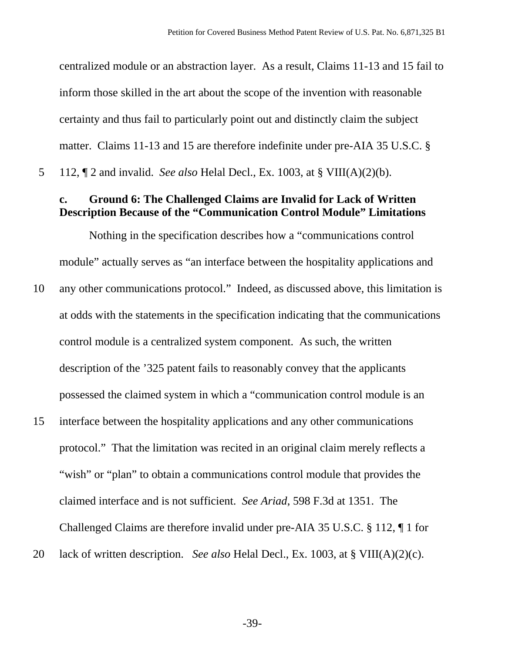centralized module or an abstraction layer. As a result, Claims 11-13 and 15 fail to inform those skilled in the art about the scope of the invention with reasonable certainty and thus fail to particularly point out and distinctly claim the subject matter. Claims 11-13 and 15 are therefore indefinite under pre-AIA 35 U.S.C. § 5 112, ¶ 2 and invalid. *See also* Helal Decl., Ex. 1003, at § VIII(A)(2)(b).

#### **c. Ground 6: The Challenged Claims are Invalid for Lack of Written Description Because of the "Communication Control Module" Limitations**

Nothing in the specification describes how a "communications control module" actually serves as "an interface between the hospitality applications and

- 10 any other communications protocol." Indeed, as discussed above, this limitation is at odds with the statements in the specification indicating that the communications control module is a centralized system component. As such, the written description of the '325 patent fails to reasonably convey that the applicants possessed the claimed system in which a "communication control module is an
- 15 interface between the hospitality applications and any other communications protocol." That the limitation was recited in an original claim merely reflects a "wish" or "plan" to obtain a communications control module that provides the claimed interface and is not sufficient. *See Ariad*, 598 F.3d at 1351. The Challenged Claims are therefore invalid under pre-AIA 35 U.S.C. § 112, ¶ 1 for
- 20 lack of written description. *See also* Helal Decl., Ex. 1003, at § VIII(A)(2)(c).

-39-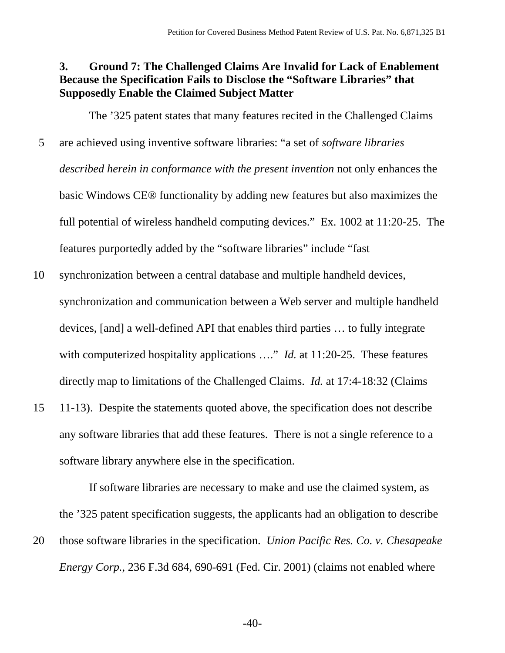#### **3. Ground 7: The Challenged Claims Are Invalid for Lack of Enablement Because the Specification Fails to Disclose the "Software Libraries" that Supposedly Enable the Claimed Subject Matter**

The '325 patent states that many features recited in the Challenged Claims 5 are achieved using inventive software libraries: "a set of *software libraries described herein in conformance with the present invention* not only enhances the basic Windows CE® functionality by adding new features but also maximizes the full potential of wireless handheld computing devices." Ex. 1002 at 11:20-25. The features purportedly added by the "software libraries" include "fast

10 synchronization between a central database and multiple handheld devices, synchronization and communication between a Web server and multiple handheld devices, [and] a well-defined API that enables third parties … to fully integrate with computerized hospitality applications ...." *Id.* at 11:20-25. These features directly map to limitations of the Challenged Claims. *Id.* at 17:4-18:32 (Claims

15 11-13). Despite the statements quoted above, the specification does not describe any software libraries that add these features. There is not a single reference to a software library anywhere else in the specification.

If software libraries are necessary to make and use the claimed system, as the '325 patent specification suggests, the applicants had an obligation to describe 20 those software libraries in the specification. *Union Pacific Res. Co. v. Chesapeake Energy Corp.*, 236 F.3d 684, 690-691 (Fed. Cir. 2001) (claims not enabled where

 $-40-$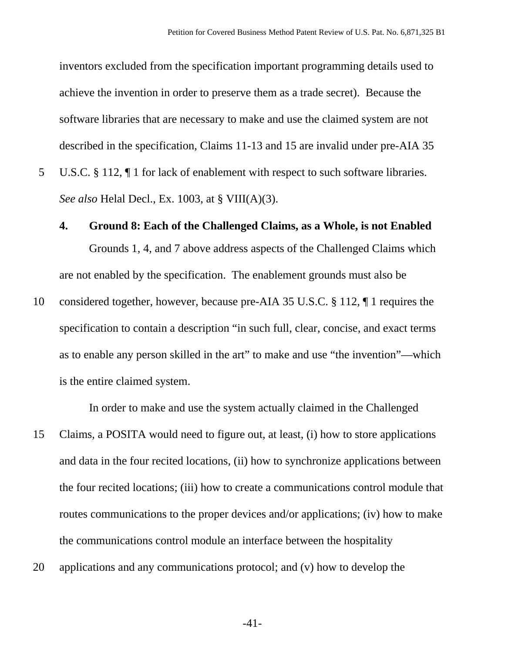inventors excluded from the specification important programming details used to achieve the invention in order to preserve them as a trade secret). Because the software libraries that are necessary to make and use the claimed system are not described in the specification, Claims 11-13 and 15 are invalid under pre-AIA 35

5 U.S.C. § 112, ¶ 1 for lack of enablement with respect to such software libraries. *See also* Helal Decl., Ex. 1003, at § VIII(A)(3).

#### **4. Ground 8: Each of the Challenged Claims, as a Whole, is not Enabled**

Grounds 1, 4, and 7 above address aspects of the Challenged Claims which are not enabled by the specification. The enablement grounds must also be

10 considered together, however, because pre-AIA 35 U.S.C. § 112, ¶ 1 requires the specification to contain a description "in such full, clear, concise, and exact terms as to enable any person skilled in the art" to make and use "the invention"—which is the entire claimed system.

In order to make and use the system actually claimed in the Challenged

- 15 Claims, a POSITA would need to figure out, at least, (i) how to store applications and data in the four recited locations, (ii) how to synchronize applications between the four recited locations; (iii) how to create a communications control module that routes communications to the proper devices and/or applications; (iv) how to make the communications control module an interface between the hospitality
- 20 applications and any communications protocol; and (v) how to develop the

-41-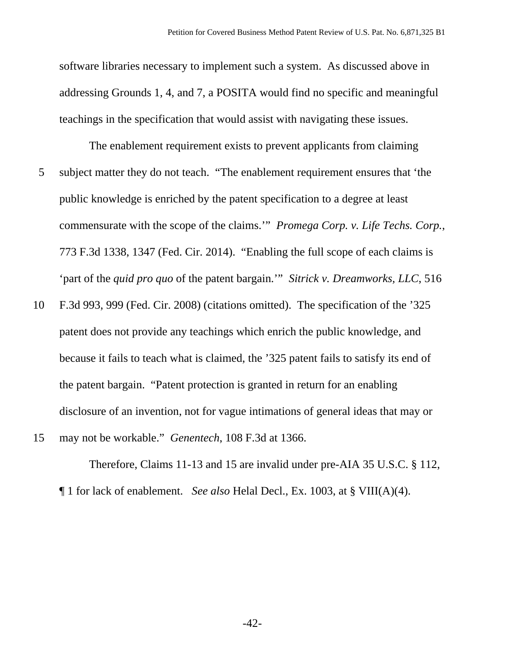software libraries necessary to implement such a system. As discussed above in addressing Grounds 1, 4, and 7, a POSITA would find no specific and meaningful teachings in the specification that would assist with navigating these issues.

The enablement requirement exists to prevent applicants from claiming 5 subject matter they do not teach. "The enablement requirement ensures that 'the public knowledge is enriched by the patent specification to a degree at least commensurate with the scope of the claims.'" *Promega Corp. v. Life Techs. Corp.*, 773 F.3d 1338, 1347 (Fed. Cir. 2014). "Enabling the full scope of each claims is 'part of the *quid pro quo* of the patent bargain.'" *Sitrick v. Dreamworks, LLC*, 516

10 F.3d 993, 999 (Fed. Cir. 2008) (citations omitted). The specification of the '325 patent does not provide any teachings which enrich the public knowledge, and because it fails to teach what is claimed, the '325 patent fails to satisfy its end of the patent bargain. "Patent protection is granted in return for an enabling disclosure of an invention, not for vague intimations of general ideas that may or

15 may not be workable." *Genentech*, 108 F.3d at 1366.

Therefore, Claims 11-13 and 15 are invalid under pre-AIA 35 U.S.C. § 112, ¶ 1 for lack of enablement. *See also* Helal Decl., Ex. 1003, at § VIII(A)(4).

 $-42-$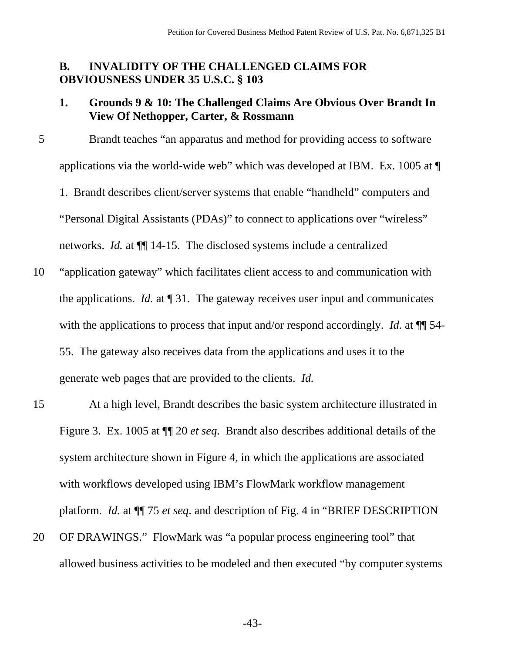#### **B. INVALIDITY OF THE CHALLENGED CLAIMS FOR OBVIOUSNESS UNDER 35 U.S.C. § 103**

#### **1. Grounds 9 & 10: The Challenged Claims Are Obvious Over Brandt In View Of Nethopper, Carter, & Rossmann**

- 5 Brandt teaches "an apparatus and method for providing access to software applications via the world-wide web" which was developed at IBM. Ex. 1005 at ¶ 1. Brandt describes client/server systems that enable "handheld" computers and "Personal Digital Assistants (PDAs)" to connect to applications over "wireless" networks. *Id.* at ¶¶ 14-15. The disclosed systems include a centralized
- 10 "application gateway" which facilitates client access to and communication with the applications. *Id.* at ¶ 31. The gateway receives user input and communicates with the applications to process that input and/or respond accordingly. *Id.* at  $\P$  54-55. The gateway also receives data from the applications and uses it to the generate web pages that are provided to the clients. *Id.*
- 15 At a high level, Brandt describes the basic system architecture illustrated in Figure 3. Ex. 1005 at ¶¶ 20 *et seq*. Brandt also describes additional details of the system architecture shown in Figure 4, in which the applications are associated with workflows developed using IBM's FlowMark workflow management platform. *Id.* at ¶¶ 75 *et seq*. and description of Fig. 4 in "BRIEF DESCRIPTION
- 20 OF DRAWINGS." FlowMark was "a popular process engineering tool" that allowed business activities to be modeled and then executed "by computer systems

-43-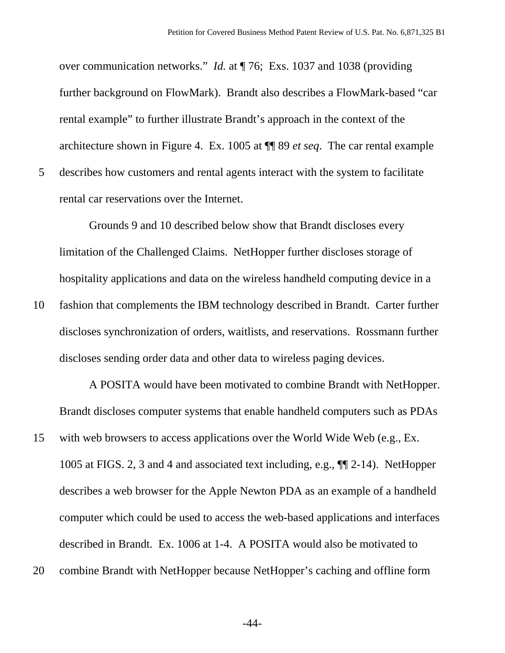over communication networks." *Id.* at ¶ 76; Exs. 1037 and 1038 (providing further background on FlowMark). Brandt also describes a FlowMark-based "car rental example" to further illustrate Brandt's approach in the context of the architecture shown in Figure 4. Ex. 1005 at ¶¶ 89 *et seq*. The car rental example 5 describes how customers and rental agents interact with the system to facilitate rental car reservations over the Internet.

Grounds 9 and 10 described below show that Brandt discloses every limitation of the Challenged Claims. NetHopper further discloses storage of hospitality applications and data on the wireless handheld computing device in a

10 fashion that complements the IBM technology described in Brandt. Carter further discloses synchronization of orders, waitlists, and reservations. Rossmann further discloses sending order data and other data to wireless paging devices.

A POSITA would have been motivated to combine Brandt with NetHopper. Brandt discloses computer systems that enable handheld computers such as PDAs

- 15 with web browsers to access applications over the World Wide Web (e.g., Ex. 1005 at FIGS. 2, 3 and 4 and associated text including, e.g., ¶¶ 2-14). NetHopper describes a web browser for the Apple Newton PDA as an example of a handheld computer which could be used to access the web-based applications and interfaces described in Brandt. Ex. 1006 at 1-4. A POSITA would also be motivated to
- 20 combine Brandt with NetHopper because NetHopper's caching and offline form

-44-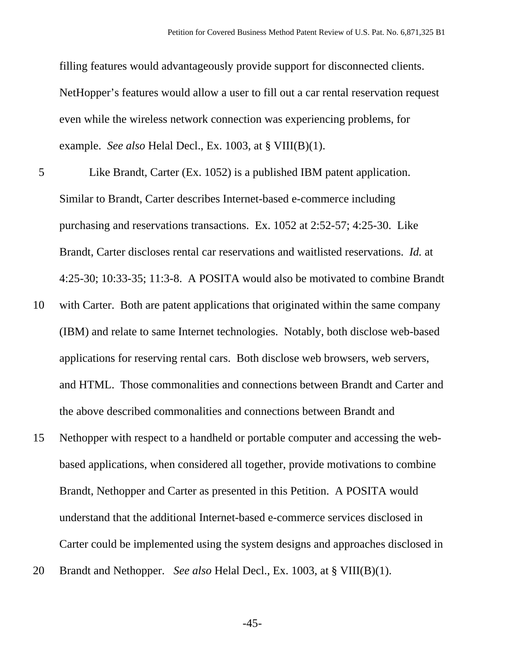filling features would advantageously provide support for disconnected clients. NetHopper's features would allow a user to fill out a car rental reservation request even while the wireless network connection was experiencing problems, for example. *See also* Helal Decl., Ex. 1003, at § VIII(B)(1).

- 5 Like Brandt, Carter (Ex. 1052) is a published IBM patent application. Similar to Brandt, Carter describes Internet-based e-commerce including purchasing and reservations transactions. Ex. 1052 at 2:52-57; 4:25-30. Like Brandt, Carter discloses rental car reservations and waitlisted reservations. *Id.* at 4:25-30; 10:33-35; 11:3-8. A POSITA would also be motivated to combine Brandt
- 10 with Carter. Both are patent applications that originated within the same company (IBM) and relate to same Internet technologies. Notably, both disclose web-based applications for reserving rental cars. Both disclose web browsers, web servers, and HTML. Those commonalities and connections between Brandt and Carter and the above described commonalities and connections between Brandt and
- 15 Nethopper with respect to a handheld or portable computer and accessing the webbased applications, when considered all together, provide motivations to combine Brandt, Nethopper and Carter as presented in this Petition. A POSITA would understand that the additional Internet-based e-commerce services disclosed in Carter could be implemented using the system designs and approaches disclosed in
- 20 Brandt and Nethopper. *See also* Helal Decl., Ex. 1003, at § VIII(B)(1).

-45-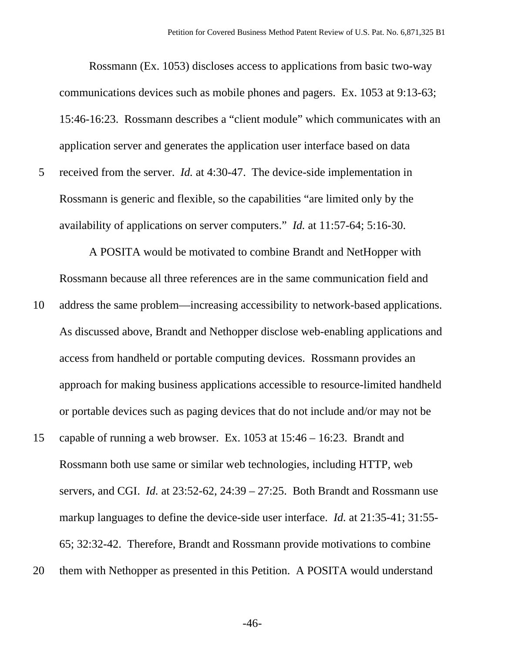Rossmann (Ex. 1053) discloses access to applications from basic two-way communications devices such as mobile phones and pagers. Ex. 1053 at 9:13-63; 15:46-16:23. Rossmann describes a "client module" which communicates with an application server and generates the application user interface based on data 5 received from the server. *Id.* at 4:30-47. The device-side implementation in Rossmann is generic and flexible, so the capabilities "are limited only by the availability of applications on server computers." *Id.* at 11:57-64; 5:16-30.

A POSITA would be motivated to combine Brandt and NetHopper with Rossmann because all three references are in the same communication field and

- 10 address the same problem—increasing accessibility to network-based applications. As discussed above, Brandt and Nethopper disclose web-enabling applications and access from handheld or portable computing devices. Rossmann provides an approach for making business applications accessible to resource-limited handheld or portable devices such as paging devices that do not include and/or may not be
- 15 capable of running a web browser. Ex. 1053 at 15:46 16:23. Brandt and Rossmann both use same or similar web technologies, including HTTP, web servers, and CGI. *Id.* at 23:52-62, 24:39 – 27:25. Both Brandt and Rossmann use markup languages to define the device-side user interface. *Id.* at 21:35-41; 31:55- 65; 32:32-42. Therefore, Brandt and Rossmann provide motivations to combine
- 20 them with Nethopper as presented in this Petition. A POSITA would understand

-46-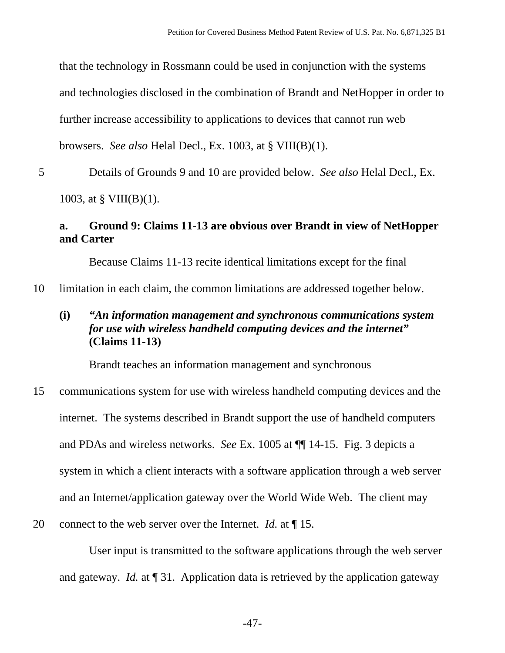that the technology in Rossmann could be used in conjunction with the systems and technologies disclosed in the combination of Brandt and NetHopper in order to further increase accessibility to applications to devices that cannot run web browsers. *See also* Helal Decl., Ex. 1003, at § VIII(B)(1).

5 Details of Grounds 9 and 10 are provided below. *See also* Helal Decl., Ex.

1003, at  $\S$  VIII(B)(1).

## **a. Ground 9: Claims 11-13 are obvious over Brandt in view of NetHopper and Carter**

Because Claims 11-13 recite identical limitations except for the final

10 limitation in each claim, the common limitations are addressed together below.

# **(i)** *"An information management and synchronous communications system for use with wireless handheld computing devices and the internet"*  **(Claims 11-13)**

Brandt teaches an information management and synchronous

- 15 communications system for use with wireless handheld computing devices and the internet. The systems described in Brandt support the use of handheld computers and PDAs and wireless networks. *See* Ex. 1005 at ¶¶ 14-15. Fig. 3 depicts a system in which a client interacts with a software application through a web server and an Internet/application gateway over the World Wide Web. The client may
- 20 connect to the web server over the Internet. *Id.* at ¶ 15.

User input is transmitted to the software applications through the web server and gateway. *Id.* at ¶ 31. Application data is retrieved by the application gateway

-47-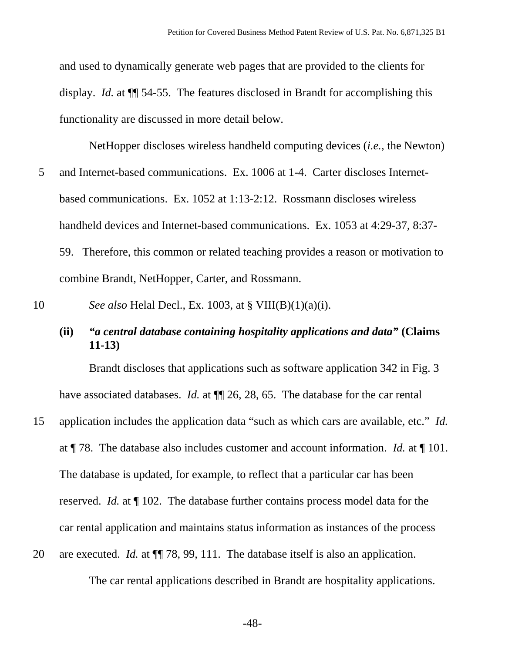and used to dynamically generate web pages that are provided to the clients for display. *Id.* at ¶¶ 54-55. The features disclosed in Brandt for accomplishing this functionality are discussed in more detail below.

NetHopper discloses wireless handheld computing devices (*i.e.*, the Newton) 5 and Internet-based communications. Ex. 1006 at 1-4. Carter discloses Internetbased communications. Ex. 1052 at 1:13-2:12. Rossmann discloses wireless handheld devices and Internet-based communications. Ex. 1053 at 4:29-37, 8:37- 59. Therefore, this common or related teaching provides a reason or motivation to combine Brandt, NetHopper, Carter, and Rossmann.

10 *See also* Helal Decl., Ex. 1003, at § VIII(B)(1)(a)(i).

#### **(ii)** *"a central database containing hospitality applications and data"* **(Claims 11-13)**

Brandt discloses that applications such as software application 342 in Fig. 3 have associated databases. *Id.* at **[1]** 26, 28, 65. The database for the car rental

15 application includes the application data "such as which cars are available, etc." *Id.*  at ¶ 78. The database also includes customer and account information. *Id.* at ¶ 101. The database is updated, for example, to reflect that a particular car has been reserved. *Id.* at ¶ 102. The database further contains process model data for the car rental application and maintains status information as instances of the process 20 are executed. *Id.* at ¶¶ 78, 99, 111. The database itself is also an application.

The car rental applications described in Brandt are hospitality applications.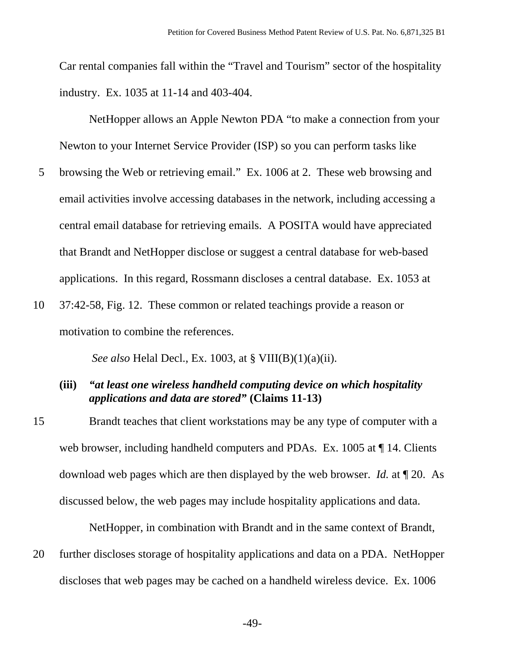Car rental companies fall within the "Travel and Tourism" sector of the hospitality industry. Ex. 1035 at 11-14 and 403-404.

NetHopper allows an Apple Newton PDA "to make a connection from your Newton to your Internet Service Provider (ISP) so you can perform tasks like

- 5 browsing the Web or retrieving email." Ex. 1006 at 2. These web browsing and email activities involve accessing databases in the network, including accessing a central email database for retrieving emails. A POSITA would have appreciated that Brandt and NetHopper disclose or suggest a central database for web-based applications. In this regard, Rossmann discloses a central database. Ex. 1053 at
- 10 37:42-58, Fig. 12. These common or related teachings provide a reason or motivation to combine the references.

*See also* Helal Decl., Ex. 1003, at § VIII(B)(1)(a)(ii).

#### **(iii)** *"at least one wireless handheld computing device on which hospitality applications and data are stored"* **(Claims 11-13)**

15 Brandt teaches that client workstations may be any type of computer with a web browser, including handheld computers and PDAs. Ex. 1005 at  $\P$  14. Clients download web pages which are then displayed by the web browser. *Id.* at ¶ 20. As discussed below, the web pages may include hospitality applications and data.

NetHopper, in combination with Brandt and in the same context of Brandt,

20 further discloses storage of hospitality applications and data on a PDA. NetHopper discloses that web pages may be cached on a handheld wireless device. Ex. 1006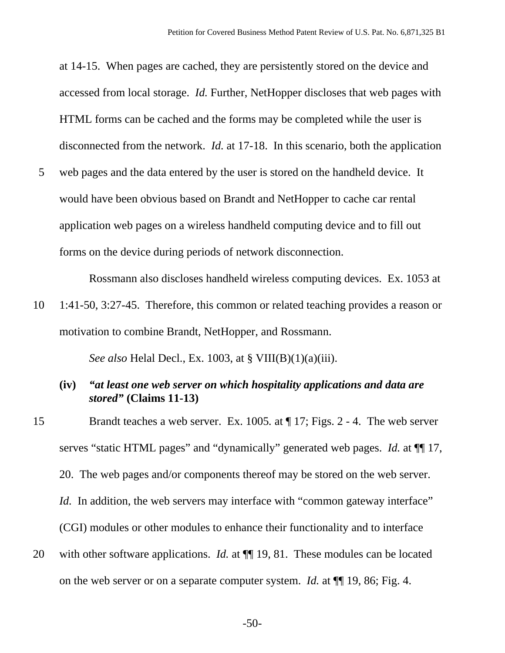at 14-15. When pages are cached, they are persistently stored on the device and accessed from local storage. *Id.* Further, NetHopper discloses that web pages with HTML forms can be cached and the forms may be completed while the user is disconnected from the network. *Id.* at 17-18. In this scenario, both the application 5 web pages and the data entered by the user is stored on the handheld device. It would have been obvious based on Brandt and NetHopper to cache car rental

application web pages on a wireless handheld computing device and to fill out forms on the device during periods of network disconnection.

Rossmann also discloses handheld wireless computing devices. Ex. 1053 at

10 1:41-50, 3:27-45. Therefore, this common or related teaching provides a reason or motivation to combine Brandt, NetHopper, and Rossmann.

*See also* Helal Decl., Ex. 1003, at § VIII(B)(1)(a)(iii).

- **(iv)** *"at least one web server on which hospitality applications and data are stored"* **(Claims 11-13)**
- 15 Brandt teaches a web server. Ex. 1005*.* at ¶ 17; Figs. 2 4. The web server serves "static HTML pages" and "dynamically" generated web pages. *Id.* at ¶¶ 17, 20. The web pages and/or components thereof may be stored on the web server. *Id.* In addition, the web servers may interface with "common gateway interface" (CGI) modules or other modules to enhance their functionality and to interface 20 with other software applications. *Id.* at  $\P$  19, 81. These modules can be located on the web server or on a separate computer system. *Id.* at ¶¶ 19, 86; Fig. 4.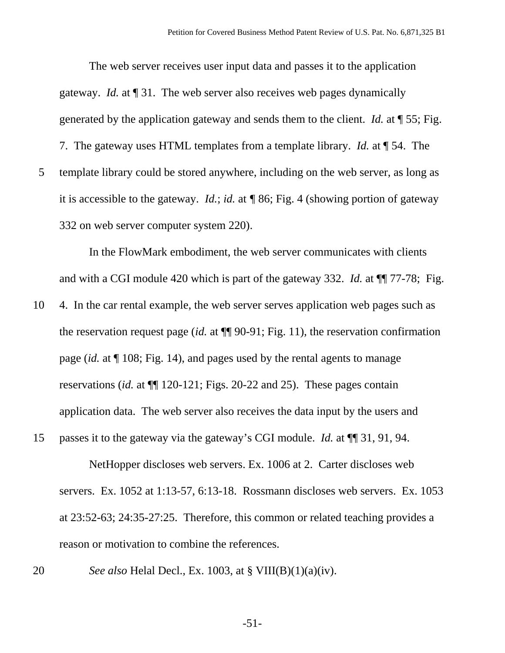The web server receives user input data and passes it to the application gateway. *Id.* at ¶ 31. The web server also receives web pages dynamically generated by the application gateway and sends them to the client. *Id.* at ¶ 55; Fig. 7. The gateway uses HTML templates from a template library. *Id.* at ¶ 54. The 5 template library could be stored anywhere, including on the web server, as long as it is accessible to the gateway. *Id.*; *id.* at *¶* 86; Fig. 4 (showing portion of gateway 332 on web server computer system 220).

In the FlowMark embodiment, the web server communicates with clients and with a CGI module 420 which is part of the gateway 332. *Id.* at  $\P$  77-78; Fig.

- 10 4. In the car rental example, the web server serves application web pages such as the reservation request page (*id.* at ¶¶ 90-91; Fig. 11), the reservation confirmation page (*id.* at ¶ 108; Fig. 14), and pages used by the rental agents to manage reservations (*id.* at ¶¶ 120-121; Figs. 20-22 and 25). These pages contain application data. The web server also receives the data input by the users and
- 15 passes it to the gateway via the gateway's CGI module. *Id.* at ¶¶ 31, 91, 94.

NetHopper discloses web servers. Ex. 1006 at 2. Carter discloses web servers. Ex. 1052 at 1:13-57, 6:13-18. Rossmann discloses web servers. Ex. 1053 at 23:52-63; 24:35-27:25. Therefore, this common or related teaching provides a reason or motivation to combine the references.

- 
- 20 *See also* Helal Decl., Ex. 1003, at § VIII(B)(1)(a)(iv).

-51-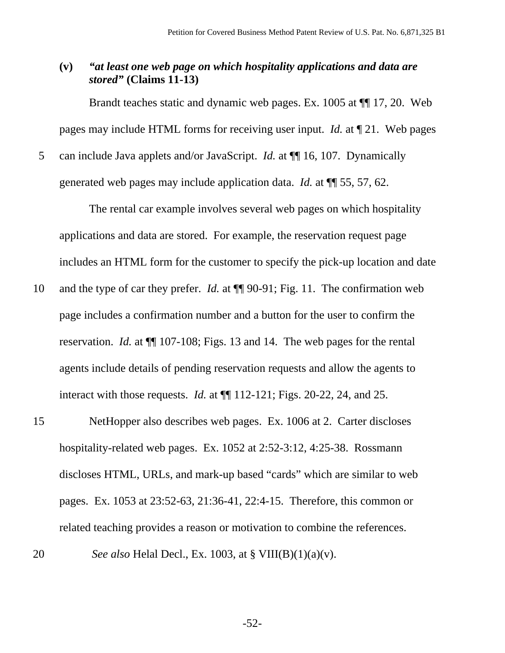## **(v)** *"at least one web page on which hospitality applications and data are stored"* **(Claims 11-13)**

Brandt teaches static and dynamic web pages. Ex. 1005 at ¶¶ 17, 20. Web pages may include HTML forms for receiving user input. *Id.* at ¶ 21. Web pages

5 can include Java applets and/or JavaScript. *Id.* at  $\P$  16, 107. Dynamically generated web pages may include application data. *Id.* at ¶¶ 55, 57, 62.

The rental car example involves several web pages on which hospitality applications and data are stored. For example, the reservation request page includes an HTML form for the customer to specify the pick-up location and date

- 10 and the type of car they prefer. *Id.* at ¶¶ 90-91; Fig. 11. The confirmation web page includes a confirmation number and a button for the user to confirm the reservation. *Id.* at  $\P$  107-108; Figs. 13 and 14. The web pages for the rental agents include details of pending reservation requests and allow the agents to interact with those requests. *Id.* at ¶¶ 112-121; Figs. 20-22, 24, and 25.
- 15 NetHopper also describes web pages. Ex. 1006 at 2. Carter discloses hospitality-related web pages. Ex. 1052 at 2:52-3:12, 4:25-38. Rossmann discloses HTML, URLs, and mark-up based "cards" which are similar to web pages. Ex. 1053 at 23:52-63, 21:36-41, 22:4-15. Therefore, this common or related teaching provides a reason or motivation to combine the references. 20 *See also* Helal Decl., Ex. 1003, at § VIII(B)(1)(a)(v).

-52-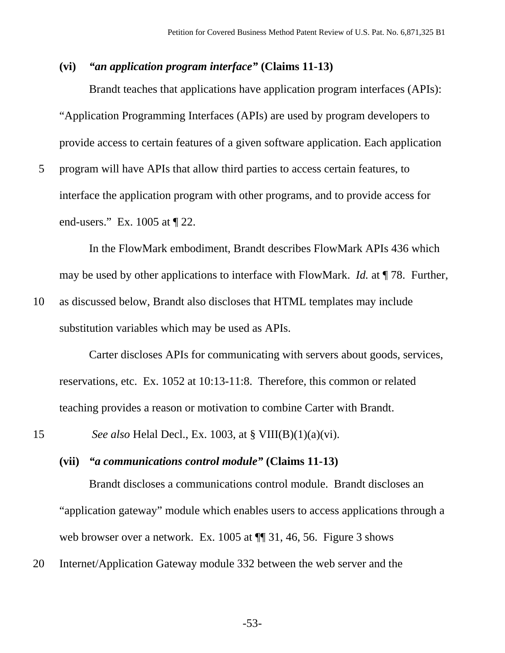## **(vi)** *"an application program interface"* **(Claims 11-13)**

Brandt teaches that applications have application program interfaces (APIs): "Application Programming Interfaces (APIs) are used by program developers to provide access to certain features of a given software application. Each application

5 program will have APIs that allow third parties to access certain features, to interface the application program with other programs, and to provide access for end-users." Ex. 1005 at ¶ 22.

In the FlowMark embodiment, Brandt describes FlowMark APIs 436 which may be used by other applications to interface with FlowMark. *Id.* at ¶ 78. Further,

10 as discussed below, Brandt also discloses that HTML templates may include substitution variables which may be used as APIs.

Carter discloses APIs for communicating with servers about goods, services, reservations, etc. Ex. 1052 at 10:13-11:8. Therefore, this common or related teaching provides a reason or motivation to combine Carter with Brandt.

15 *See also* Helal Decl., Ex. 1003, at § VIII(B)(1)(a)(vi).

#### **(vii)** *"a communications control module"* **(Claims 11-13)**

Brandt discloses a communications control module. Brandt discloses an "application gateway" module which enables users to access applications through a web browser over a network. Ex. 1005 at  $\P$  31, 46, 56. Figure 3 shows

20 Internet/Application Gateway module 332 between the web server and the

-53-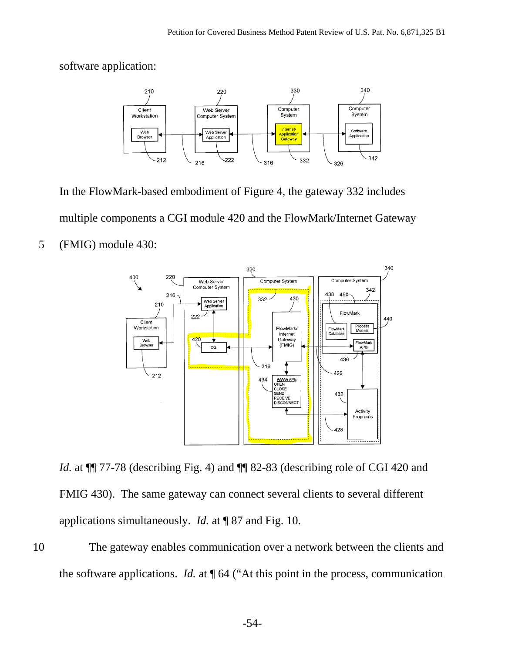software application:



In the FlowMark-based embodiment of Figure 4, the gateway 332 includes multiple components a CGI module 420 and the FlowMark/Internet Gateway 5 (FMIG) module 430:



*Id.* at  $\P$  77-78 (describing Fig. 4) and  $\P$  82-83 (describing role of CGI 420 and FMIG 430). The same gateway can connect several clients to several different applications simultaneously. *Id.* at ¶ 87 and Fig. 10.

10 The gateway enables communication over a network between the clients and the software applications. *Id.* at ¶ 64 ("At this point in the process, communication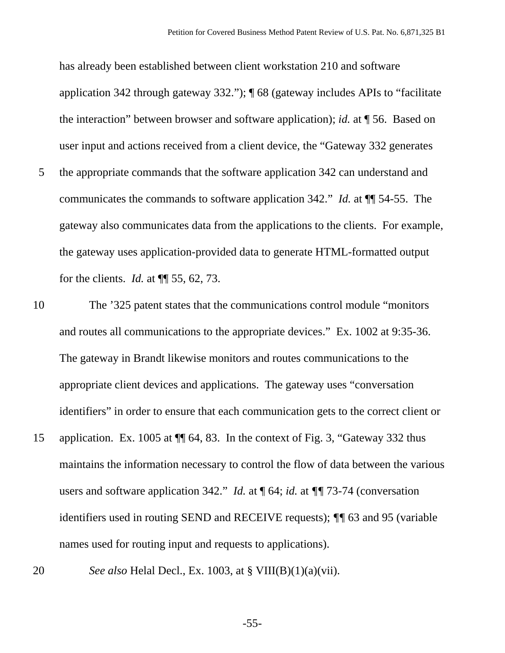has already been established between client workstation 210 and software application 342 through gateway 332."); ¶ 68 (gateway includes APIs to "facilitate the interaction" between browser and software application); *id.* at ¶ 56. Based on user input and actions received from a client device, the "Gateway 332 generates 5 the appropriate commands that the software application 342 can understand and communicates the commands to software application 342." *Id.* at ¶¶ 54-55. The gateway also communicates data from the applications to the clients. For example, the gateway uses application-provided data to generate HTML-formatted output for the clients. *Id.* at ¶¶ 55, 62, 73.

- 10 The '325 patent states that the communications control module "monitors and routes all communications to the appropriate devices." Ex. 1002 at 9:35-36. The gateway in Brandt likewise monitors and routes communications to the appropriate client devices and applications. The gateway uses "conversation identifiers" in order to ensure that each communication gets to the correct client or
- 15 application. Ex. 1005 at ¶¶ 64, 83. In the context of Fig. 3, "Gateway 332 thus maintains the information necessary to control the flow of data between the various users and software application 342." *Id.* at  $\P$  64; *id.* at  $\P$  73-74 (conversation identifiers used in routing SEND and RECEIVE requests); *¶¶* 63 and 95 (variable names used for routing input and requests to applications).
- 

20 *See also* Helal Decl., Ex. 1003, at § VIII(B)(1)(a)(vii).

-55-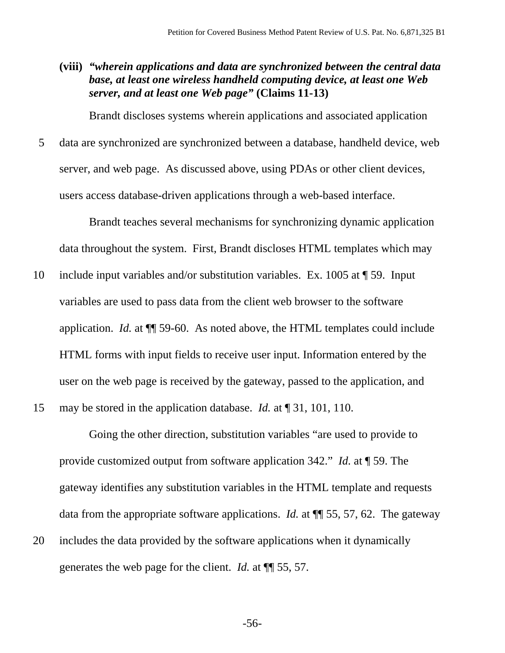**(viii)** *"wherein applications and data are synchronized between the central data base, at least one wireless handheld computing device, at least one Web server, and at least one Web page"* **(Claims 11-13)**

Brandt discloses systems wherein applications and associated application

5 data are synchronized are synchronized between a database, handheld device, web server, and web page. As discussed above, using PDAs or other client devices, users access database-driven applications through a web-based interface.

Brandt teaches several mechanisms for synchronizing dynamic application data throughout the system. First, Brandt discloses HTML templates which may

10 include input variables and/or substitution variables. Ex. 1005 at ¶ 59. Input variables are used to pass data from the client web browser to the software application. *Id.* at ¶¶ 59-60. As noted above, the HTML templates could include HTML forms with input fields to receive user input. Information entered by the user on the web page is received by the gateway, passed to the application, and

15 may be stored in the application database. *Id.* at ¶ 31, 101, 110.

Going the other direction, substitution variables "are used to provide to provide customized output from software application 342." *Id.* at ¶ 59. The gateway identifies any substitution variables in the HTML template and requests data from the appropriate software applications. *Id.* at ¶¶ 55, 57, 62. The gateway 20 includes the data provided by the software applications when it dynamically

generates the web page for the client. *Id.* at ¶¶ 55, 57.

-56-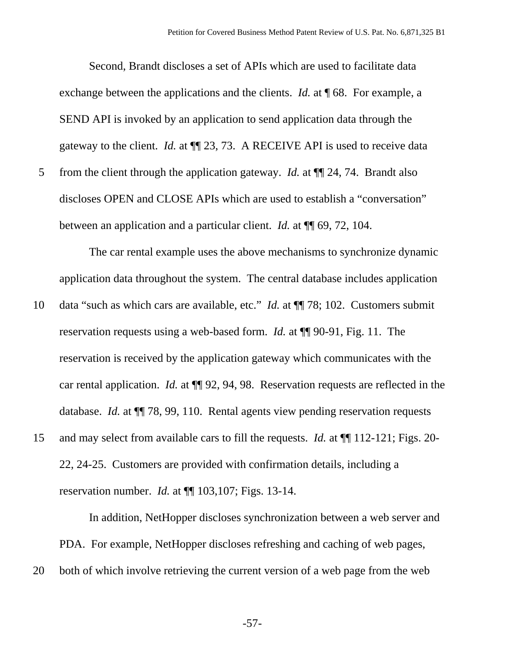Second, Brandt discloses a set of APIs which are used to facilitate data exchange between the applications and the clients. *Id.* at **[68.** For example, a SEND API is invoked by an application to send application data through the gateway to the client. *Id.* at ¶¶ 23, 73. A RECEIVE API is used to receive data 5 from the client through the application gateway. *Id.* at ¶¶ 24, 74. Brandt also discloses OPEN and CLOSE APIs which are used to establish a "conversation" between an application and a particular client. *Id.* at ¶¶ 69, 72, 104.

The car rental example uses the above mechanisms to synchronize dynamic application data throughout the system. The central database includes application

- 10 data "such as which cars are available, etc." *Id.* at ¶¶ 78; 102. Customers submit reservation requests using a web-based form. *Id.* at ¶¶ 90-91, Fig. 11. The reservation is received by the application gateway which communicates with the car rental application. *Id.* at ¶¶ 92, 94, 98. Reservation requests are reflected in the database. *Id.* at  $\P$  78, 99, 110. Rental agents view pending reservation requests
- 15 and may select from available cars to fill the requests. *Id.* at ¶¶ 112-121; Figs. 20- 22, 24-25. Customers are provided with confirmation details, including a reservation number. *Id.* at ¶¶ 103,107; Figs. 13-14.

In addition, NetHopper discloses synchronization between a web server and PDA. For example, NetHopper discloses refreshing and caching of web pages,

20 both of which involve retrieving the current version of a web page from the web

-57-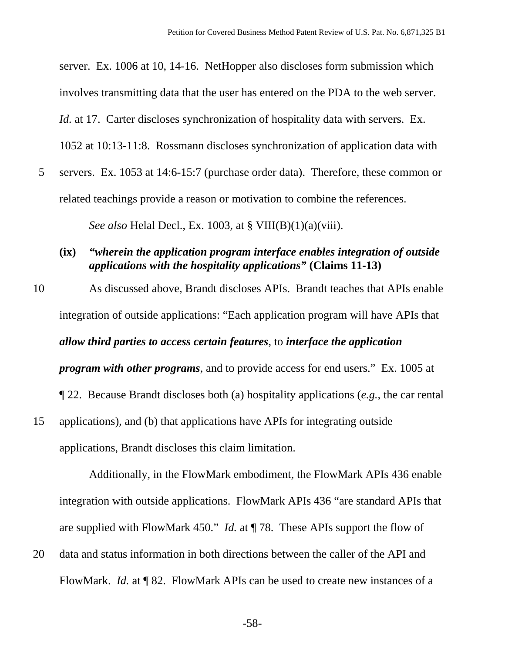server. Ex. 1006 at 10, 14-16. NetHopper also discloses form submission which involves transmitting data that the user has entered on the PDA to the web server. *Id.* at 17. Carter discloses synchronization of hospitality data with servers. Ex. 1052 at 10:13-11:8. Rossmann discloses synchronization of application data with

5 servers. Ex. 1053 at 14:6-15:7 (purchase order data). Therefore, these common or related teachings provide a reason or motivation to combine the references.

*See also* Helal Decl., Ex. 1003, at § VIII(B)(1)(a)(viii).

- **(ix)** *"wherein the application program interface enables integration of outside applications with the hospitality applications"* **(Claims 11-13)**
- 10 As discussed above, Brandt discloses APIs. Brandt teaches that APIs enable integration of outside applications: "Each application program will have APIs that *allow third parties to access certain features*, to *interface the application program with other programs*, and to provide access for end users." Ex. 1005 at ¶ 22. Because Brandt discloses both (a) hospitality applications (*e.g.*, the car rental 15 applications), and (b) that applications have APIs for integrating outside

applications, Brandt discloses this claim limitation.

Additionally, in the FlowMark embodiment, the FlowMark APIs 436 enable integration with outside applications. FlowMark APIs 436 "are standard APIs that are supplied with FlowMark 450." *Id.* at ¶ 78. These APIs support the flow of

20 data and status information in both directions between the caller of the API and FlowMark. *Id.* at ¶ 82. FlowMark APIs can be used to create new instances of a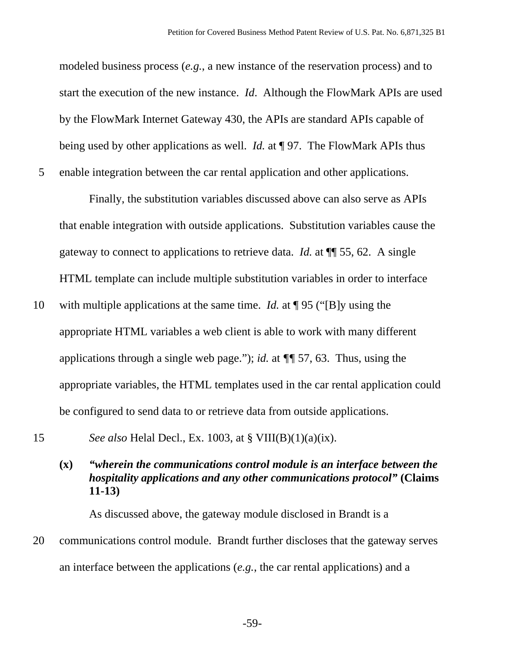modeled business process (*e.g.*, a new instance of the reservation process) and to start the execution of the new instance. *Id*. Although the FlowMark APIs are used by the FlowMark Internet Gateway 430, the APIs are standard APIs capable of being used by other applications as well. *Id.* at ¶ 97. The FlowMark APIs thus 5 enable integration between the car rental application and other applications.

Finally, the substitution variables discussed above can also serve as APIs that enable integration with outside applications. Substitution variables cause the gateway to connect to applications to retrieve data. *Id.* at ¶¶ 55, 62. A single HTML template can include multiple substitution variables in order to interface

- 10 with multiple applications at the same time. *Id.* at ¶ 95 ("[B]y using the appropriate HTML variables a web client is able to work with many different applications through a single web page."); *id.* at *¶¶* 57, 63. Thus, using the appropriate variables, the HTML templates used in the car rental application could be configured to send data to or retrieve data from outside applications.
- 15 *See also* Helal Decl., Ex. 1003, at § VIII(B)(1)(a)(ix).

# **(x)** *"wherein the communications control module is an interface between the hospitality applications and any other communications protocol"* **(Claims 11-13)**

As discussed above, the gateway module disclosed in Brandt is a

20 communications control module. Brandt further discloses that the gateway serves an interface between the applications (*e.g.*, the car rental applications) and a

-59-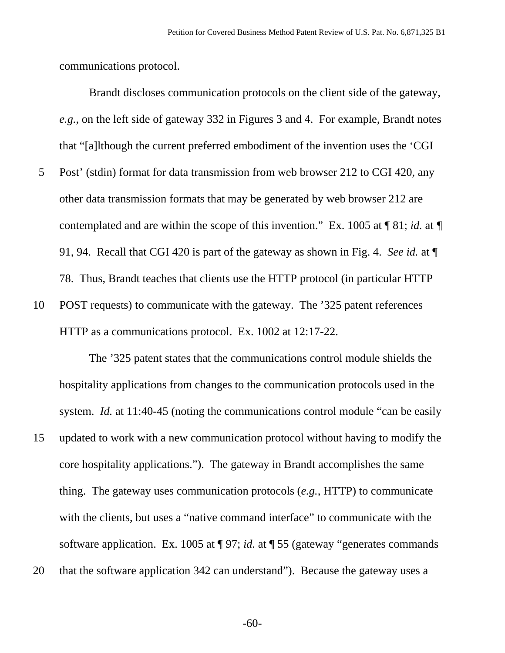communications protocol.

Brandt discloses communication protocols on the client side of the gateway, *e.g.*, on the left side of gateway 332 in Figures 3 and 4. For example, Brandt notes that "[a]lthough the current preferred embodiment of the invention uses the 'CGI

- 5 Post' (stdin) format for data transmission from web browser 212 to CGI 420, any other data transmission formats that may be generated by web browser 212 are contemplated and are within the scope of this invention." Ex. 1005 at ¶ 81; *id.* at *¶* 91, 94. Recall that CGI 420 is part of the gateway as shown in Fig. 4. *See id.* at ¶ 78. Thus, Brandt teaches that clients use the HTTP protocol (in particular HTTP
- 10 POST requests) to communicate with the gateway. The '325 patent references HTTP as a communications protocol. Ex. 1002 at 12:17-22.

The '325 patent states that the communications control module shields the hospitality applications from changes to the communication protocols used in the system. *Id.* at 11:40-45 (noting the communications control module "can be easily

- 15 updated to work with a new communication protocol without having to modify the core hospitality applications."). The gateway in Brandt accomplishes the same thing. The gateway uses communication protocols (*e.g.*, HTTP) to communicate with the clients, but uses a "native command interface" to communicate with the software application. Ex. 1005 at ¶ 97; *id.* at ¶ 55 (gateway "generates commands
- 20 that the software application 342 can understand"). Because the gateway uses a

-60-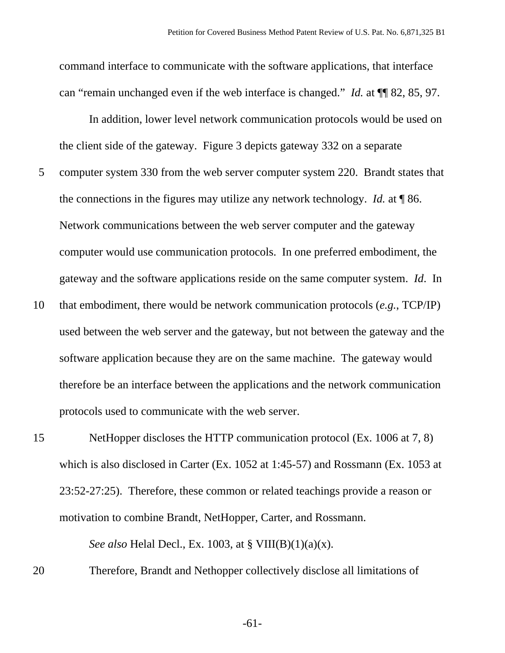command interface to communicate with the software applications, that interface can "remain unchanged even if the web interface is changed." *Id.* at ¶¶ 82, 85, 97.

In addition, lower level network communication protocols would be used on the client side of the gateway. Figure 3 depicts gateway 332 on a separate 5 computer system 330 from the web server computer system 220. Brandt states that the connections in the figures may utilize any network technology. *Id.* at ¶ 86. Network communications between the web server computer and the gateway computer would use communication protocols. In one preferred embodiment, the gateway and the software applications reside on the same computer system. *Id*. In

10 that embodiment, there would be network communication protocols (*e.g.*, TCP/IP) used between the web server and the gateway, but not between the gateway and the software application because they are on the same machine. The gateway would therefore be an interface between the applications and the network communication protocols used to communicate with the web server.

15 NetHopper discloses the HTTP communication protocol (Ex. 1006 at 7, 8) which is also disclosed in Carter (Ex. 1052 at 1:45-57) and Rossmann (Ex. 1053 at 23:52-27:25). Therefore, these common or related teachings provide a reason or motivation to combine Brandt, NetHopper, Carter, and Rossmann.

*See also* Helal Decl., Ex. 1003, at § VIII(B)(1)(a)(x).

20 Therefore, Brandt and Nethopper collectively disclose all limitations of

-61-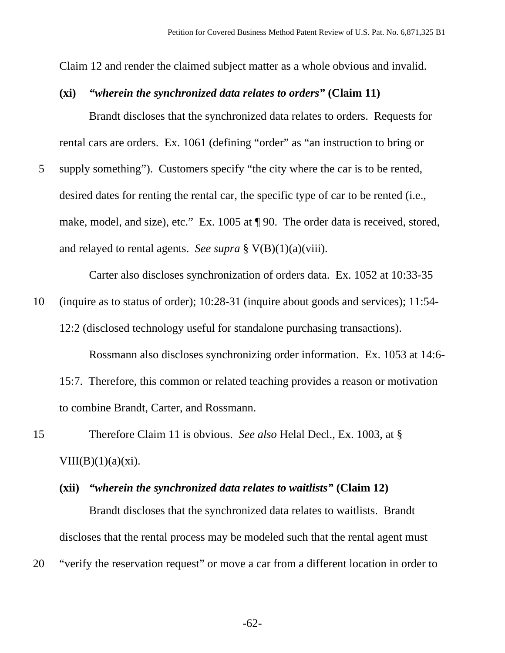Claim 12 and render the claimed subject matter as a whole obvious and invalid.

#### **(xi)** *"wherein the synchronized data relates to orders"* **(Claim 11)**

Brandt discloses that the synchronized data relates to orders. Requests for rental cars are orders. Ex. 1061 (defining "order" as "an instruction to bring or

5 supply something"). Customers specify "the city where the car is to be rented, desired dates for renting the rental car, the specific type of car to be rented (i.e., make, model, and size), etc." Ex. 1005 at  $\P$  90. The order data is received, stored, and relayed to rental agents. *See supra* § V(B)(1)(a)(viii).

Carter also discloses synchronization of orders data. Ex. 1052 at 10:33-35

10 (inquire as to status of order); 10:28-31 (inquire about goods and services); 11:54- 12:2 (disclosed technology useful for standalone purchasing transactions).

Rossmann also discloses synchronizing order information. Ex. 1053 at 14:6-

15:7. Therefore, this common or related teaching provides a reason or motivation to combine Brandt, Carter, and Rossmann.

- 15 Therefore Claim 11 is obvious. *See also* Helal Decl., Ex. 1003, at § VIII(B)(1)(a)(xi).
	- **(xii)** *"wherein the synchronized data relates to waitlists"* **(Claim 12)** Brandt discloses that the synchronized data relates to waitlists. Brandt discloses that the rental process may be modeled such that the rental agent must

20 "verify the reservation request" or move a car from a different location in order to

-62-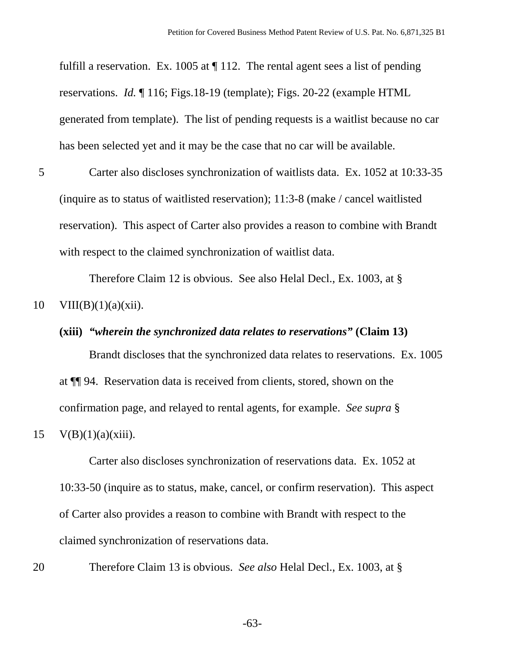fulfill a reservation. Ex. 1005 at ¶ 112. The rental agent sees a list of pending reservations. *Id.* ¶ 116; Figs.18-19 (template); Figs. 20-22 (example HTML generated from template). The list of pending requests is a waitlist because no car has been selected yet and it may be the case that no car will be available.

5 Carter also discloses synchronization of waitlists data. Ex. 1052 at 10:33-35 (inquire as to status of waitlisted reservation); 11:3-8 (make / cancel waitlisted reservation). This aspect of Carter also provides a reason to combine with Brandt with respect to the claimed synchronization of waitlist data.

Therefore Claim 12 is obvious. See also Helal Decl., Ex. 1003, at §

$$
10 \quad \text{VIII}(B)(1)(a)(xii).
$$

# **(xiii)** *"wherein the synchronized data relates to reservations"* **(Claim 13)**

Brandt discloses that the synchronized data relates to reservations. Ex. 1005 at ¶¶ 94. Reservation data is received from clients, stored, shown on the confirmation page, and relayed to rental agents, for example. *See supra* §

15  $V(B)(1)(a)(xiii)$ .

Carter also discloses synchronization of reservations data. Ex. 1052 at 10:33-50 (inquire as to status, make, cancel, or confirm reservation). This aspect of Carter also provides a reason to combine with Brandt with respect to the claimed synchronization of reservations data.

20 Therefore Claim 13 is obvious. *See also* Helal Decl., Ex. 1003, at §

-63-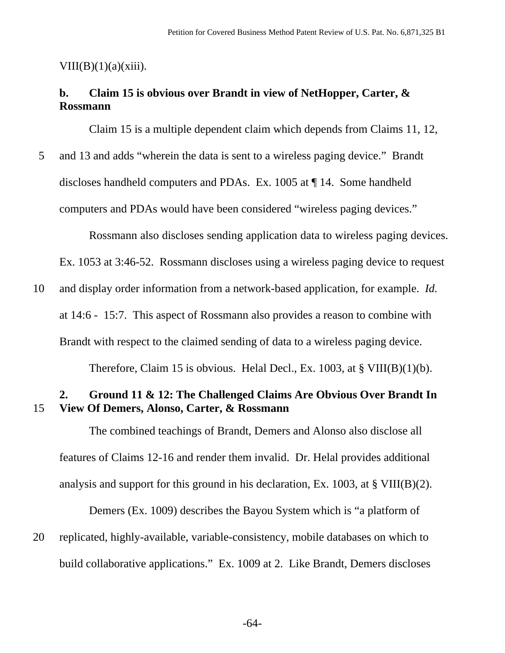#### VIII(B) $(1)(a)(xiii)$ .

# **b. Claim 15 is obvious over Brandt in view of NetHopper, Carter, & Rossmann**

Claim 15 is a multiple dependent claim which depends from Claims 11, 12,

5 and 13 and adds "wherein the data is sent to a wireless paging device." Brandt discloses handheld computers and PDAs. Ex. 1005 at ¶ 14. Some handheld computers and PDAs would have been considered "wireless paging devices."

Rossmann also discloses sending application data to wireless paging devices.

Ex. 1053 at 3:46-52. Rossmann discloses using a wireless paging device to request

10 and display order information from a network-based application, for example. *Id.* at 14:6 - 15:7. This aspect of Rossmann also provides a reason to combine with Brandt with respect to the claimed sending of data to a wireless paging device.

Therefore, Claim 15 is obvious. Helal Decl., Ex. 1003, at  $\S$  VIII(B)(1)(b).

## **2. Ground 11 & 12: The Challenged Claims Are Obvious Over Brandt In**  15 **View Of Demers, Alonso, Carter, & Rossmann**

The combined teachings of Brandt, Demers and Alonso also disclose all features of Claims 12-16 and render them invalid. Dr. Helal provides additional analysis and support for this ground in his declaration, Ex. 1003, at § VIII(B)(2).

Demers (Ex. 1009) describes the Bayou System which is "a platform of

20 replicated, highly-available, variable-consistency, mobile databases on which to build collaborative applications." Ex. 1009 at 2. Like Brandt, Demers discloses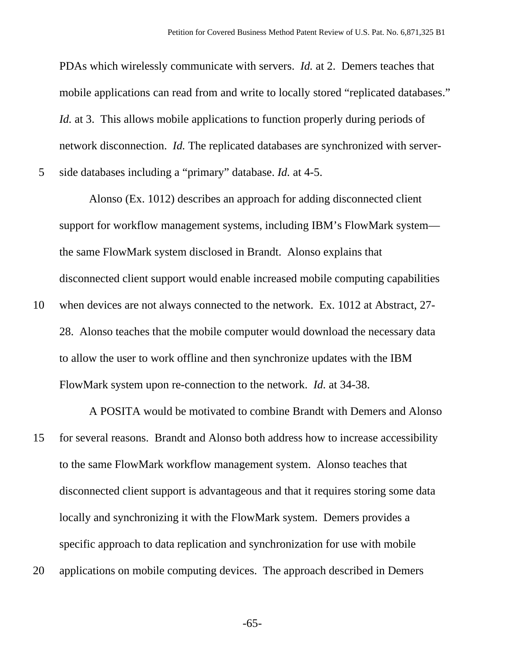PDAs which wirelessly communicate with servers. *Id.* at 2. Demers teaches that mobile applications can read from and write to locally stored "replicated databases." *Id.* at 3. This allows mobile applications to function properly during periods of network disconnection. *Id.* The replicated databases are synchronized with server-

5 side databases including a "primary" database. *Id.* at 4-5.

Alonso (Ex. 1012) describes an approach for adding disconnected client support for workflow management systems, including IBM's FlowMark system the same FlowMark system disclosed in Brandt. Alonso explains that disconnected client support would enable increased mobile computing capabilities

10 when devices are not always connected to the network. Ex. 1012 at Abstract, 27- 28. Alonso teaches that the mobile computer would download the necessary data to allow the user to work offline and then synchronize updates with the IBM FlowMark system upon re-connection to the network. *Id.* at 34-38.

A POSITA would be motivated to combine Brandt with Demers and Alonso 15 for several reasons. Brandt and Alonso both address how to increase accessibility to the same FlowMark workflow management system. Alonso teaches that disconnected client support is advantageous and that it requires storing some data locally and synchronizing it with the FlowMark system. Demers provides a specific approach to data replication and synchronization for use with mobile 20 applications on mobile computing devices. The approach described in Demers

-65-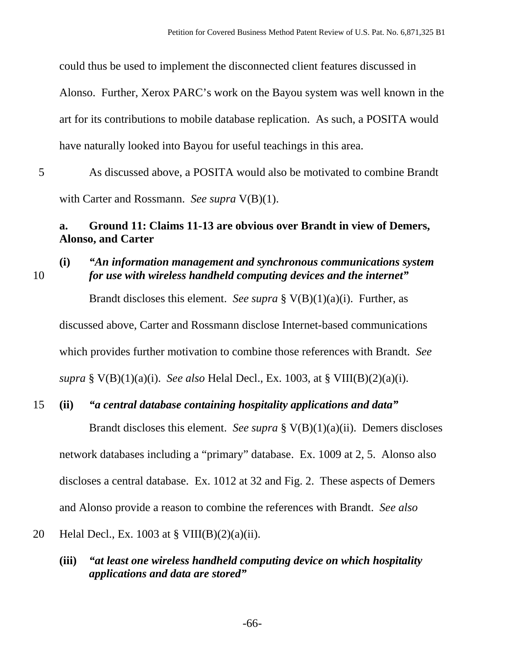could thus be used to implement the disconnected client features discussed in

Alonso. Further, Xerox PARC's work on the Bayou system was well known in the art for its contributions to mobile database replication. As such, a POSITA would have naturally looked into Bayou for useful teachings in this area.

5 As discussed above, a POSITA would also be motivated to combine Brandt with Carter and Rossmann. *See supra* V(B)(1).

## **a. Ground 11: Claims 11-13 are obvious over Brandt in view of Demers, Alonso, and Carter**

### **(i)** *"An information management and synchronous communications system*  10 *for use with wireless handheld computing devices and the internet"*

Brandt discloses this element. *See supra* § V(B)(1)(a)(i). Further, as

discussed above, Carter and Rossmann disclose Internet-based communications which provides further motivation to combine those references with Brandt. *See supra* § V(B)(1)(a)(i). *See also* Helal Decl., Ex. 1003, at § VIII(B)(2)(a)(i).

# 15 **(ii)** *"a central database containing hospitality applications and data"*

Brandt discloses this element. *See supra* § V(B)(1)(a)(ii). Demers discloses network databases including a "primary" database. Ex. 1009 at 2, 5. Alonso also discloses a central database. Ex. 1012 at 32 and Fig. 2. These aspects of Demers and Alonso provide a reason to combine the references with Brandt. *See also*

### 20 Helal Decl., Ex. 1003 at  $\S$  VIII(B)(2)(a)(ii).

**(iii)** *"at least one wireless handheld computing device on which hospitality applications and data are stored"*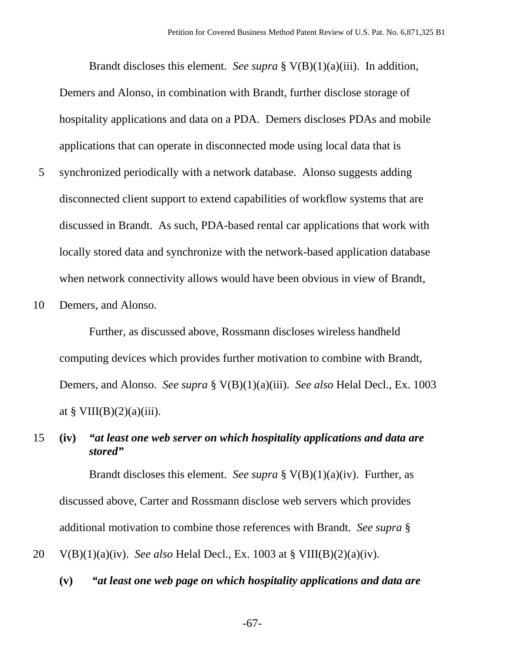Brandt discloses this element. *See supra* § V(B)(1)(a)(iii). In addition, Demers and Alonso, in combination with Brandt, further disclose storage of hospitality applications and data on a PDA. Demers discloses PDAs and mobile applications that can operate in disconnected mode using local data that is 5 synchronized periodically with a network database. Alonso suggests adding disconnected client support to extend capabilities of workflow systems that are discussed in Brandt. As such, PDA-based rental car applications that work with locally stored data and synchronize with the network-based application database when network connectivity allows would have been obvious in view of Brandt,

10 Demers, and Alonso.

Further, as discussed above, Rossmann discloses wireless handheld computing devices which provides further motivation to combine with Brandt, Demers, and Alonso. *See supra* § V(B)(1)(a)(iii). *See also* Helal Decl., Ex. 1003 at §  $VIII(B)(2)(a)(iii)$ .

## 15 **(iv)** *"at least one web server on which hospitality applications and data are stored"*

Brandt discloses this element. *See supra* § V(B)(1)(a)(iv). Further, as discussed above, Carter and Rossmann disclose web servers which provides additional motivation to combine those references with Brandt. *See supra* § 20 V(B)(1)(a)(iv). *See also* Helal Decl., Ex. 1003 at § VIII(B)(2)(a)(iv).

**(v)** *"at least one web page on which hospitality applications and data are* 

-67-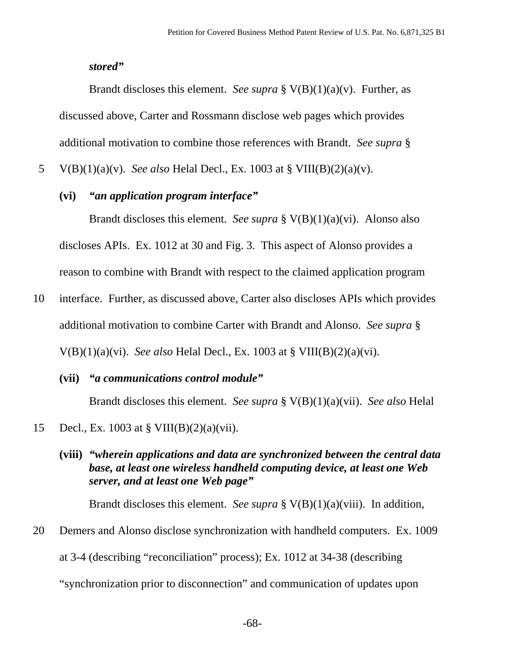#### *stored"*

Brandt discloses this element. *See supra* § V(B)(1)(a)(v). Further, as discussed above, Carter and Rossmann disclose web pages which provides additional motivation to combine those references with Brandt. *See supra* §

5 V(B)(1)(a)(v). *See also* Helal Decl., Ex. 1003 at § VIII(B)(2)(a)(v).

### **(vi)** *"an application program interface"*

Brandt discloses this element. *See supra* § V(B)(1)(a)(vi). Alonso also discloses APIs. Ex. 1012 at 30 and Fig. 3. This aspect of Alonso provides a reason to combine with Brandt with respect to the claimed application program

- 10 interface. Further, as discussed above, Carter also discloses APIs which provides additional motivation to combine Carter with Brandt and Alonso. *See supra* § V(B)(1)(a)(vi). *See also* Helal Decl., Ex. 1003 at § VIII(B)(2)(a)(vi).
	- **(vii)** *"a communications control module"*  Brandt discloses this element. *See supra* § V(B)(1)(a)(vii). *See also* Helal
- 15 Decl., Ex. 1003 at § VIII(B)(2)(a)(vii).
	- **(viii)** *"wherein applications and data are synchronized between the central data base, at least one wireless handheld computing device, at least one Web server, and at least one Web page"*

Brandt discloses this element. *See supra* § V(B)(1)(a)(viii). In addition,

20 Demers and Alonso disclose synchronization with handheld computers. Ex. 1009

at 3-4 (describing "reconciliation" process); Ex. 1012 at 34-38 (describing

"synchronization prior to disconnection" and communication of updates upon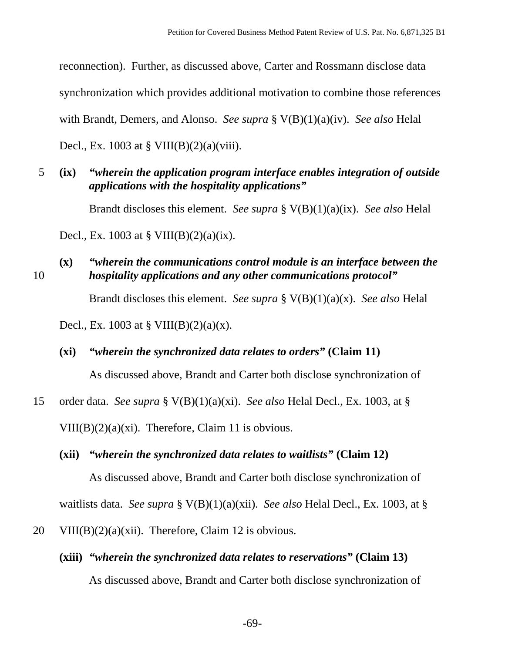reconnection). Further, as discussed above, Carter and Rossmann disclose data synchronization which provides additional motivation to combine those references with Brandt, Demers, and Alonso. *See supra* § V(B)(1)(a)(iv). *See also* Helal Decl., Ex. 1003 at § VIII(B)(2)(a)(viii).

5 **(ix)** *"wherein the application program interface enables integration of outside applications with the hospitality applications"* 

Brandt discloses this element. *See supra* § V(B)(1)(a)(ix). *See also* Helal

Decl., Ex. 1003 at § VIII(B)(2)(a)(ix).

- **(x)** *"wherein the communications control module is an interface between the*  10 *hospitality applications and any other communications protocol"* Brandt discloses this element. *See supra* § V(B)(1)(a)(x). *See also* Helal Decl., Ex. 1003 at § VIII(B)(2)(a)(x).
	- **(xi)** *"wherein the synchronized data relates to orders"* **(Claim 11)**

As discussed above, Brandt and Carter both disclose synchronization of

15 order data. *See supra* § V(B)(1)(a)(xi). *See also* Helal Decl., Ex. 1003, at § VIII(B) $(2)(a)(xi)$ . Therefore, Claim 11 is obvious.

**(xii)** *"wherein the synchronized data relates to waitlists"* **(Claim 12)** 

As discussed above, Brandt and Carter both disclose synchronization of

waitlists data. *See supra* § V(B)(1)(a)(xii). *See also* Helal Decl., Ex. 1003, at §

- 20 VIII(B)(2)(a)(xii). Therefore, Claim 12 is obvious.
	- **(xiii)** *"wherein the synchronized data relates to reservations"* **(Claim 13)**  As discussed above, Brandt and Carter both disclose synchronization of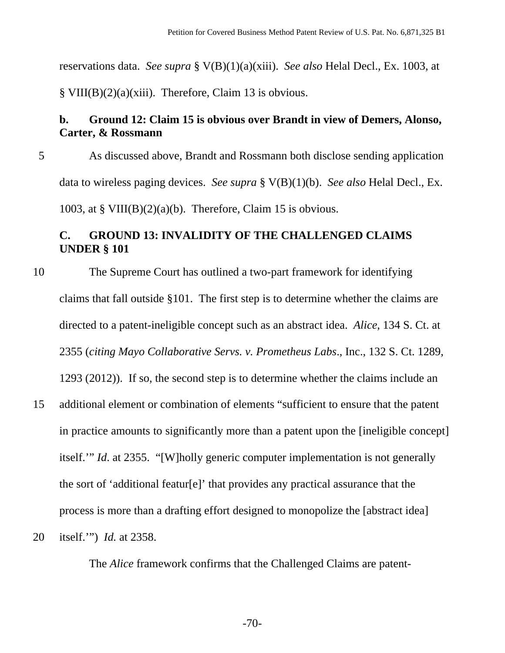reservations data. *See supra* § V(B)(1)(a)(xiii). *See also* Helal Decl., Ex. 1003, at § VIII(B)(2)(a)(xiii). Therefore, Claim 13 is obvious.

# **b. Ground 12: Claim 15 is obvious over Brandt in view of Demers, Alonso, Carter, & Rossmann**

5 As discussed above, Brandt and Rossmann both disclose sending application data to wireless paging devices. *See supra* § V(B)(1)(b). *See also* Helal Decl., Ex. 1003, at § VIII(B)(2)(a)(b). Therefore, Claim 15 is obvious.

# **C. GROUND 13: INVALIDITY OF THE CHALLENGED CLAIMS UNDER § 101**

- 10 The Supreme Court has outlined a two-part framework for identifying claims that fall outside §101. The first step is to determine whether the claims are directed to a patent-ineligible concept such as an abstract idea. *Alice*, 134 S. Ct. at 2355 (*citing Mayo Collaborative Servs. v. Prometheus Labs*., Inc., 132 S. Ct. 1289, 1293 (2012)). If so, the second step is to determine whether the claims include an
- 15 additional element or combination of elements "sufficient to ensure that the patent in practice amounts to significantly more than a patent upon the [ineligible concept] itself.'" *Id*. at 2355. "[W]holly generic computer implementation is not generally the sort of 'additional featur[e]' that provides any practical assurance that the process is more than a drafting effort designed to monopolize the [abstract idea]
- 20 itself.'") *Id.* at 2358.

The *Alice* framework confirms that the Challenged Claims are patent-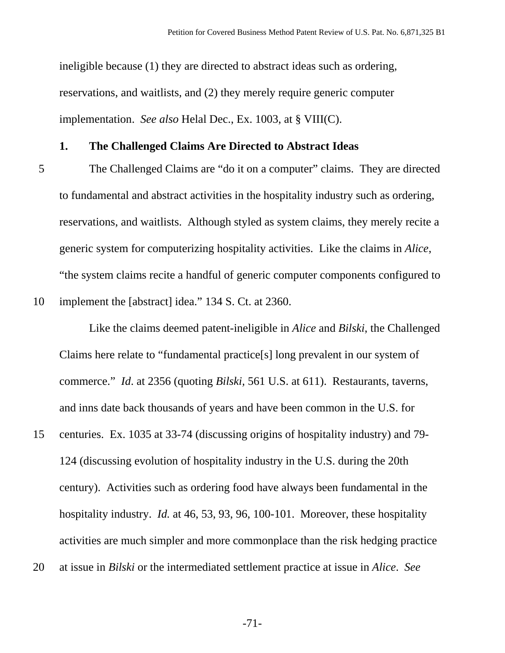ineligible because (1) they are directed to abstract ideas such as ordering, reservations, and waitlists, and (2) they merely require generic computer implementation. *See also* Helal Dec., Ex. 1003, at § VIII(C).

#### **1. The Challenged Claims Are Directed to Abstract Ideas**

5 The Challenged Claims are "do it on a computer" claims. They are directed to fundamental and abstract activities in the hospitality industry such as ordering, reservations, and waitlists. Although styled as system claims, they merely recite a generic system for computerizing hospitality activities. Like the claims in *Alice*, "the system claims recite a handful of generic computer components configured to

10 implement the [abstract] idea." 134 S. Ct. at 2360.

Like the claims deemed patent-ineligible in *Alice* and *Bilski*, the Challenged Claims here relate to "fundamental practice[s] long prevalent in our system of commerce." *Id*. at 2356 (quoting *Bilski,* 561 U.S. at 611). Restaurants, taverns, and inns date back thousands of years and have been common in the U.S. for

- 15 centuries. Ex. 1035 at 33-74 (discussing origins of hospitality industry) and 79- 124 (discussing evolution of hospitality industry in the U.S. during the 20th century). Activities such as ordering food have always been fundamental in the hospitality industry. *Id.* at 46, 53, 93, 96, 100-101. Moreover, these hospitality activities are much simpler and more commonplace than the risk hedging practice
- 20 at issue in *Bilski* or the intermediated settlement practice at issue in *Alice*. *See*

-71-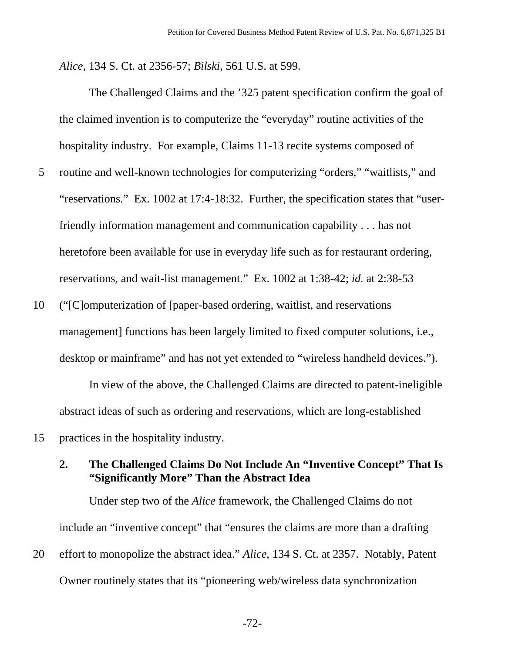*Alice*, 134 S. Ct. at 2356-57; *Bilski*, 561 U.S. at 599.

The Challenged Claims and the '325 patent specification confirm the goal of the claimed invention is to computerize the "everyday" routine activities of the hospitality industry. For example, Claims 11-13 recite systems composed of

- 5 routine and well-known technologies for computerizing "orders," "waitlists," and "reservations." Ex. 1002 at 17:4-18:32. Further, the specification states that "userfriendly information management and communication capability . . . has not heretofore been available for use in everyday life such as for restaurant ordering, reservations, and wait-list management." Ex. 1002 at 1:38-42; *id.* at 2:38-53
- 10 ("[C]omputerization of [paper-based ordering, waitlist, and reservations management] functions has been largely limited to fixed computer solutions, i.e., desktop or mainframe" and has not yet extended to "wireless handheld devices.").

 In view of the above, the Challenged Claims are directed to patent-ineligible abstract ideas of such as ordering and reservations, which are long-established 15 practices in the hospitality industry.

### **2. The Challenged Claims Do Not Include An "Inventive Concept" That Is "Significantly More" Than the Abstract Idea**

Under step two of the *Alice* framework, the Challenged Claims do not include an "inventive concept" that "ensures the claims are more than a drafting 20 effort to monopolize the abstract idea." *Alice*, 134 S. Ct. at 2357. Notably, Patent Owner routinely states that its "pioneering web/wireless data synchronization

-72-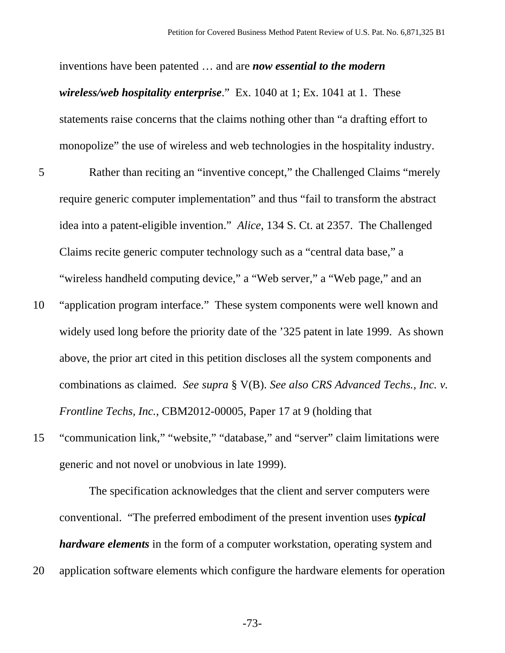inventions have been patented … and are *now essential to the modern wireless/web hospitality enterprise*." Ex. 1040 at 1; Ex. 1041 at 1. These statements raise concerns that the claims nothing other than "a drafting effort to monopolize" the use of wireless and web technologies in the hospitality industry.

- 5 Rather than reciting an "inventive concept," the Challenged Claims "merely require generic computer implementation" and thus "fail to transform the abstract idea into a patent-eligible invention." *Alice*, 134 S. Ct. at 2357. The Challenged Claims recite generic computer technology such as a "central data base," a "wireless handheld computing device," a "Web server," a "Web page," and an
- 10 "application program interface." These system components were well known and widely used long before the priority date of the '325 patent in late 1999. As shown above, the prior art cited in this petition discloses all the system components and combinations as claimed. *See supra* § V(B). *See also CRS Advanced Techs., Inc. v. Frontline Techs, Inc.*, CBM2012-00005, Paper 17 at 9 (holding that
- 15 "communication link," "website," "database," and "server" claim limitations were generic and not novel or unobvious in late 1999).

The specification acknowledges that the client and server computers were conventional. "The preferred embodiment of the present invention uses *typical hardware elements* in the form of a computer workstation, operating system and 20 application software elements which configure the hardware elements for operation

-73-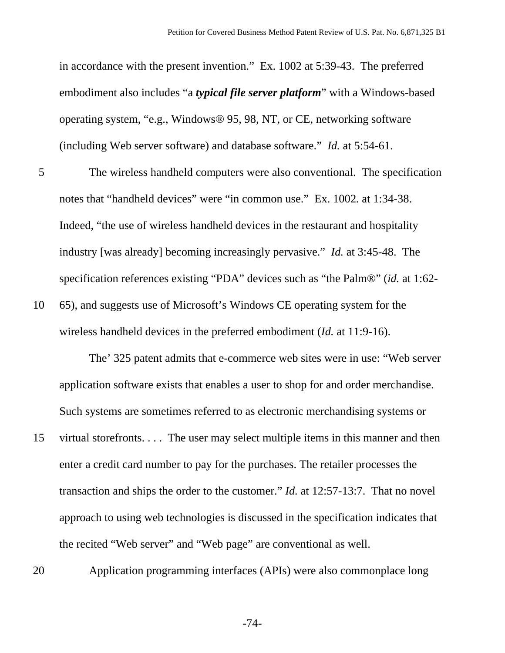in accordance with the present invention." Ex. 1002 at 5:39-43. The preferred embodiment also includes "a *typical file server platform*" with a Windows-based operating system, "e.g., Windows® 95, 98, NT, or CE, networking software (including Web server software) and database software." *Id.* at 5:54-61.

- 5 The wireless handheld computers were also conventional. The specification notes that "handheld devices" were "in common use." Ex. 1002*.* at 1:34-38. Indeed, "the use of wireless handheld devices in the restaurant and hospitality industry [was already] becoming increasingly pervasive." *Id.* at 3:45-48. The specification references existing "PDA" devices such as "the Palm®" (*id.* at 1:62-
- 10 65), and suggests use of Microsoft's Windows CE operating system for the wireless handheld devices in the preferred embodiment (*Id.* at 11:9-16).

The' 325 patent admits that e-commerce web sites were in use: "Web server application software exists that enables a user to shop for and order merchandise. Such systems are sometimes referred to as electronic merchandising systems or

- 15 virtual storefronts. . . . The user may select multiple items in this manner and then enter a credit card number to pay for the purchases. The retailer processes the transaction and ships the order to the customer." *Id.* at 12:57-13:7. That no novel approach to using web technologies is discussed in the specification indicates that the recited "Web server" and "Web page" are conventional as well.
- 

20 Application programming interfaces (APIs) were also commonplace long

-74-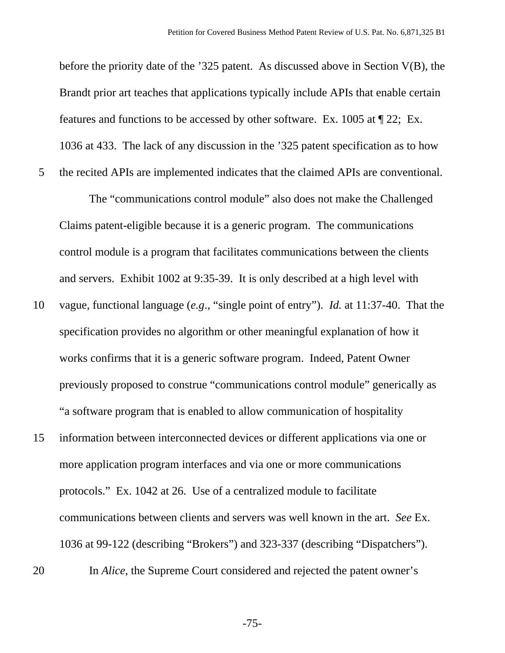before the priority date of the '325 patent. As discussed above in Section V(B), the Brandt prior art teaches that applications typically include APIs that enable certain features and functions to be accessed by other software. Ex. 1005 at ¶ 22; Ex. 1036 at 433. The lack of any discussion in the '325 patent specification as to how

5 the recited APIs are implemented indicates that the claimed APIs are conventional.

The "communications control module" also does not make the Challenged Claims patent-eligible because it is a generic program. The communications control module is a program that facilitates communications between the clients and servers. Exhibit 1002 at 9:35-39. It is only described at a high level with

- 10 vague, functional language (*e.g*., "single point of entry"). *Id.* at 11:37-40. That the specification provides no algorithm or other meaningful explanation of how it works confirms that it is a generic software program. Indeed, Patent Owner previously proposed to construe "communications control module" generically as "a software program that is enabled to allow communication of hospitality
- 15 information between interconnected devices or different applications via one or more application program interfaces and via one or more communications protocols." Ex. 1042 at 26. Use of a centralized module to facilitate communications between clients and servers was well known in the art. *See* Ex. 1036 at 99-122 (describing "Brokers") and 323-337 (describing "Dispatchers").
- 

20 In *Alice*, the Supreme Court considered and rejected the patent owner's

-75-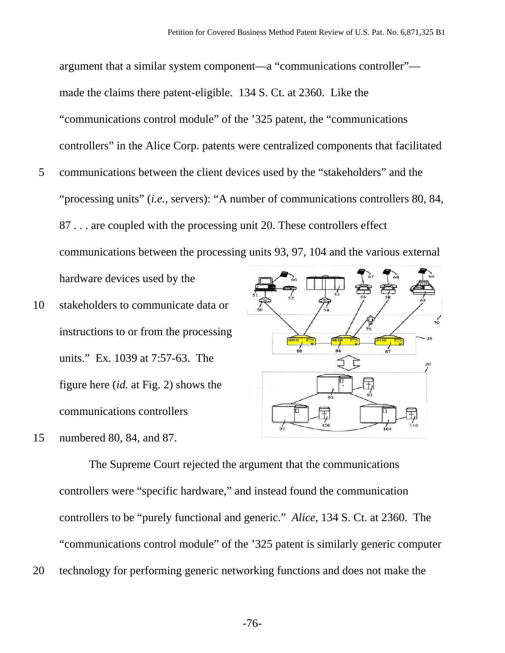argument that a similar system component—a "communications controller" made the claims there patent-eligible. 134 S. Ct. at 2360. Like the "communications control module" of the '325 patent, the "communications controllers" in the Alice Corp. patents were centralized components that facilitated 5 communications between the client devices used by the "stakeholders" and the

"processing units" (*i.e.*, servers): "A number of communications controllers 80, 84, 87 . . . are coupled with the processing unit 20. These controllers effect communications between the processing units 93, 97, 104 and the various external hardware devices used by the

- 10 stakeholders to communicate data or instructions to or from the processing units." Ex. 1039 at 7:57-63. The figure here (*id.* at Fig. 2) shows the communications controllers
- 15 numbered 80, 84, and 87.



The Supreme Court rejected the argument that the communications controllers were "specific hardware," and instead found the communication controllers to be "purely functional and generic." *Alice*, 134 S. Ct. at 2360. The "communications control module" of the '325 patent is similarly generic computer 20 technology for performing generic networking functions and does not make the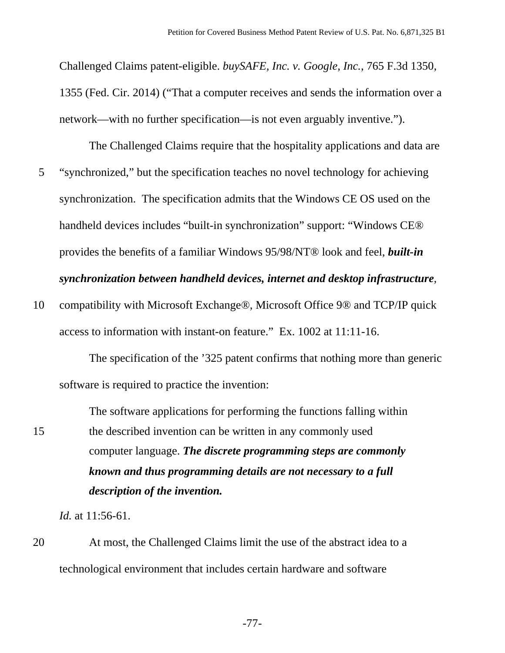Challenged Claims patent-eligible. *buySAFE, Inc. v. Google, Inc.*, 765 F.3d 1350, 1355 (Fed. Cir. 2014) ("That a computer receives and sends the information over a network—with no further specification—is not even arguably inventive.").

The Challenged Claims require that the hospitality applications and data are 5 "synchronized," but the specification teaches no novel technology for achieving synchronization. The specification admits that the Windows CE OS used on the handheld devices includes "built-in synchronization" support: "Windows CE® provides the benefits of a familiar Windows 95/98/NT® look and feel, *built-in synchronization between handheld devices, internet and desktop infrastructure*,

10 compatibility with Microsoft Exchange®, Microsoft Office 9® and TCP/IP quick access to information with instant-on feature." Ex. 1002 at 11:11-16.

The specification of the '325 patent confirms that nothing more than generic software is required to practice the invention:

The software applications for performing the functions falling within 15 the described invention can be written in any commonly used computer language. *The discrete programming steps are commonly known and thus programming details are not necessary to a full description of the invention.*

*Id.* at 11:56-61.

20 At most, the Challenged Claims limit the use of the abstract idea to a technological environment that includes certain hardware and software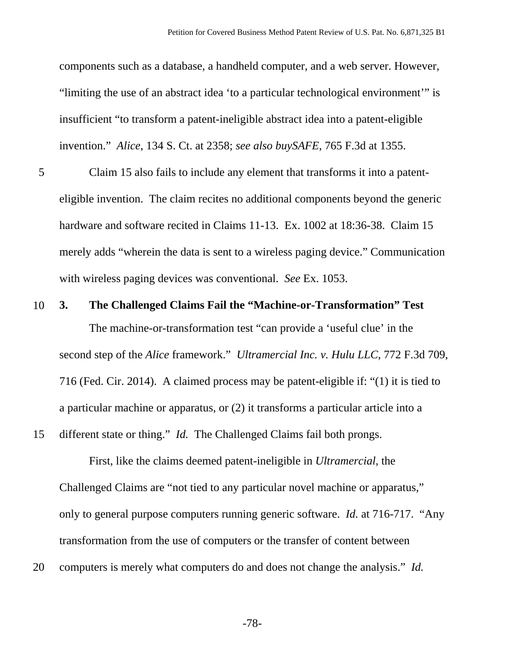components such as a database, a handheld computer, and a web server. However, "limiting the use of an abstract idea 'to a particular technological environment'" is insufficient "to transform a patent-ineligible abstract idea into a patent-eligible invention." *Alice*, 134 S. Ct. at 2358; *see also buySAFE*, 765 F.3d at 1355.

- 5 Claim 15 also fails to include any element that transforms it into a patenteligible invention. The claim recites no additional components beyond the generic hardware and software recited in Claims 11-13. Ex. 1002 at 18:36-38. Claim 15 merely adds "wherein the data is sent to a wireless paging device." Communication with wireless paging devices was conventional. *See* Ex. 1053.
- 10 **3. The Challenged Claims Fail the "Machine-or-Transformation" Test** The machine-or-transformation test "can provide a 'useful clue' in the second step of the *Alice* framework." *Ultramercial Inc. v. Hulu LLC*, 772 F.3d 709, 716 (Fed. Cir. 2014). A claimed process may be patent-eligible if: "(1) it is tied to a particular machine or apparatus, or (2) it transforms a particular article into a 15 different state or thing." *Id.* The Challenged Claims fail both prongs.

First, like the claims deemed patent-ineligible in *Ultramercial*, the Challenged Claims are "not tied to any particular novel machine or apparatus," only to general purpose computers running generic software. *Id.* at 716-717. "Any transformation from the use of computers or the transfer of content between

20 computers is merely what computers do and does not change the analysis." *Id.* 

-78-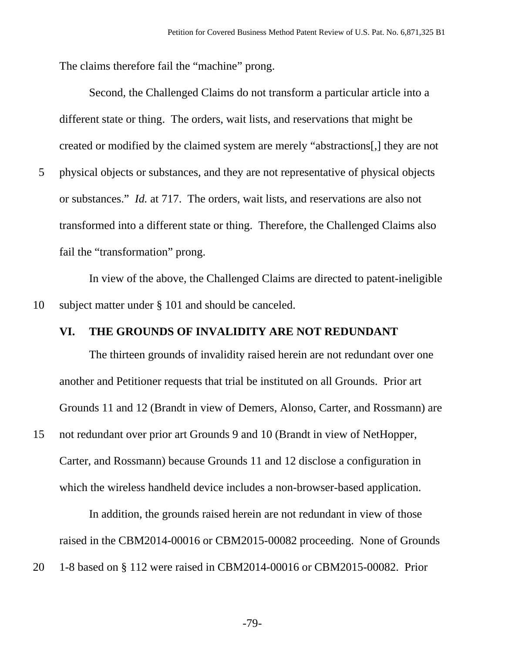The claims therefore fail the "machine" prong.

Second, the Challenged Claims do not transform a particular article into a different state or thing. The orders, wait lists, and reservations that might be created or modified by the claimed system are merely "abstractions[,] they are not 5 physical objects or substances, and they are not representative of physical objects

or substances." *Id.* at 717. The orders, wait lists, and reservations are also not transformed into a different state or thing. Therefore, the Challenged Claims also fail the "transformation" prong.

In view of the above, the Challenged Claims are directed to patent-ineligible 10 subject matter under § 101 and should be canceled.

### **VI. THE GROUNDS OF INVALIDITY ARE NOT REDUNDANT**

The thirteen grounds of invalidity raised herein are not redundant over one another and Petitioner requests that trial be instituted on all Grounds. Prior art Grounds 11 and 12 (Brandt in view of Demers, Alonso, Carter, and Rossmann) are

15 not redundant over prior art Grounds 9 and 10 (Brandt in view of NetHopper, Carter, and Rossmann) because Grounds 11 and 12 disclose a configuration in which the wireless handheld device includes a non-browser-based application.

In addition, the grounds raised herein are not redundant in view of those raised in the CBM2014-00016 or CBM2015-00082 proceeding. None of Grounds

20 1-8 based on § 112 were raised in CBM2014-00016 or CBM2015-00082. Prior

-79-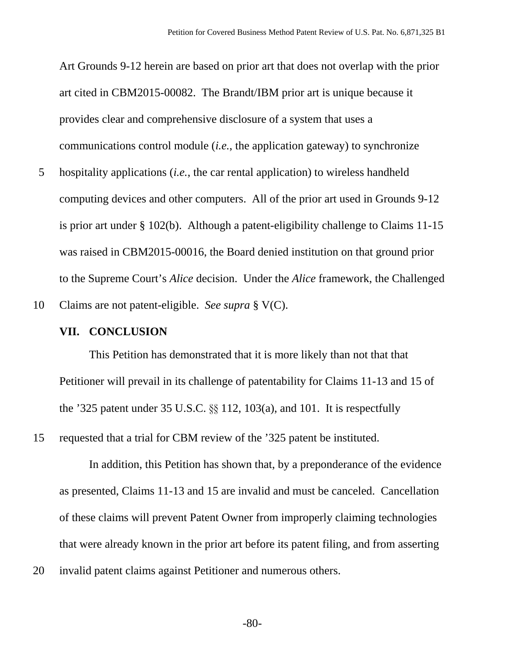Art Grounds 9-12 herein are based on prior art that does not overlap with the prior art cited in CBM2015-00082. The Brandt/IBM prior art is unique because it provides clear and comprehensive disclosure of a system that uses a communications control module (*i.e.*, the application gateway) to synchronize

5 hospitality applications (*i.e.*, the car rental application) to wireless handheld computing devices and other computers. All of the prior art used in Grounds 9-12 is prior art under § 102(b). Although a patent-eligibility challenge to Claims 11-15 was raised in CBM2015-00016, the Board denied institution on that ground prior to the Supreme Court's *Alice* decision. Under the *Alice* framework, the Challenged

10 Claims are not patent-eligible. *See supra* § V(C).

#### **VII. CONCLUSION**

This Petition has demonstrated that it is more likely than not that that Petitioner will prevail in its challenge of patentability for Claims 11-13 and 15 of the '325 patent under 35 U.S.C. §§ 112, 103(a), and 101. It is respectfully

15 requested that a trial for CBM review of the '325 patent be instituted.

In addition, this Petition has shown that, by a preponderance of the evidence as presented, Claims 11-13 and 15 are invalid and must be canceled. Cancellation of these claims will prevent Patent Owner from improperly claiming technologies that were already known in the prior art before its patent filing, and from asserting

20 invalid patent claims against Petitioner and numerous others.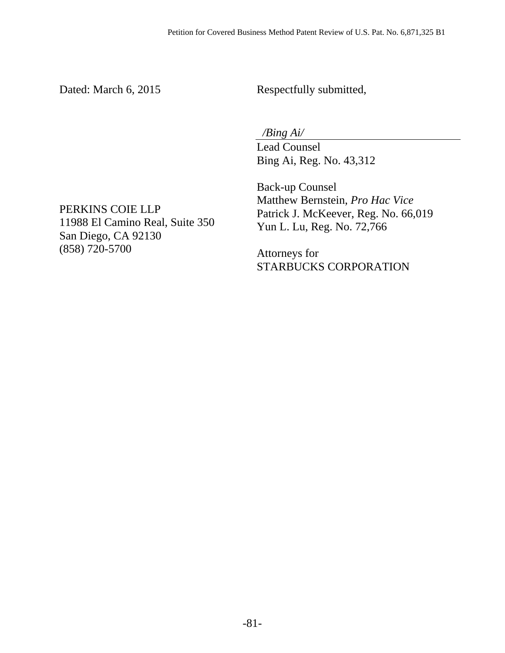Dated: March 6, 2015

Respectfully submitted,

 */Bing Ai/* 

Lead Counsel Bing Ai, Reg. No. 43,312

Back-up Counsel Matthew Bernstein, *Pro Hac Vice* Patrick J. McKeever, Reg. No. 66,019 Yun L. Lu, Reg. No. 72,766

Attorneys for STARBUCKS CORPORATION

PERKINS COIE LLP 11988 El Camino Real, Suite 350 San Diego, CA 92130 (858) 720-5700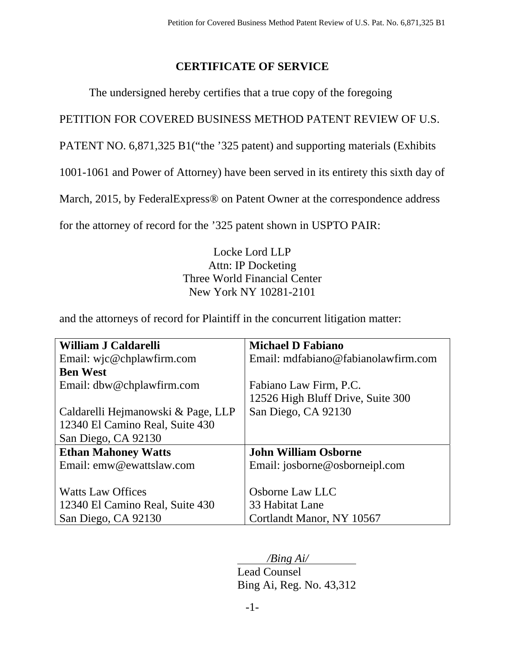# **CERTIFICATE OF SERVICE**

The undersigned hereby certifies that a true copy of the foregoing

PETITION FOR COVERED BUSINESS METHOD PATENT REVIEW OF U.S.

PATENT NO. 6,871,325 B1("the '325 patent) and supporting materials (Exhibits

1001-1061 and Power of Attorney) have been served in its entirety this sixth day of

March, 2015, by FederalExpress<sup>®</sup> on Patent Owner at the correspondence address

for the attorney of record for the '325 patent shown in USPTO PAIR:

Locke Lord LLP Attn: IP Docketing Three World Financial Center New York NY 10281-2101

and the attorneys of record for Plaintiff in the concurrent litigation matter:

| William J Caldarelli               | <b>Michael D Fabiano</b>            |
|------------------------------------|-------------------------------------|
| Email: wjc@chplawfirm.com          | Email: mdfabiano@fabianolawfirm.com |
| <b>Ben West</b>                    |                                     |
| Email: dbw@chplawfirm.com          | Fabiano Law Firm, P.C.              |
|                                    | 12526 High Bluff Drive, Suite 300   |
| Caldarelli Hejmanowski & Page, LLP | San Diego, CA 92130                 |
| 12340 El Camino Real, Suite 430    |                                     |
| San Diego, CA 92130                |                                     |
| <b>Ethan Mahoney Watts</b>         | <b>John William Osborne</b>         |
| Email: emw@ewattslaw.com           | Email: josborne@osborneipl.com      |
|                                    |                                     |
| <b>Watts Law Offices</b>           | Osborne Law LLC                     |
| 12340 El Camino Real, Suite 430    | 33 Habitat Lane                     |
| San Diego, CA 92130                | Cortlandt Manor, NY 10567           |

*/Bing Ai/* 

 Lead Counsel Bing Ai, Reg. No. 43,312